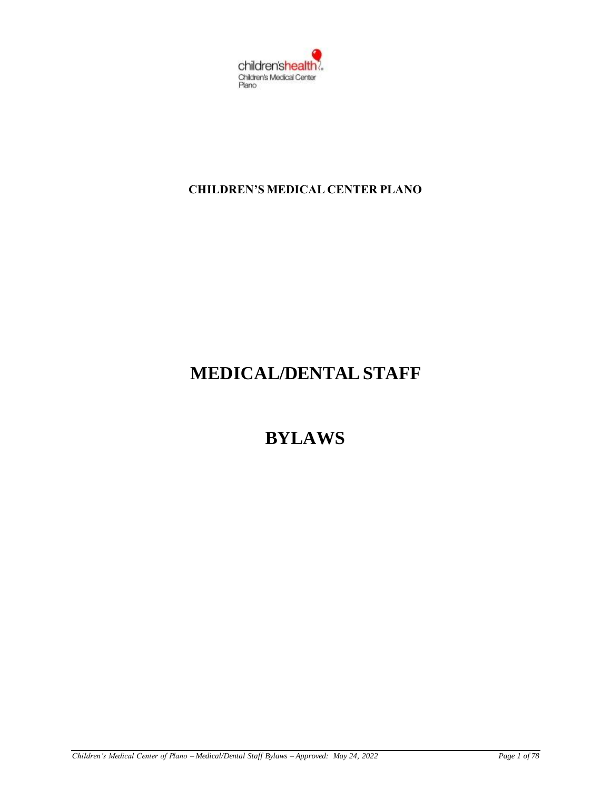

# **CHILDREN'S MEDICAL CENTER PLANO**

# **MEDICAL/DENTAL STAFF**

# **BYLAWS**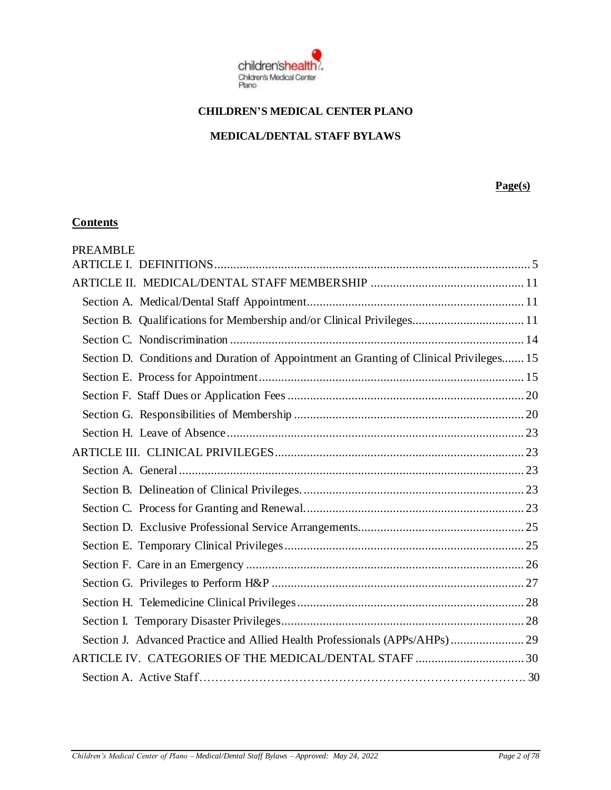

# **CHILDREN'S MEDICAL CENTER PLANO**

#### **MEDICAL/DENTAL STAFF BYLAWS**

#### **Page(s)**

# **Contents**

| <b>PREAMBLE</b>                                                                         |  |
|-----------------------------------------------------------------------------------------|--|
|                                                                                         |  |
|                                                                                         |  |
|                                                                                         |  |
| Section B. Qualifications for Membership and/or Clinical Privileges 11                  |  |
|                                                                                         |  |
| Section D. Conditions and Duration of Appointment an Granting of Clinical Privileges 15 |  |
|                                                                                         |  |
|                                                                                         |  |
|                                                                                         |  |
|                                                                                         |  |
|                                                                                         |  |
|                                                                                         |  |
|                                                                                         |  |
|                                                                                         |  |
|                                                                                         |  |
|                                                                                         |  |
|                                                                                         |  |
|                                                                                         |  |
|                                                                                         |  |
|                                                                                         |  |
| Section J. Advanced Practice and Allied Health Professionals (APPs/AHPs) 29             |  |
|                                                                                         |  |
|                                                                                         |  |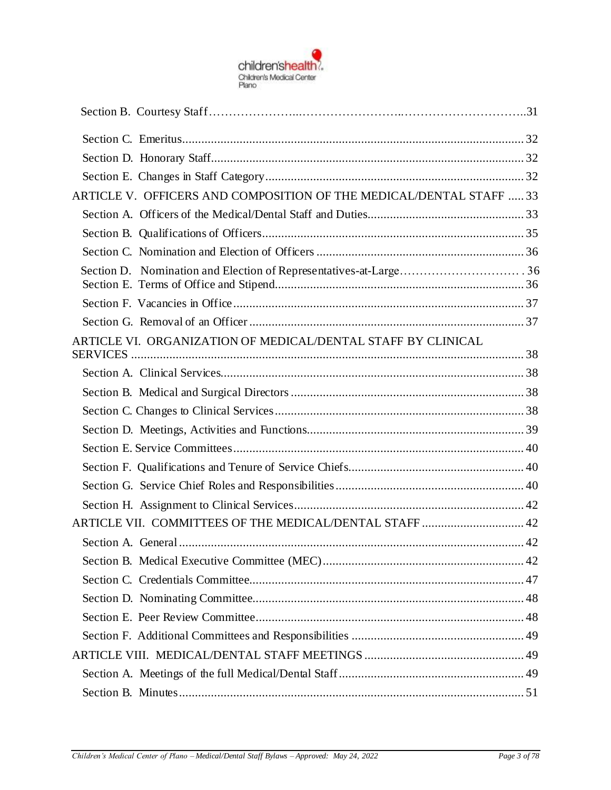

| ARTICLE V. OFFICERS AND COMPOSITION OF THE MEDICAL/DENTAL STAFF  33 |  |
|---------------------------------------------------------------------|--|
|                                                                     |  |
|                                                                     |  |
|                                                                     |  |
|                                                                     |  |
|                                                                     |  |
|                                                                     |  |
| ARTICLE VI. ORGANIZATION OF MEDICAL/DENTAL STAFF BY CLINICAL        |  |
|                                                                     |  |
|                                                                     |  |
|                                                                     |  |
|                                                                     |  |
|                                                                     |  |
|                                                                     |  |
|                                                                     |  |
|                                                                     |  |
|                                                                     |  |
| ARTICLE VII. COMMITTEES OF THE MEDICAL/DENTAL STAFF  42             |  |
|                                                                     |  |
|                                                                     |  |
|                                                                     |  |
|                                                                     |  |
|                                                                     |  |
|                                                                     |  |
|                                                                     |  |
|                                                                     |  |
|                                                                     |  |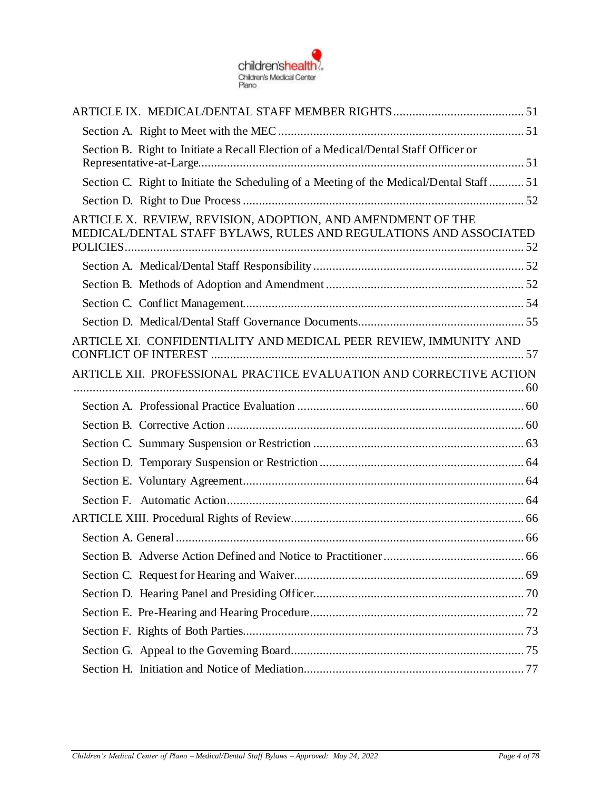

| Section B. Right to Initiate a Recall Election of a Medical/Dental Staff Officer or                                              |  |
|----------------------------------------------------------------------------------------------------------------------------------|--|
| Section C. Right to Initiate the Scheduling of a Meeting of the Medical/Dental Staff51                                           |  |
|                                                                                                                                  |  |
| ARTICLE X. REVIEW, REVISION, ADOPTION, AND AMENDMENT OF THE<br>MEDICAL/DENTAL STAFF BYLAWS, RULES AND REGULATIONS AND ASSOCIATED |  |
|                                                                                                                                  |  |
|                                                                                                                                  |  |
|                                                                                                                                  |  |
|                                                                                                                                  |  |
| ARTICLE XI. CONFIDENTIALITY AND MEDICAL PEER REVIEW, IMMUNITY AND                                                                |  |
| ARTICLE XII. PROFESSIONAL PRACTICE EVALUATION AND CORRECTIVE ACTION                                                              |  |
|                                                                                                                                  |  |
|                                                                                                                                  |  |
|                                                                                                                                  |  |
|                                                                                                                                  |  |
|                                                                                                                                  |  |
|                                                                                                                                  |  |
|                                                                                                                                  |  |
|                                                                                                                                  |  |
|                                                                                                                                  |  |
|                                                                                                                                  |  |
|                                                                                                                                  |  |
|                                                                                                                                  |  |
|                                                                                                                                  |  |
|                                                                                                                                  |  |
|                                                                                                                                  |  |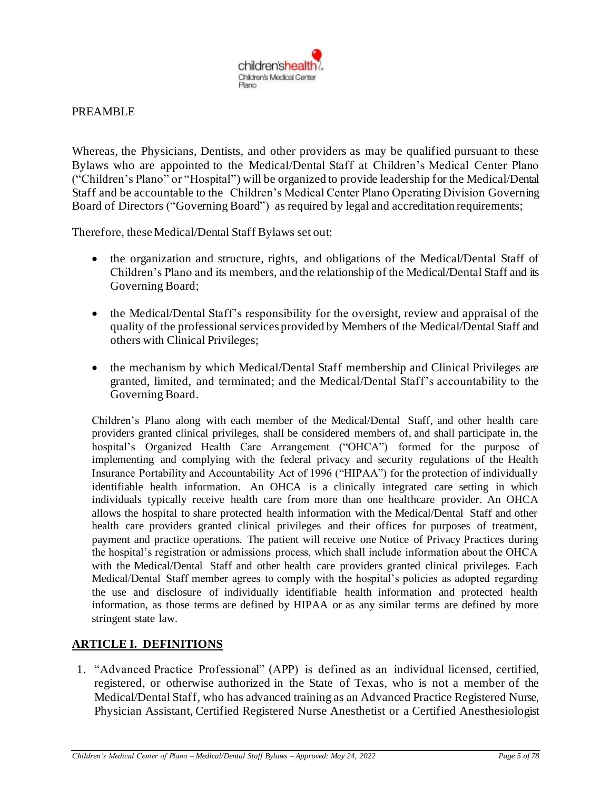

#### PREAMBLE

Whereas, the Physicians, Dentists, and other providers as may be qualified pursuant to these Bylaws who are appointed to the Medical/Dental Staff at Children's Medical Center Plano ("Children's Plano" or "Hospital") will be organized to provide leadership for the Medical/Dental Staff and be accountable to the Children's Medical Center Plano Operating Division Governing Board of Directors ("Governing Board") as required by legal and accreditation requirements;

Therefore, these Medical/Dental Staff Bylaws set out:

- the organization and structure, rights, and obligations of the Medical/Dental Staff of Children's Plano and its members, and the relationship of the Medical/Dental Staff and its Governing Board;
- the Medical/Dental Staff's responsibility for the oversight, review and appraisal of the quality of the professional services provided by Members of the Medical/Dental Staff and others with Clinical Privileges;
- the mechanism by which Medical/Dental Staff membership and Clinical Privileges are granted, limited, and terminated; and the Medical/Dental Staff's accountability to the Governing Board.

Children's Plano along with each member of the Medical/Dental Staff, and other health care providers granted clinical privileges, shall be considered members of, and shall participate in, the hospital's Organized Health Care Arrangement ("OHCA") formed for the purpose of implementing and complying with the federal privacy and security regulations of the Health Insurance Portability and Accountability Act of 1996 ("HIPAA") for the protection of individually identifiable health information. An OHCA is a clinically integrated care setting in which individuals typically receive health care from more than one healthcare provider. An OHCA allows the hospital to share protected health information with the Medical/Dental Staff and other health care providers granted clinical privileges and their offices for purposes of treatment, payment and practice operations. The patient will receive one Notice of Privacy Practices during the hospital's registration or admissions process, which shall include information about the OHCA with the Medical/Dental Staff and other health care providers granted clinical privileges. Each Medical/Dental Staff member agrees to comply with the hospital's policies as adopted regarding the use and disclosure of individually identifiable health information and protected health information, as those terms are defined by HIPAA or as any similar terms are defined by more stringent state law.

## <span id="page-4-0"></span>**ARTICLE I. DEFINITIONS**

1. "Advanced Practice Professional" (APP) is defined as an individual licensed, certified, registered, or otherwise authorized in the State of Texas, who is not a member of the Medical/Dental Staff, who has advanced training as an Advanced Practice Registered Nurse, Physician Assistant, Certified Registered Nurse Anesthetist or a Certified Anesthesiologist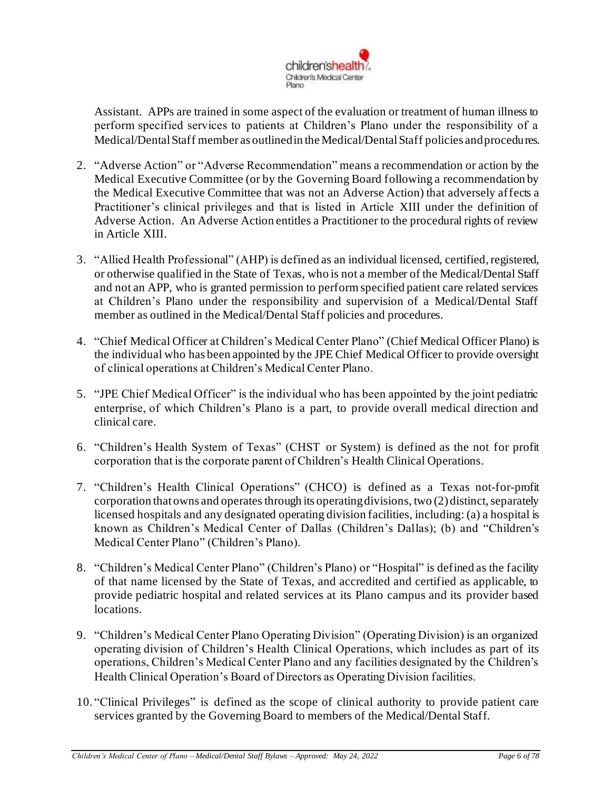

Assistant. APPs are trained in some aspect of the evaluation or treatment of human illness to perform specified services to patients at Children's Plano under the responsibility of a Medical/Dental Staff member as outlined in the Medical/Dental Staff policies and procedures.

- 2. "Adverse Action" or "Adverse Recommendation" means a recommendation or action by the Medical Executive Committee (or by the Governing Board following a recommendation by the Medical Executive Committee that was not an Adverse Action) that adversely affects a Practitioner's clinical privileges and that is listed in Article XIII under the definition of Adverse Action. An Adverse Action entitles a Practitioner to the procedural rights of review in Article XIII.
- 3. "Allied Health Professional" (AHP) is defined as an individual licensed, certified, registered, or otherwise qualified in the State of Texas, who is not a member of the Medical/Dental Staff and not an APP, who is granted permission to perform specified patient care related services at Children's Plano under the responsibility and supervision of a Medical/Dental Staff member as outlined in the Medical/Dental Staff policies and procedures.
- 4. "Chief Medical Officer at Children's Medical Center Plano" (Chief Medical Officer Plano) is the individual who has been appointed by the JPE Chief Medical Officer to provide oversight of clinical operations at Children's Medical Center Plano.
- 5. "JPE Chief Medical Officer" is the individual who has been appointed by the joint pediatric enterprise, of which Children's Plano is a part, to provide overall medical direction and clinical care.
- 6. "Children's Health System of Texas" (CHST or System) is defined as the not for profit corporation that is the corporate parent of Children's Health Clinical Operations.
- 7. "Children's Health Clinical Operations" (CHCO) is defined as a Texas not-for-profit corporation that owns and operates through its operating divisions, two  $(2)$  distinct, separately licensed hospitals and any designated operating division facilities, including: (a) a hospital is known as Children's Medical Center of Dallas (Children's Dallas); (b) and "Children's Medical Center Plano" (Children's Plano).
- 8. "Children's Medical Center Plano" (Children's Plano) or "Hospital" is defined as the facility of that name licensed by the State of Texas, and accredited and certified as applicable, to provide pediatric hospital and related services at its Plano campus and its provider based locations.
- 9. "Children's Medical Center Plano Operating Division" (Operating Division) is an organized operating division of Children's Health Clinical Operations, which includes as part of its operations, Children's Medical Center Plano and any facilities designated by the Children's Health Clinical Operation's Board of Directors as Operating Division facilities.
- 10. "Clinical Privileges" is defined as the scope of clinical authority to provide patient care services granted by the Governing Board to members of the Medical/Dental Staff.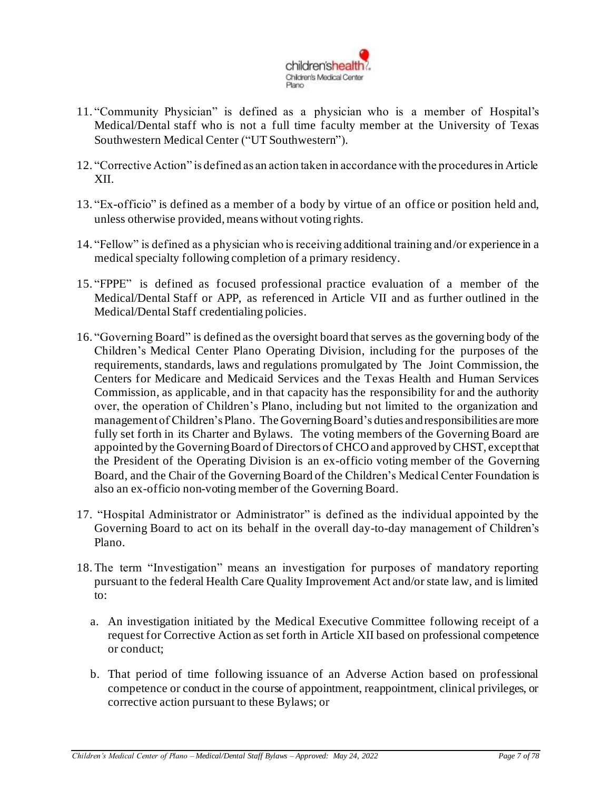

- 11. "Community Physician" is defined as a physician who is a member of Hospital's Medical/Dental staff who is not a full time faculty member at the University of Texas Southwestern Medical Center ("UT Southwestern").
- 12. "Corrective Action" is defined as an action taken in accordance with the procedures in Article XII.
- 13. "Ex-officio" is defined as a member of a body by virtue of an office or position held and, unless otherwise provided, means without voting rights.
- 14. "Fellow" is defined as a physician who is receiving additional training and/or experience in a medical specialty following completion of a primary residency.
- 15. "FPPE" is defined as focused professional practice evaluation of a member of the Medical/Dental Staff or APP, as referenced in Article VII and as further outlined in the Medical/Dental Staff credentialing policies.
- 16. "Governing Board" is defined as the oversight board that serves as the governing body of the Children's Medical Center Plano Operating Division, including for the purposes of the requirements, standards, laws and regulations promulgated by The Joint Commission, the Centers for Medicare and Medicaid Services and the Texas Health and Human Services Commission, as applicable, and in that capacity has the responsibility for and the authority over, the operation of Children's Plano, including but not limited to the organization and management of Children's Plano. The Governing Board's duties and responsibilities are more fully set forth in its Charter and Bylaws. The voting members of the Governing Board are appointed by the Governing Board of Directors of CHCO and approved by CHST, except that the President of the Operating Division is an ex-officio voting member of the Governing Board, and the Chair of the Governing Board of the Children's Medical Center Foundation is also an ex-officio non-voting member of the Governing Board.
- 17. "Hospital Administrator or Administrator" is defined as the individual appointed by the Governing Board to act on its behalf in the overall day-to-day management of Children's Plano.
- 18.The term "Investigation" means an investigation for purposes of mandatory reporting pursuant to the federal Health Care Quality Improvement Act and/or state law, and is limited to:
	- a. An investigation initiated by the Medical Executive Committee following receipt of a request for Corrective Action as set forth in Article XII based on professional competence or conduct;
	- b. That period of time following issuance of an Adverse Action based on professional competence or conduct in the course of appointment, reappointment, clinical privileges, or corrective action pursuant to these Bylaws; or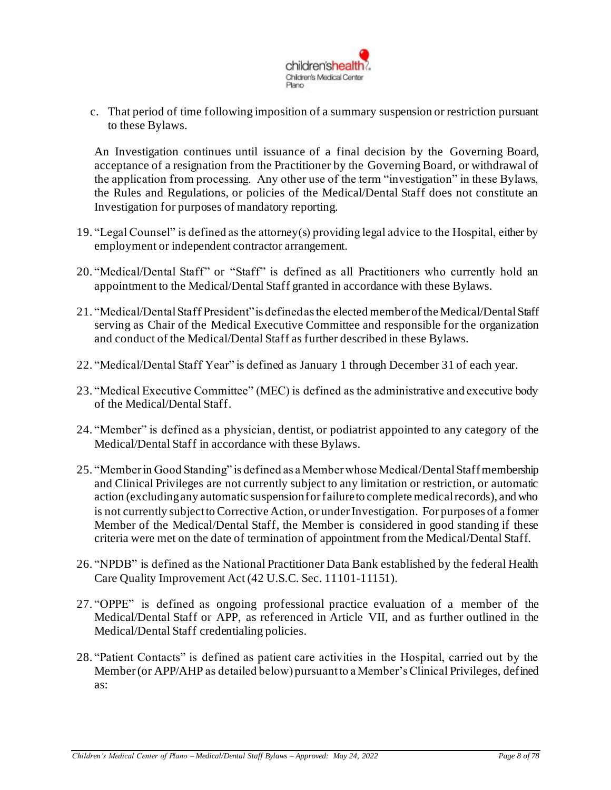

c. That period of time following imposition of a summary suspension or restriction pursuant to these Bylaws.

An Investigation continues until issuance of a final decision by the Governing Board, acceptance of a resignation from the Practitioner by the Governing Board, or withdrawal of the application from processing. Any other use of the term "investigation" in these Bylaws, the Rules and Regulations, or policies of the Medical/Dental Staff does not constitute an Investigation for purposes of mandatory reporting.

- 19. "Legal Counsel" is defined as the attorney(s) providing legal advice to the Hospital, either by employment or independent contractor arrangement.
- 20. "Medical/Dental Staff" or "Staff" is defined as all Practitioners who currently hold an appointment to the Medical/Dental Staff granted in accordance with these Bylaws.
- 21. "Medical/Dental Staff President" is defined as the elected member of the Medical/Dental Staff serving as Chair of the Medical Executive Committee and responsible for the organization and conduct of the Medical/Dental Staff as further described in these Bylaws.
- 22. "Medical/Dental Staff Year" is defined as January 1 through December 31 of each year.
- 23. "Medical Executive Committee" (MEC) is defined as the administrative and executive body of the Medical/Dental Staff.
- 24. "Member" is defined as a physician, dentist, or podiatrist appointed to any category of the Medical/Dental Staff in accordance with these Bylaws.
- 25. "Member in Good Standing" is defined as a Member whose Medical/DentalStaff membership and Clinical Privileges are not currently subject to any limitation or restriction, or automatic action (excluding any automatic suspension for failure to complete medical records), and who is not currently subject to Corrective Action, or under Investigation. For purposes of a former Member of the Medical/Dental Staff, the Member is considered in good standing if these criteria were met on the date of termination of appointment from the Medical/Dental Staff.
- 26. "NPDB" is defined as the National Practitioner Data Bank established by the federal Health Care Quality Improvement Act (42 U.S.C. Sec. 11101-11151).
- 27. "OPPE" is defined as ongoing professional practice evaluation of a member of the Medical/Dental Staff or APP, as referenced in Article VII, and as further outlined in the Medical/Dental Staff credentialing policies.
- 28. "Patient Contacts" is defined as patient care activities in the Hospital, carried out by the Member (or APP/AHP as detailed below) pursuant to a Member's Clinical Privileges, defined as: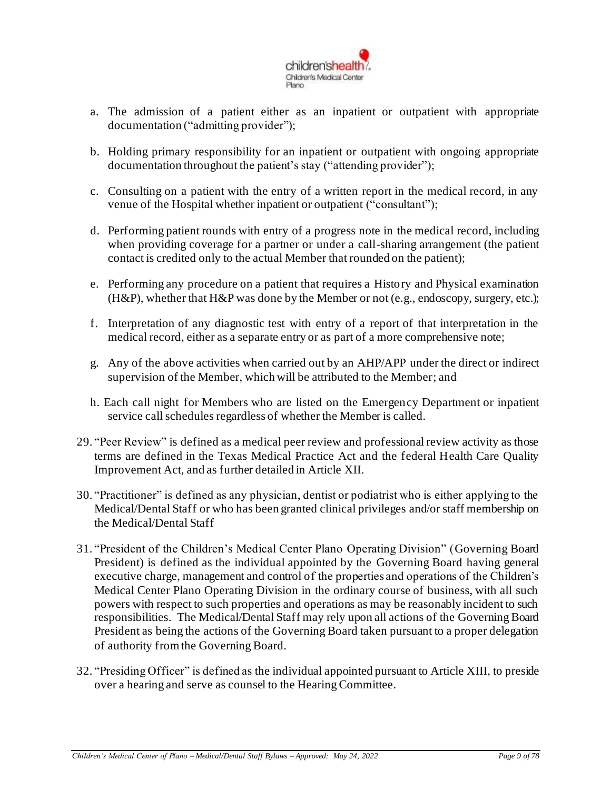

- a. The admission of a patient either as an inpatient or outpatient with appropriate documentation ("admitting provider");
- b. Holding primary responsibility for an inpatient or outpatient with ongoing appropriate documentation throughout the patient's stay ("attending provider");
- c. Consulting on a patient with the entry of a written report in the medical record, in any venue of the Hospital whether inpatient or outpatient ("consultant");
- d. Performing patient rounds with entry of a progress note in the medical record, including when providing coverage for a partner or under a call-sharing arrangement (the patient contact is credited only to the actual Member that rounded on the patient);
- e. Performing any procedure on a patient that requires a History and Physical examination (H&P), whether that H&P was done by the Member or not (e.g., endoscopy, surgery, etc.);
- f. Interpretation of any diagnostic test with entry of a report of that interpretation in the medical record, either as a separate entry or as part of a more comprehensive note;
- g. Any of the above activities when carried out by an AHP/APP under the direct or indirect supervision of the Member, which will be attributed to the Member; and
- h. Each call night for Members who are listed on the Emergency Department or inpatient service call schedules regardless of whether the Member is called.
- 29. "Peer Review" is defined as a medical peer review and professional review activity as those terms are defined in the Texas Medical Practice Act and the federal Health Care Quality Improvement Act, and as further detailed in Article XII.
- 30. "Practitioner" is defined as any physician, dentist or podiatrist who is either applying to the Medical/Dental Staff or who has been granted clinical privileges and/or staff membership on the Medical/Dental Staff
- 31. "President of the Children's Medical Center Plano Operating Division" (Governing Board President) is defined as the individual appointed by the Governing Board having general executive charge, management and control of the properties and operations of the Children's Medical Center Plano Operating Division in the ordinary course of business, with all such powers with respect to such properties and operations as may be reasonably incident to such responsibilities. The Medical/Dental Staff may rely upon all actions of the Governing Board President as being the actions of the Governing Board taken pursuant to a proper delegation of authority from the Governing Board.
- 32. "Presiding Officer" is defined as the individual appointed pursuant to Article XIII, to preside over a hearing and serve as counsel to the Hearing Committee.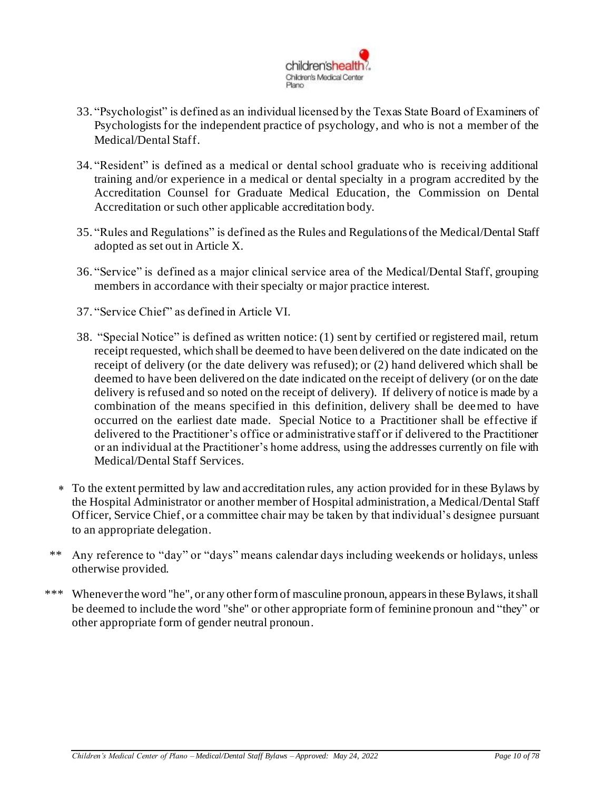

- 33. "Psychologist" is defined as an individual licensed by the Texas State Board of Examiners of Psychologists for the independent practice of psychology, and who is not a member of the Medical/Dental Staff.
- 34. "Resident" is defined as a medical or dental school graduate who is receiving additional training and/or experience in a medical or dental specialty in a program accredited by the Accreditation Counsel for Graduate Medical Education, the Commission on Dental Accreditation or such other applicable accreditation body.
- 35. "Rules and Regulations" is defined as the Rules and Regulations of the Medical/Dental Staff adopted as set out in Article X.
- 36. "Service" is defined as a major clinical service area of the Medical/Dental Staff, grouping members in accordance with their specialty or major practice interest.
- 37. "Service Chief" as defined in Article VI.
- 38. "Special Notice" is defined as written notice: (1) sent by certified or registered mail, return receipt requested, which shall be deemed to have been delivered on the date indicated on the receipt of delivery (or the date delivery was refused); or (2) hand delivered which shall be deemed to have been delivered on the date indicated on the receipt of delivery (or on the date delivery is refused and so noted on the receipt of delivery). If delivery of notice is made by a combination of the means specified in this definition, delivery shall be deemed to have occurred on the earliest date made. Special Notice to a Practitioner shall be effective if delivered to the Practitioner's office or administrative staff or if delivered to the Practitioner or an individual at the Practitioner's home address, using the addresses currently on file with Medical/Dental Staff Services.
- To the extent permitted by law and accreditation rules, any action provided for in these Bylaws by the Hospital Administrator or another member of Hospital administration, a Medical/Dental Staff Officer, Service Chief, or a committee chair may be taken by that individual's designee pursuant to an appropriate delegation.
- \*\* Any reference to "day" or "days" means calendar days including weekends or holidays, unless otherwise provided.
- \*\*\* Whenever the word "he", or any other form of masculine pronoun, appears in these Bylaws, it shall be deemed to include the word "she" or other appropriate form of feminine pronoun and "they" or other appropriate form of gender neutral pronoun.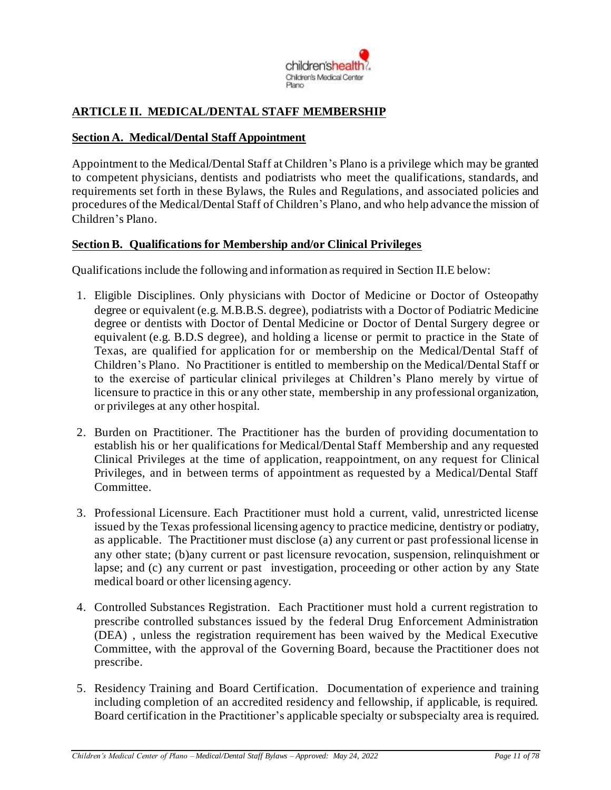

# <span id="page-10-0"></span>**ARTICLE II. MEDICAL/DENTAL STAFF MEMBERSHIP**

#### <span id="page-10-1"></span>**Section A. Medical/Dental Staff Appointment**

Appointment to the Medical/Dental Staff at Children's Plano is a privilege which may be granted to competent physicians, dentists and podiatrists who meet the qualifications, standards, and requirements set forth in these Bylaws, the Rules and Regulations, and associated policies and procedures of the Medical/Dental Staff of Children's Plano, and who help advance the mission of Children's Plano.

#### <span id="page-10-2"></span>**Section B. Qualifications for Membership and/or Clinical Privileges**

Qualifications include the following and information as required in Section II.E below:

- 1. Eligible Disciplines. Only physicians with Doctor of Medicine or Doctor of Osteopathy degree or equivalent (e.g. M.B.B.S. degree), podiatrists with a Doctor of Podiatric Medicine degree or dentists with Doctor of Dental Medicine or Doctor of Dental Surgery degree or equivalent (e.g. B.D.S degree), and holding a license or permit to practice in the State of Texas, are qualified for application for or membership on the Medical/Dental Staff of Children's Plano. No Practitioner is entitled to membership on the Medical/Dental Staff or to the exercise of particular clinical privileges at Children's Plano merely by virtue of licensure to practice in this or any other state, membership in any professional organization, or privileges at any other hospital.
- 2. Burden on Practitioner. The Practitioner has the burden of providing documentation to establish his or her qualifications for Medical/Dental Staff Membership and any requested Clinical Privileges at the time of application, reappointment, on any request for Clinical Privileges, and in between terms of appointment as requested by a Medical/Dental Staff Committee.
- 3. Professional Licensure. Each Practitioner must hold a current, valid, unrestricted license issued by the Texas professional licensing agency to practice medicine, dentistry or podiatry, as applicable. The Practitioner must disclose (a) any current or past professional license in any other state; (b)any current or past licensure revocation, suspension, relinquishment or lapse; and (c) any current or past investigation, proceeding or other action by any State medical board or other licensing agency.
- 4. Controlled Substances Registration. Each Practitioner must hold a current registration to prescribe controlled substances issued by the federal Drug Enforcement Administration (DEA) , unless the registration requirement has been waived by the Medical Executive Committee, with the approval of the Governing Board, because the Practitioner does not prescribe.
- 5. Residency Training and Board Certification. Documentation of experience and training including completion of an accredited residency and fellowship, if applicable, is required. Board certification in the Practitioner's applicable specialty or subspecialty area is required.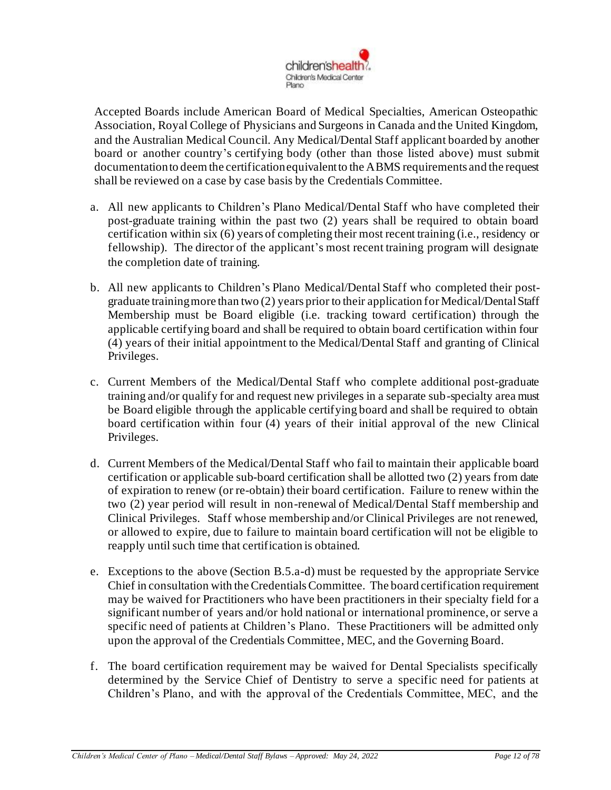

Accepted Boards include American Board of Medical Specialties, American Osteopathic Association, Royal College of Physicians and Surgeons in Canada and the United Kingdom, and the Australian Medical Council. Any Medical/Dental Staff applicant boarded by another board or another country's certifying body (other than those listed above) must submit documentation to deem the certification equivalent to the ABMS requirements and the request shall be reviewed on a case by case basis by the Credentials Committee.

- a. All new applicants to Children's Plano Medical/Dental Staff who have completed their post-graduate training within the past two (2) years shall be required to obtain board certification within six (6) years of completing their most recent training (i.e., residency or fellowship). The director of the applicant's most recent training program will designate the completion date of training.
- b. All new applicants to Children's Plano Medical/Dental Staff who completed their postgraduate training more than two (2) years prior to their application for Medical/Dental Staff Membership must be Board eligible (i.e. tracking toward certification) through the applicable certifying board and shall be required to obtain board certification within four (4) years of their initial appointment to the Medical/Dental Staff and granting of Clinical Privileges.
- c. Current Members of the Medical/Dental Staff who complete additional post-graduate training and/or qualify for and request new privileges in a separate sub-specialty area must be Board eligible through the applicable certifying board and shall be required to obtain board certification within four (4) years of their initial approval of the new Clinical Privileges.
- d. Current Members of the Medical/Dental Staff who fail to maintain their applicable board certification or applicable sub-board certification shall be allotted two (2) years from date of expiration to renew (or re-obtain) their board certification. Failure to renew within the two (2) year period will result in non-renewal of Medical/Dental Staff membership and Clinical Privileges. Staff whose membership and/or Clinical Privileges are not renewed, or allowed to expire, due to failure to maintain board certification will not be eligible to reapply until such time that certification is obtained.
- e. Exceptions to the above (Section B.5.a-d) must be requested by the appropriate Service Chief in consultation with the Credentials Committee. The board certification requirement may be waived for Practitioners who have been practitioners in their specialty field for a significant number of years and/or hold national or international prominence, or serve a specific need of patients at Children's Plano. These Practitioners will be admitted only upon the approval of the Credentials Committee, MEC, and the Governing Board.
- f. The board certification requirement may be waived for Dental Specialists specifically determined by the Service Chief of Dentistry to serve a specific need for patients at Children's Plano, and with the approval of the Credentials Committee, MEC, and the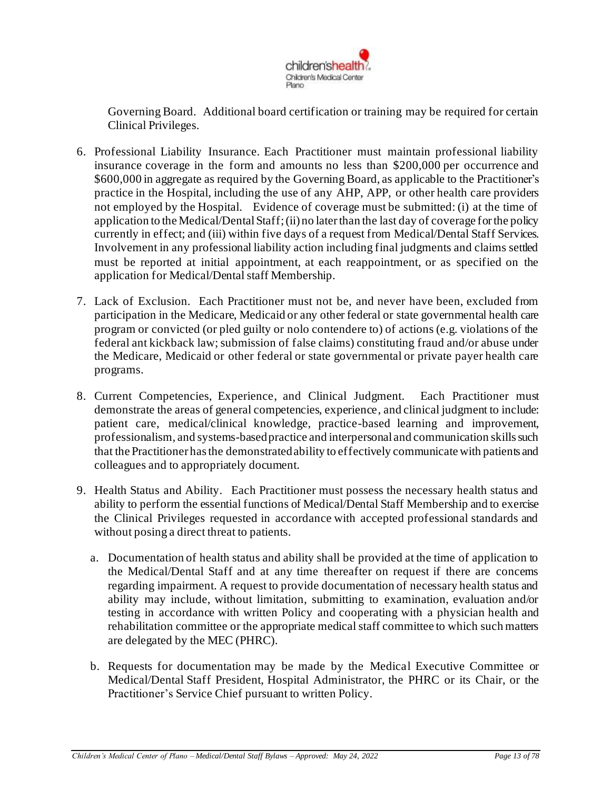

Governing Board. Additional board certification or training may be required for certain Clinical Privileges.

- 6. Professional Liability Insurance. Each Practitioner must maintain professional liability insurance coverage in the form and amounts no less than \$200,000 per occurrence and \$600,000 in aggregate as required by the Governing Board, as applicable to the Practitioner's practice in the Hospital, including the use of any AHP, APP, or other health care providers not employed by the Hospital. Evidence of coverage must be submitted: (i) at the time of application to the Medical/Dental Staff; (ii) no later than the last day of coverage for the policy currently in effect; and (iii) within five days of a request from Medical/Dental Staff Services. Involvement in any professional liability action including final judgments and claims settled must be reported at initial appointment, at each reappointment, or as specified on the application for Medical/Dental staff Membership.
- 7. Lack of Exclusion. Each Practitioner must not be, and never have been, excluded from participation in the Medicare, Medicaid or any other federal or state governmental health care program or convicted (or pled guilty or nolo contendere to) of actions (e.g. violations of the federal ant kickback law; submission of false claims) constituting fraud and/or abuse under the Medicare, Medicaid or other federal or state governmental or private payer health care programs.
- 8. Current Competencies, Experience, and Clinical Judgment. Each Practitioner must demonstrate the areas of general competencies, experience, and clinical judgment to include: patient care, medical/clinical knowledge, practice-based learning and improvement, professionalism, and systems-based practice and interpersonal and communication skills such that the Practitioner has the demonstrated ability to effectively communicate with patients and colleagues and to appropriately document.
- 9. Health Status and Ability. Each Practitioner must possess the necessary health status and ability to perform the essential functions of Medical/Dental Staff Membership and to exercise the Clinical Privileges requested in accordance with accepted professional standards and without posing a direct threat to patients.
	- a. Documentation of health status and ability shall be provided at the time of application to the Medical/Dental Staff and at any time thereafter on request if there are concerns regarding impairment. A request to provide documentation of necessary health status and ability may include, without limitation, submitting to examination, evaluation and/or testing in accordance with written Policy and cooperating with a physician health and rehabilitation committee or the appropriate medical staff committee to which such matters are delegated by the MEC (PHRC).
	- b. Requests for documentation may be made by the Medical Executive Committee or Medical/Dental Staff President, Hospital Administrator, the PHRC or its Chair, or the Practitioner's Service Chief pursuant to written Policy.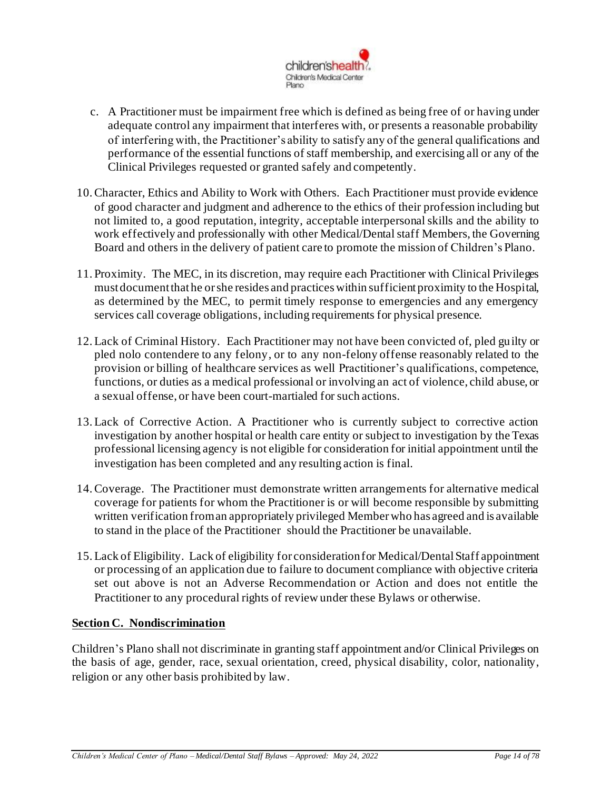

- c. A Practitioner must be impairment free which is defined as being free of or having under adequate control any impairment that interferes with, or presents a reasonable probability of interfering with, the Practitioner's ability to satisfy any of the general qualifications and performance of the essential functions of staff membership, and exercising all or any of the Clinical Privileges requested or granted safely and competently.
- 10.Character, Ethics and Ability to Work with Others. Each Practitioner must provide evidence of good character and judgment and adherence to the ethics of their profession including but not limited to, a good reputation, integrity, acceptable interpersonal skills and the ability to work effectively and professionally with other Medical/Dental staff Members, the Governing Board and others in the delivery of patient care to promote the mission of Children's Plano.
- 11. Proximity. The MEC, in its discretion, may require each Practitioner with Clinical Privileges must document that he or she resides and practices within sufficient proximity to the Hospital, as determined by the MEC, to permit timely response to emergencies and any emergency services call coverage obligations, including requirements for physical presence.
- 12.Lack of Criminal History. Each Practitioner may not have been convicted of, pled guilty or pled nolo contendere to any felony, or to any non-felony offense reasonably related to the provision or billing of healthcare services as well Practitioner's qualifications, competence, functions, or duties as a medical professional or involving an act of violence, child abuse, or a sexual offense, or have been court-martialed for such actions*.*
- 13.Lack of Corrective Action. A Practitioner who is currently subject to corrective action investigation by another hospital or health care entity or subject to investigation by the Texas professional licensing agency is not eligible for consideration for initial appointment until the investigation has been completed and any resulting action is final.
- 14.Coverage. The Practitioner must demonstrate written arrangements for alternative medical coverage for patients for whom the Practitioner is or will become responsible by submitting written verification from an appropriately privileged Memberwho has agreed and is available to stand in the place of the Practitioner should the Practitioner be unavailable.
- 15.Lack of Eligibility. Lack of eligibility for consideration for Medical/Dental Staff appointment or processing of an application due to failure to document compliance with objective criteria set out above is not an Adverse Recommendation or Action and does not entitle the Practitioner to any procedural rights of review under these Bylaws or otherwise.

## <span id="page-13-0"></span>**Section C. Nondiscrimination**

Children's Plano shall not discriminate in granting staff appointment and/or Clinical Privileges on the basis of age, gender, race, sexual orientation, creed, physical disability, color, nationality, religion or any other basis prohibited by law.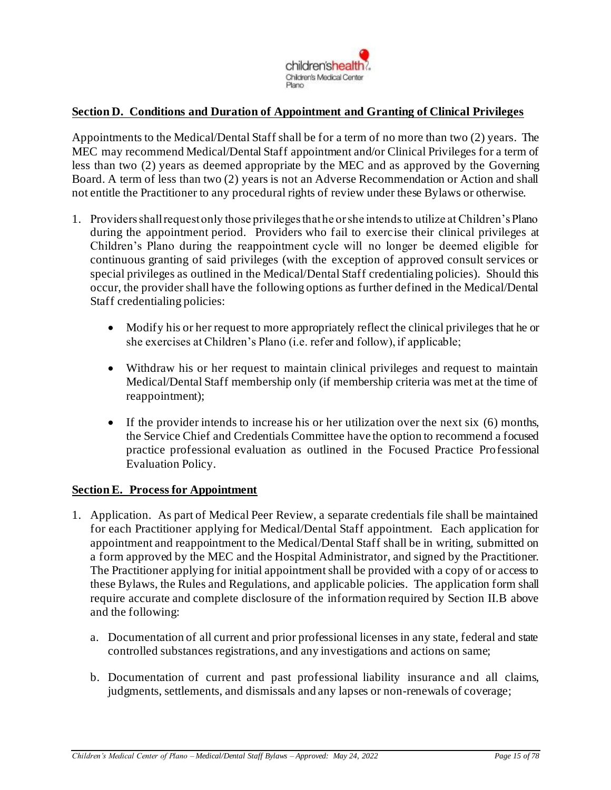

### <span id="page-14-0"></span>**Section D. Conditions and Duration of Appointment and Granting of Clinical Privileges**

Appointments to the Medical/Dental Staff shall be for a term of no more than two (2) years. The MEC may recommend Medical/Dental Staff appointment and/or Clinical Privileges for a term of less than two (2) years as deemed appropriate by the MEC and as approved by the Governing Board. A term of less than two (2) years is not an Adverse Recommendation or Action and shall not entitle the Practitioner to any procedural rights of review under these Bylaws or otherwise.

- 1. Providers shall request only those privileges that he or she intends to utilize at Children's Plano during the appointment period. Providers who fail to exercise their clinical privileges at Children's Plano during the reappointment cycle will no longer be deemed eligible for continuous granting of said privileges (with the exception of approved consult services or special privileges as outlined in the Medical/Dental Staff credentialing policies). Should this occur, the provider shall have the following options as further defined in the Medical/Dental Staff credentialing policies:
	- Modify his or her request to more appropriately reflect the clinical privileges that he or she exercises at Children's Plano (i.e. refer and follow), if applicable;
	- Withdraw his or her request to maintain clinical privileges and request to maintain Medical/Dental Staff membership only (if membership criteria was met at the time of reappointment);
	- If the provider intends to increase his or her utilization over the next six (6) months, the Service Chief and Credentials Committee have the option to recommend a focused practice professional evaluation as outlined in the Focused Practice Professional Evaluation Policy.

#### <span id="page-14-1"></span>**Section E. Process for Appointment**

- 1. Application. As part of Medical Peer Review, a separate credentials file shall be maintained for each Practitioner applying for Medical/Dental Staff appointment. Each application for appointment and reappointment to the Medical/Dental Staff shall be in writing, submitted on a form approved by the MEC and the Hospital Administrator, and signed by the Practitioner. The Practitioner applying for initial appointment shall be provided with a copy of or access to these Bylaws, the Rules and Regulations, and applicable policies. The application form shall require accurate and complete disclosure of the information required by Section II.B above and the following:
	- a. Documentation of all current and prior professional licenses in any state, federal and state controlled substances registrations, and any investigations and actions on same;
	- b. Documentation of current and past professional liability insurance and all claims, judgments, settlements, and dismissals and any lapses or non-renewals of coverage;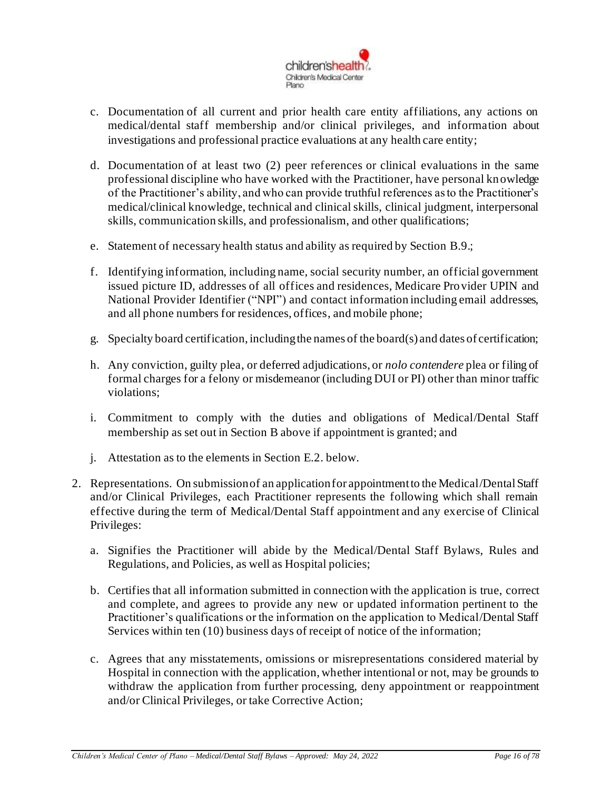

- c. Documentation of all current and prior health care entity affiliations, any actions on medical/dental staff membership and/or clinical privileges, and information about investigations and professional practice evaluations at any health care entity;
- d. Documentation of at least two (2) peer references or clinical evaluations in the same professional discipline who have worked with the Practitioner, have personal knowledge of the Practitioner's ability, and who can provide truthful references as to the Practitioner's medical/clinical knowledge, technical and clinical skills, clinical judgment, interpersonal skills, communication skills, and professionalism, and other qualifications;
- e. Statement of necessary health status and ability as required by Section B.9.;
- f. Identifying information, including name, social security number, an official government issued picture ID, addresses of all offices and residences, Medicare Provider UPIN and National Provider Identifier ("NPI") and contact information including email addresses, and all phone numbers for residences, offices, and mobile phone;
- g. Specialty board certification, including the names of the board(s) and dates of certification;
- h. Any conviction, guilty plea, or deferred adjudications, or *nolo contendere* plea or filing of formal charges for a felony or misdemeanor (including DUI or PI) other than minor traffic violations;
- i. Commitment to comply with the duties and obligations of Medical/Dental Staff membership as set out in Section B above if appointment is granted; and
- j. Attestation as to the elements in Section E.2. below.
- 2. Representations. On submission of an application for appointment to the Medical/DentalStaff and/or Clinical Privileges, each Practitioner represents the following which shall remain effective during the term of Medical/Dental Staff appointment and any exercise of Clinical Privileges:
	- a. Signifies the Practitioner will abide by the Medical/Dental Staff Bylaws, Rules and Regulations, and Policies, as well as Hospital policies;
	- b. Certifies that all information submitted in connection with the application is true, correct and complete, and agrees to provide any new or updated information pertinent to the Practitioner's qualifications or the information on the application to Medical/Dental Staff Services within ten (10) business days of receipt of notice of the information;
	- c. Agrees that any misstatements, omissions or misrepresentations considered material by Hospital in connection with the application, whether intentional or not, may be grounds to withdraw the application from further processing, deny appointment or reappointment and/or Clinical Privileges, or take Corrective Action;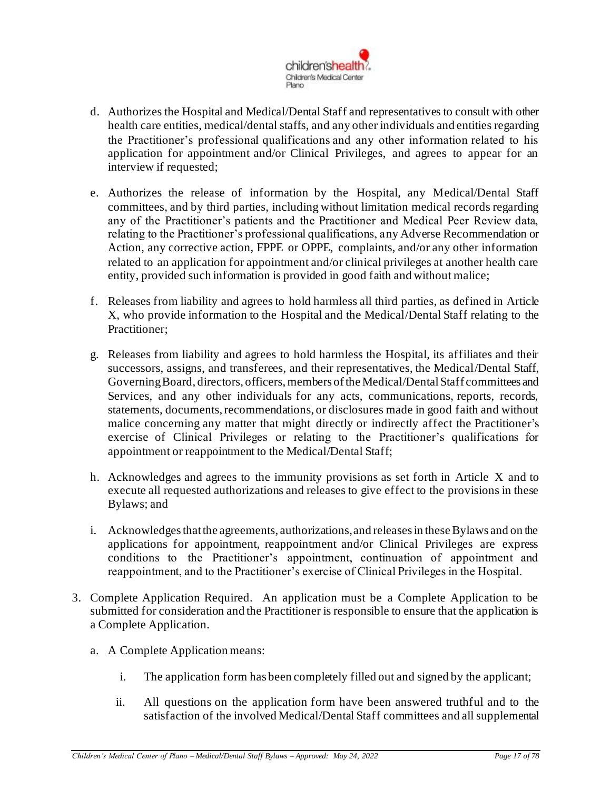

- d. Authorizes the Hospital and Medical/Dental Staff and representatives to consult with other health care entities, medical/dental staffs, and any other individuals and entities regarding the Practitioner's professional qualifications and any other information related to his application for appointment and/or Clinical Privileges, and agrees to appear for an interview if requested;
- e. Authorizes the release of information by the Hospital, any Medical/Dental Staff committees, and by third parties, including without limitation medical records regarding any of the Practitioner's patients and the Practitioner and Medical Peer Review data, relating to the Practitioner's professional qualifications, any Adverse Recommendation or Action, any corrective action, FPPE or OPPE, complaints, and/or any other information related to an application for appointment and/or clinical privileges at another health care entity, provided such information is provided in good faith and without malice;
- f. Releases from liability and agrees to hold harmless all third parties, as defined in Article X, who provide information to the Hospital and the Medical/Dental Staff relating to the Practitioner:
- g. Releases from liability and agrees to hold harmless the Hospital, its affiliates and their successors, assigns, and transferees, and their representatives, the Medical/Dental Staff, Governing Board, directors, officers, members of the Medical/Dental Staff committees and Services, and any other individuals for any acts, communications, reports, records, statements, documents, recommendations, or disclosures made in good faith and without malice concerning any matter that might directly or indirectly affect the Practitioner's exercise of Clinical Privileges or relating to the Practitioner's qualifications for appointment or reappointment to the Medical/Dental Staff;
- h. Acknowledges and agrees to the immunity provisions as set forth in Article X and to execute all requested authorizations and releases to give effect to the provisions in these Bylaws; and
- i. Acknowledges that the agreements, authorizations, and releases in these Bylaws and on the applications for appointment, reappointment and/or Clinical Privileges are express conditions to the Practitioner's appointment, continuation of appointment and reappointment, and to the Practitioner's exercise of Clinical Privileges in the Hospital.
- 3. Complete Application Required. An application must be a Complete Application to be submitted for consideration and the Practitioner is responsible to ensure that the application is a Complete Application.
	- a. A Complete Application means:
		- i. The application form has been completely filled out and signed by the applicant;
		- ii. All questions on the application form have been answered truthful and to the satisfaction of the involved Medical/Dental Staff committees and all supplemental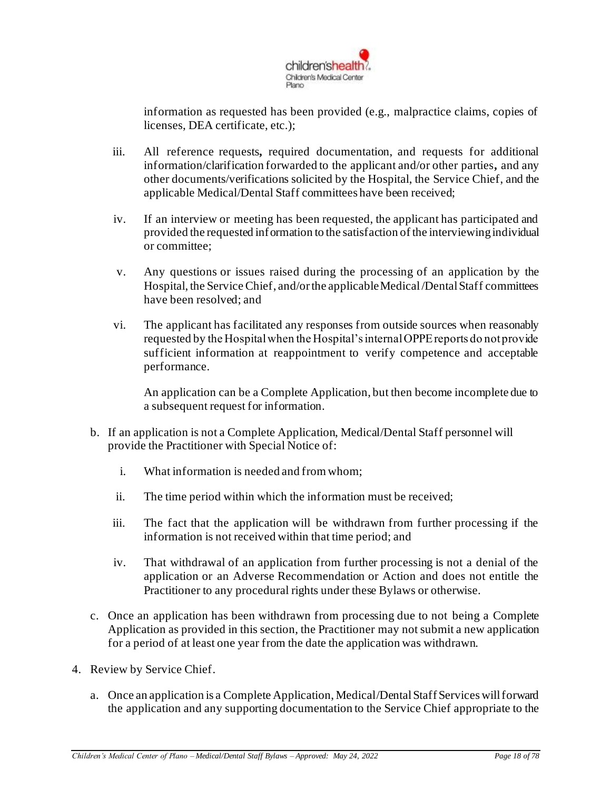

information as requested has been provided (e.g., malpractice claims, copies of licenses, DEA certificate, etc.);

- iii. All reference requests*,* required documentation, and requests for additional information/clarification forwarded to the applicant and/or other parties*,* and any other documents/verifications solicited by the Hospital, the Service Chief, and the applicable Medical/Dental Staff committees have been received;
- iv. If an interview or meeting has been requested, the applicant has participated and provided the requested information to the satisfaction of the interviewing individual or committee;
- v. Any questions or issues raised during the processing of an application by the Hospital, the ServiceChief, and/or the applicable Medical /Dental Staff committees have been resolved; and
- vi. The applicant has facilitated any responses from outside sources when reasonably requested by the Hospital when the Hospital's internal OPPE reports do not provide sufficient information at reappointment to verify competence and acceptable performance.

An application can be a Complete Application, but then become incomplete due to a subsequent request for information.

- b. If an application is not a Complete Application, Medical/Dental Staff personnel will provide the Practitioner with Special Notice of:
	- i. What information is needed and from whom;
	- ii. The time period within which the information must be received;
	- iii. The fact that the application will be withdrawn from further processing if the information is not received within that time period; and
	- iv. That withdrawal of an application from further processing is not a denial of the application or an Adverse Recommendation or Action and does not entitle the Practitioner to any procedural rights under these Bylaws or otherwise.
- c. Once an application has been withdrawn from processing due to not being a Complete Application as provided in this section, the Practitioner may not submit a new application for a period of at least one year from the date the application was withdrawn.
- 4. Review by Service Chief.
	- a. Once an application is a Complete Application, Medical/DentalStaff Services will forward the application and any supporting documentation to the Service Chief appropriate to the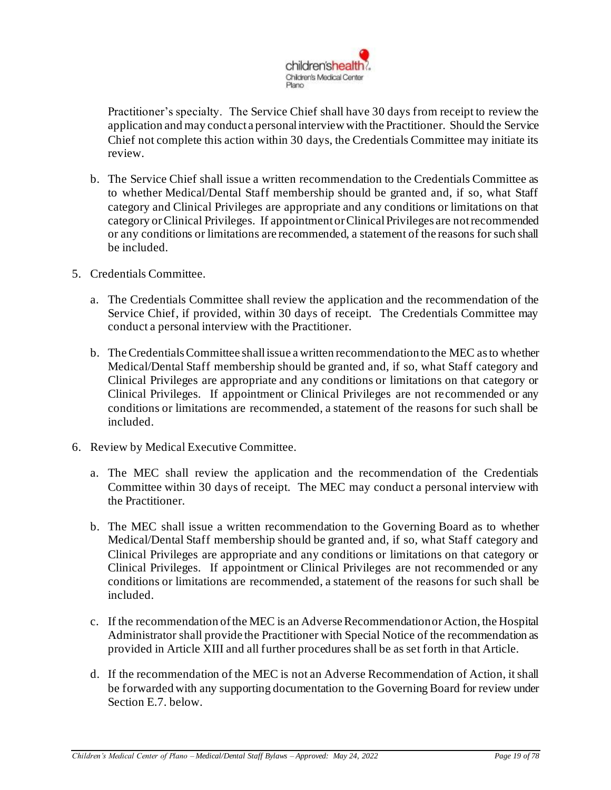

Practitioner's specialty. The Service Chief shall have 30 days from receipt to review the application and may conduct a personal interview with the Practitioner. Should the Service Chief not complete this action within 30 days, the Credentials Committee may initiate its review.

- b. The Service Chief shall issue a written recommendation to the Credentials Committee as to whether Medical/Dental Staff membership should be granted and, if so, what Staff category and Clinical Privileges are appropriate and any conditions or limitations on that category or Clinical Privileges. If appointment or Clinical Privileges are not recommended or any conditions or limitations are recommended, a statement of the reasons for such shall be included.
- 5. Credentials Committee.
	- a. The Credentials Committee shall review the application and the recommendation of the Service Chief, if provided, within 30 days of receipt. The Credentials Committee may conduct a personal interview with the Practitioner.
	- b. The Credentials Committee shall issue a written recommendation to the MEC as to whether Medical/Dental Staff membership should be granted and, if so, what Staff category and Clinical Privileges are appropriate and any conditions or limitations on that category or Clinical Privileges. If appointment or Clinical Privileges are not recommended or any conditions or limitations are recommended, a statement of the reasons for such shall be included.
- 6. Review by Medical Executive Committee.
	- a. The MEC shall review the application and the recommendation of the Credentials Committee within 30 days of receipt. The MEC may conduct a personal interview with the Practitioner.
	- b. The MEC shall issue a written recommendation to the Governing Board as to whether Medical/Dental Staff membership should be granted and, if so, what Staff category and Clinical Privileges are appropriate and any conditions or limitations on that category or Clinical Privileges. If appointment or Clinical Privileges are not recommended or any conditions or limitations are recommended, a statement of the reasons for such shall be included.
	- c. If the recommendation of the MEC is an Adverse Recommendation or Action, the Hospital Administrator shall provide the Practitioner with Special Notice of the recommendation as provided in Article XIII and all further procedures shall be as set forth in that Article.
	- d. If the recommendation of the MEC is not an Adverse Recommendation of Action, it shall be forwarded with any supporting documentation to the Governing Board for review under Section E.7. below.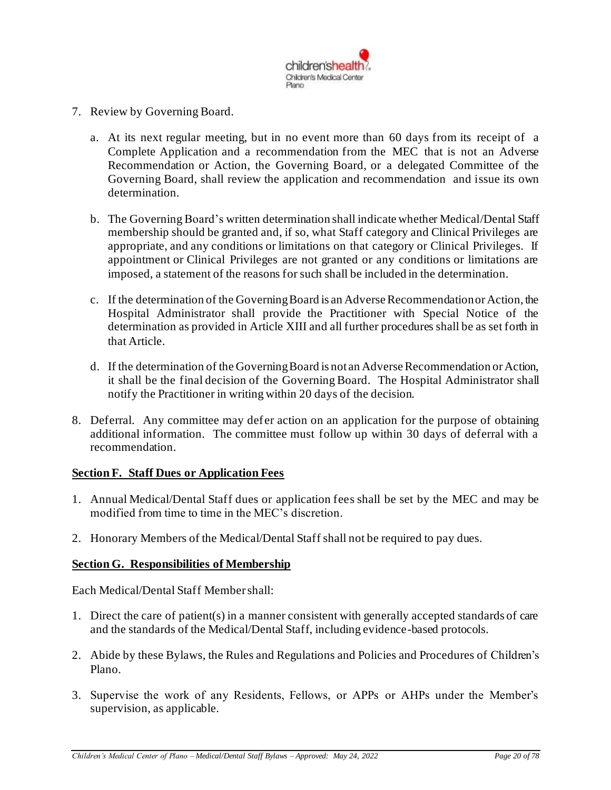

- 7. Review by Governing Board.
	- a. At its next regular meeting, but in no event more than 60 days from its receipt of a Complete Application and a recommendation from the MEC that is not an Adverse Recommendation or Action, the Governing Board, or a delegated Committee of the Governing Board, shall review the application and recommendation and issue its own determination.
	- b. The Governing Board's written determination shall indicate whether Medical/Dental Staff membership should be granted and, if so, what Staff category and Clinical Privileges are appropriate, and any conditions or limitations on that category or Clinical Privileges. If appointment or Clinical Privileges are not granted or any conditions or limitations are imposed, a statement of the reasons for such shall be included in the determination.
	- c. If the determination of the Governing Board is an Adverse Recommendation or Action, the Hospital Administrator shall provide the Practitioner with Special Notice of the determination as provided in Article XIII and all further procedures shall be as set forth in that Article.
	- d. If the determination of the Governing Board is not an Adverse Recommendation or Action, it shall be the final decision of the Governing Board. The Hospital Administrator shall notify the Practitioner in writing within 20 days of the decision.
- 8. Deferral. Any committee may defer action on an application for the purpose of obtaining additional information. The committee must follow up within 30 days of deferral with a recommendation.

#### <span id="page-19-0"></span>**Section F. Staff Dues or Application Fees**

- 1. Annual Medical/Dental Staff dues or application fees shall be set by the MEC and may be modified from time to time in the MEC's discretion.
- 2. Honorary Members of the Medical/Dental Staff shall not be required to pay dues.

#### <span id="page-19-1"></span>**Section G. Responsibilities of Membership**

Each Medical/Dental Staff Member shall:

- 1. Direct the care of patient(s) in a manner consistent with generally accepted standards of care and the standards of the Medical/Dental Staff, including evidence-based protocols.
- 2. Abide by these Bylaws, the Rules and Regulations and Policies and Procedures of Children's Plano.
- 3. Supervise the work of any Residents, Fellows, or APPs or AHPs under the Member's supervision, as applicable.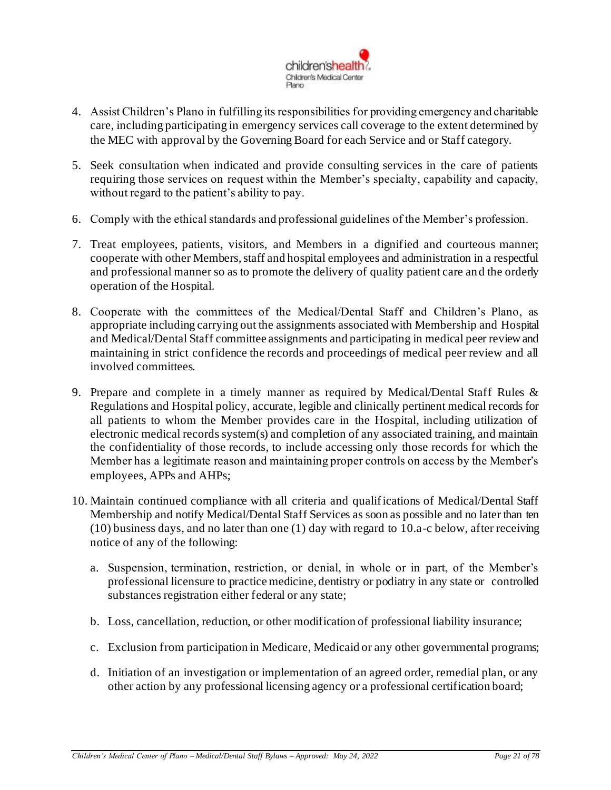

- 4. Assist Children's Plano in fulfilling its responsibilities for providing emergency and charitable care, including participating in emergency services call coverage to the extent determined by the MEC with approval by the Governing Board for each Service and or Staff category.
- 5. Seek consultation when indicated and provide consulting services in the care of patients requiring those services on request within the Member's specialty, capability and capacity, without regard to the patient's ability to pay.
- 6. Comply with the ethical standards and professional guidelines of the Member's profession.
- 7. Treat employees, patients, visitors, and Members in a dignified and courteous manner; cooperate with other Members, staff and hospital employees and administration in a respectful and professional manner so as to promote the delivery of quality patient care and the orderly operation of the Hospital.
- 8. Cooperate with the committees of the Medical/Dental Staff and Children's Plano, as appropriate including carrying out the assignments associated with Membership and Hospital and Medical/Dental Staff committee assignments and participating in medical peer review and maintaining in strict confidence the records and proceedings of medical peer review and all involved committees.
- 9. Prepare and complete in a timely manner as required by Medical/Dental Staff Rules & Regulations and Hospital policy, accurate, legible and clinically pertinent medical records for all patients to whom the Member provides care in the Hospital, including utilization of electronic medical records system(s) and completion of any associated training, and maintain the confidentiality of those records, to include accessing only those records for which the Member has a legitimate reason and maintaining proper controls on access by the Member's employees, APPs and AHPs;
- 10. Maintain continued compliance with all criteria and qualifications of Medical/Dental Staff Membership and notify Medical/Dental Staff Services as soon as possible and no later than ten (10) business days, and no later than one (1) day with regard to 10.a-c below, after receiving notice of any of the following:
	- a. Suspension, termination, restriction, or denial, in whole or in part, of the Member's professional licensure to practice medicine, dentistry or podiatry in any state or controlled substances registration either federal or any state;
	- b. Loss, cancellation, reduction, or other modification of professional liability insurance;
	- c. Exclusion from participation in Medicare, Medicaid or any other governmental programs;
	- d. Initiation of an investigation or implementation of an agreed order, remedial plan, or any other action by any professional licensing agency or a professional certification board;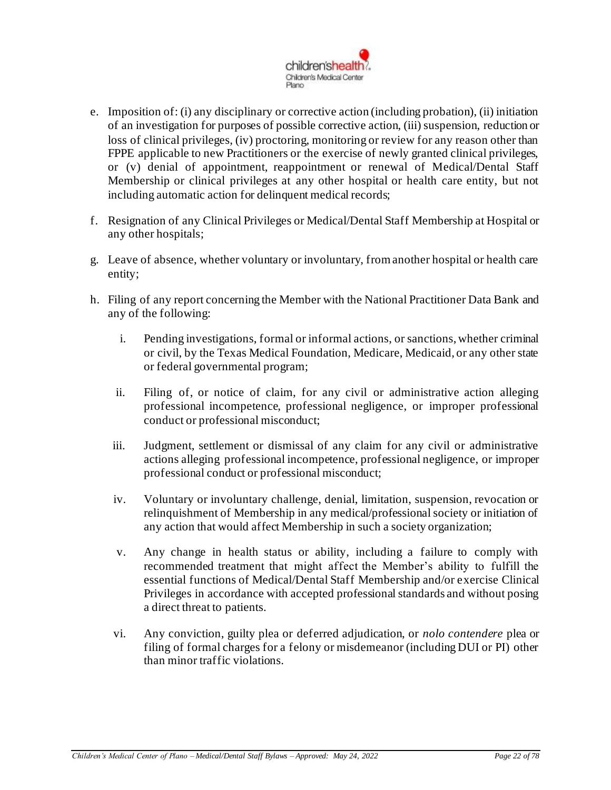

- e. Imposition of: (i) any disciplinary or corrective action (including probation), (ii) initiation of an investigation for purposes of possible corrective action, (iii) suspension, reduction or loss of clinical privileges, (iv) proctoring, monitoring or review for any reason other than FPPE applicable to new Practitioners or the exercise of newly granted clinical privileges, or (v) denial of appointment, reappointment or renewal of Medical/Dental Staff Membership or clinical privileges at any other hospital or health care entity, but not including automatic action for delinquent medical records;
- f. Resignation of any Clinical Privileges or Medical/Dental Staff Membership at Hospital or any other hospitals;
- g. Leave of absence, whether voluntary or involuntary, from another hospital or health care entity;
- h. Filing of any report concerning the Member with the National Practitioner Data Bank and any of the following:
	- i. Pending investigations, formal or informal actions, or sanctions, whether criminal or civil, by the Texas Medical Foundation, Medicare, Medicaid, or any other state or federal governmental program;
	- ii. Filing of, or notice of claim, for any civil or administrative action alleging professional incompetence, professional negligence, or improper professional conduct or professional misconduct;
	- iii. Judgment, settlement or dismissal of any claim for any civil or administrative actions alleging professional incompetence, professional negligence, or improper professional conduct or professional misconduct;
	- iv. Voluntary or involuntary challenge, denial, limitation, suspension, revocation or relinquishment of Membership in any medical/professional society or initiation of any action that would affect Membership in such a society organization;
	- v. Any change in health status or ability, including a failure to comply with recommended treatment that might affect the Member's ability to fulfill the essential functions of Medical/Dental Staff Membership and/or exercise Clinical Privileges in accordance with accepted professional standards and without posing a direct threat to patients.
	- vi. Any conviction, guilty plea or deferred adjudication, or *nolo contendere* plea or filing of formal charges for a felony or misdemeanor (including DUI or PI) other than minor traffic violations.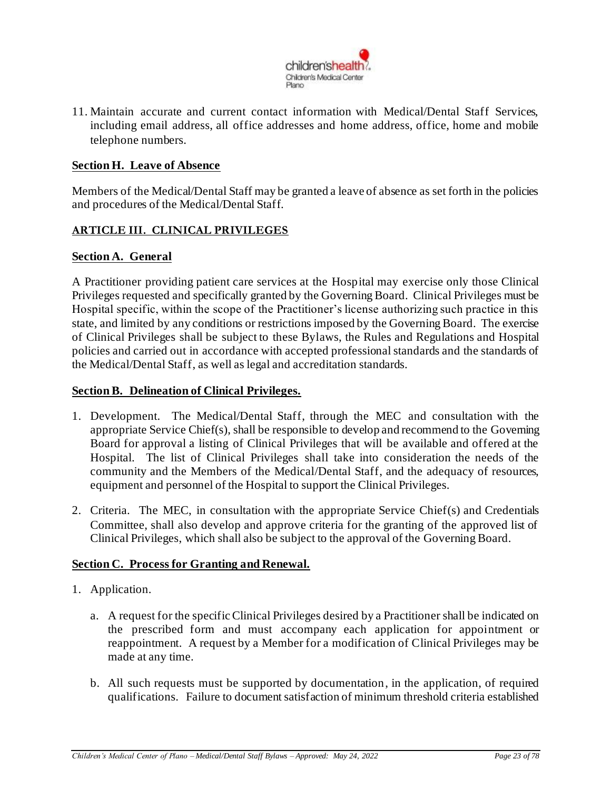

11. Maintain accurate and current contact information with Medical/Dental Staff Services, including email address, all office addresses and home address, office, home and mobile telephone numbers.

#### <span id="page-22-0"></span>**Section H. Leave of Absence**

Members of the Medical/Dental Staff may be granted a leave of absence as set forth in the policies and procedures of the Medical/Dental Staff.

#### <span id="page-22-1"></span>**ARTICLE III. CLINICAL PRIVILEGES**

#### <span id="page-22-2"></span>**Section A. General**

A Practitioner providing patient care services at the Hospital may exercise only those Clinical Privileges requested and specifically granted by the Governing Board. Clinical Privileges must be Hospital specific, within the scope of the Practitioner's license authorizing such practice in this state, and limited by any conditions or restrictions imposed by the Governing Board. The exercise of Clinical Privileges shall be subject to these Bylaws, the Rules and Regulations and Hospital policies and carried out in accordance with accepted professional standards and the standards of the Medical/Dental Staff, as well as legal and accreditation standards.

#### <span id="page-22-3"></span>**Section B. Delineation of Clinical Privileges.**

- 1. Development. The Medical/Dental Staff, through the MEC and consultation with the appropriate Service Chief(s), shall be responsible to develop and recommend to the Governing Board for approval a listing of Clinical Privileges that will be available and offered at the Hospital. The list of Clinical Privileges shall take into consideration the needs of the community and the Members of the Medical/Dental Staff, and the adequacy of resources, equipment and personnel of the Hospital to support the Clinical Privileges.
- 2. Criteria. The MEC, in consultation with the appropriate Service Chief(s) and Credentials Committee, shall also develop and approve criteria for the granting of the approved list of Clinical Privileges, which shall also be subject to the approval of the Governing Board.

#### <span id="page-22-4"></span>**Section C. Process for Granting and Renewal.**

- 1. Application.
	- a. A request for the specific Clinical Privileges desired by a Practitioner shall be indicated on the prescribed form and must accompany each application for appointment or reappointment. A request by a Member for a modification of Clinical Privileges may be made at any time.
	- b. All such requests must be supported by documentation, in the application, of required qualifications. Failure to document satisfaction of minimum threshold criteria established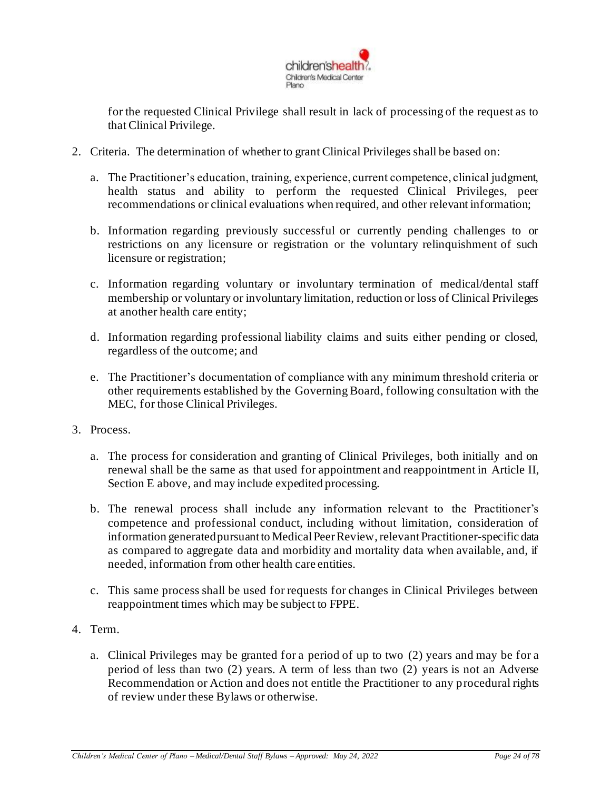

for the requested Clinical Privilege shall result in lack of processing of the request as to that Clinical Privilege.

- 2. Criteria. The determination of whether to grant Clinical Privileges shall be based on:
	- a. The Practitioner's education, training, experience, current competence, clinical judgment, health status and ability to perform the requested Clinical Privileges, peer recommendations or clinical evaluations when required, and other relevant information;
	- b. Information regarding previously successful or currently pending challenges to or restrictions on any licensure or registration or the voluntary relinquishment of such licensure or registration;
	- c. Information regarding voluntary or involuntary termination of medical/dental staff membership or voluntary or involuntary limitation, reduction or loss of Clinical Privileges at another health care entity;
	- d. Information regarding professional liability claims and suits either pending or closed, regardless of the outcome; and
	- e. The Practitioner's documentation of compliance with any minimum threshold criteria or other requirements established by the Governing Board, following consultation with the MEC, for those Clinical Privileges.
- 3. Process.
	- a. The process for consideration and granting of Clinical Privileges, both initially and on renewal shall be the same as that used for appointment and reappointment in Article II, Section E above, and may include expedited processing.
	- b. The renewal process shall include any information relevant to the Practitioner's competence and professional conduct, including without limitation, consideration of information generated pursuant to Medical Peer Review, relevant Practitioner-specific data as compared to aggregate data and morbidity and mortality data when available, and, if needed, information from other health care entities.
	- c. This same process shall be used for requests for changes in Clinical Privileges between reappointment times which may be subject to FPPE.
- 4. Term.
	- a. Clinical Privileges may be granted for a period of up to two (2) years and may be for a period of less than two (2) years. A term of less than two (2) years is not an Adverse Recommendation or Action and does not entitle the Practitioner to any procedural rights of review under these Bylaws or otherwise.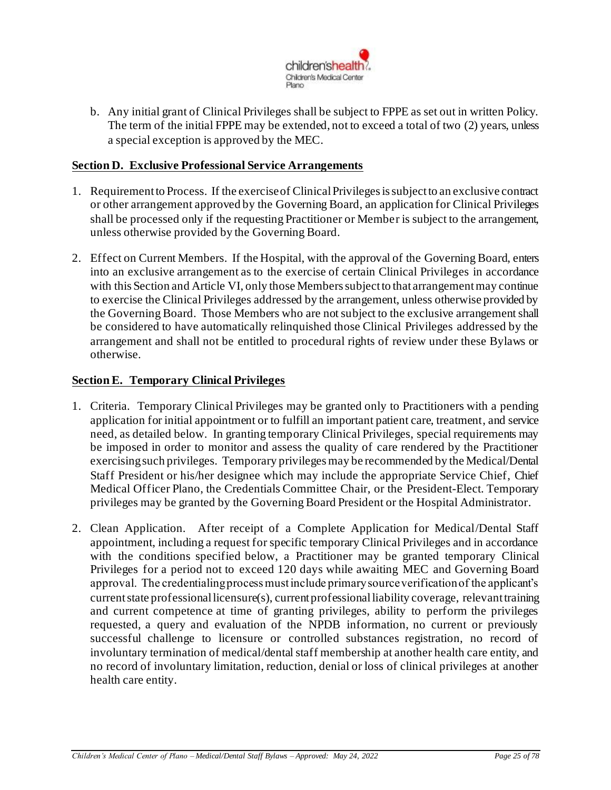

b. Any initial grant of Clinical Privileges shall be subject to FPPE as set out in written Policy. The term of the initial FPPE may be extended, not to exceed a total of two (2) years, unless a special exception is approved by the MEC.

#### <span id="page-24-0"></span>**Section D. Exclusive Professional Service Arrangements**

- 1. Requirement to Process. If the exercise of Clinical Privileges is subject to an exclusive contract or other arrangement approved by the Governing Board, an application for Clinical Privileges shall be processed only if the requesting Practitioner or Member is subject to the arrangement, unless otherwise provided by the Governing Board.
- 2. Effect on Current Members. If the Hospital, with the approval of the Governing Board, enters into an exclusive arrangement as to the exercise of certain Clinical Privileges in accordance with this Section and Article VI, only those Members subject to that arrangement may continue to exercise the Clinical Privileges addressed by the arrangement, unless otherwise provided by the Governing Board. Those Members who are not subject to the exclusive arrangement shall be considered to have automatically relinquished those Clinical Privileges addressed by the arrangement and shall not be entitled to procedural rights of review under these Bylaws or otherwise.

#### <span id="page-24-1"></span>**Section E. Temporary Clinical Privileges**

- 1. Criteria. Temporary Clinical Privileges may be granted only to Practitioners with a pending application for initial appointment or to fulfill an important patient care, treatment, and service need, as detailed below. In granting temporary Clinical Privileges, special requirements may be imposed in order to monitor and assess the quality of care rendered by the Practitioner exercising such privileges. Temporary privileges may be recommended by the Medical/Dental Staff President or his/her designee which may include the appropriate Service Chief, Chief Medical Officer Plano, the Credentials Committee Chair, or the President-Elect. Temporary privileges may be granted by the Governing Board President or the Hospital Administrator.
- 2. Clean Application. After receipt of a Complete Application for Medical/Dental Staff appointment, including a request for specific temporary Clinical Privileges and in accordance with the conditions specified below, a Practitioner may be granted temporary Clinical Privileges for a period not to exceed 120 days while awaiting MEC and Governing Board approval. The credentialing process must include primary source verification of the applicant's current state professional licensure(s), current professional liability coverage, relevant training and current competence at time of granting privileges, ability to perform the privileges requested, a query and evaluation of the NPDB information, no current or previously successful challenge to licensure or controlled substances registration, no record of involuntary termination of medical/dental staff membership at another health care entity, and no record of involuntary limitation, reduction, denial or loss of clinical privileges at another health care entity.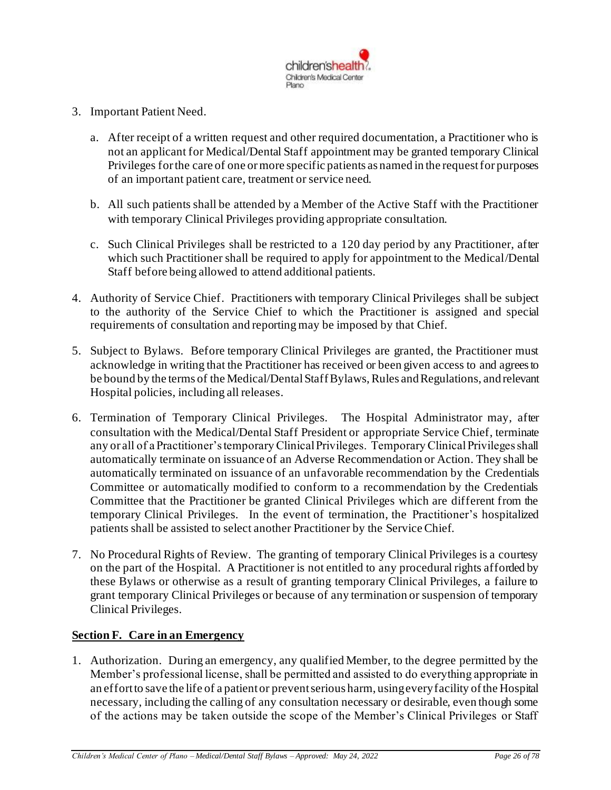

- 3. Important Patient Need.
	- a. After receipt of a written request and other required documentation, a Practitioner who is not an applicant for Medical/Dental Staff appointment may be granted temporary Clinical Privileges for the care of one or more specific patients as named in the request for purposes of an important patient care, treatment or service need.
	- b. All such patients shall be attended by a Member of the Active Staff with the Practitioner with temporary Clinical Privileges providing appropriate consultation.
	- c. Such Clinical Privileges shall be restricted to a 120 day period by any Practitioner, after which such Practitioner shall be required to apply for appointment to the Medical/Dental Staff before being allowed to attend additional patients.
- 4. Authority of Service Chief. Practitioners with temporary Clinical Privileges shall be subject to the authority of the Service Chief to which the Practitioner is assigned and special requirements of consultation and reporting may be imposed by that Chief.
- 5. Subject to Bylaws. Before temporary Clinical Privileges are granted, the Practitioner must acknowledge in writing that the Practitioner has received or been given access to and agrees to be bound by the terms of the Medical/DentalStaff Bylaws, Rules and Regulations, andrelevant Hospital policies, including all releases.
- 6. Termination of Temporary Clinical Privileges. The Hospital Administrator may, after consultation with the Medical/Dental Staff President or appropriate Service Chief, terminate any or all of a Practitioner's temporary Clinical Privileges. Temporary Clinical Privileges shall automatically terminate on issuance of an Adverse Recommendation or Action. They shall be automatically terminated on issuance of an unfavorable recommendation by the Credentials Committee or automatically modified to conform to a recommendation by the Credentials Committee that the Practitioner be granted Clinical Privileges which are different from the temporary Clinical Privileges. In the event of termination, the Practitioner's hospitalized patients shall be assisted to select another Practitioner by the Service Chief.
- 7. No Procedural Rights of Review. The granting of temporary Clinical Privileges is a courtesy on the part of the Hospital. A Practitioner is not entitled to any procedural rights afforded by these Bylaws or otherwise as a result of granting temporary Clinical Privileges, a failure to grant temporary Clinical Privileges or because of any termination or suspension of temporary Clinical Privileges.

#### <span id="page-25-0"></span>**Section F. Care in an Emergency**

1. Authorization. During an emergency, any qualified Member, to the degree permitted by the Member's professional license, shall be permitted and assisted to do everything appropriate in an effort to save the life of a patient or prevent serious harm, using every facility of the Hospital necessary, including the calling of any consultation necessary or desirable, even though some of the actions may be taken outside the scope of the Member's Clinical Privileges or Staff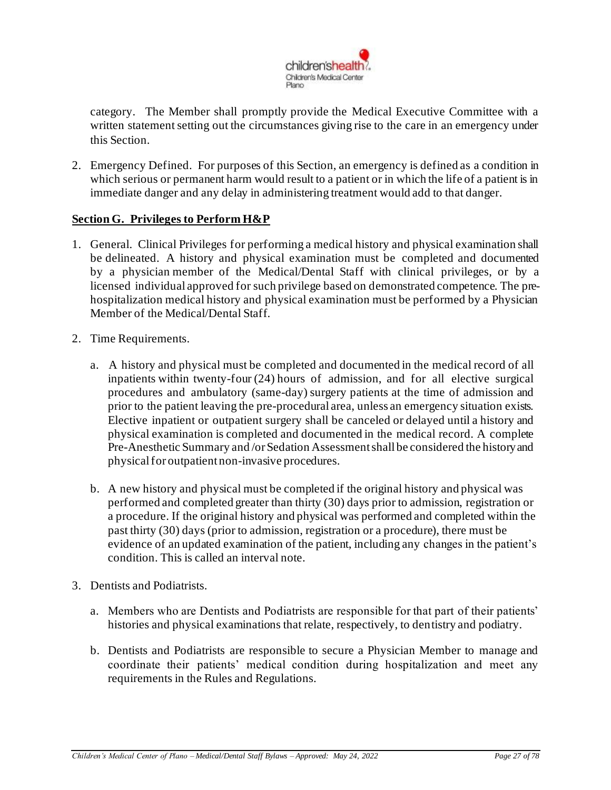

category. The Member shall promptly provide the Medical Executive Committee with a written statement setting out the circumstances giving rise to the care in an emergency under this Section.

2. Emergency Defined. For purposes of this Section, an emergency is defined as a condition in which serious or permanent harm would result to a patient or in which the life of a patient is in immediate danger and any delay in administering treatment would add to that danger.

## <span id="page-26-0"></span>**Section G. Privileges to Perform H&P**

- 1. General. Clinical Privileges for performing a medical history and physical examination shall be delineated. A history and physical examination must be completed and documented by a physician member of the Medical/Dental Staff with clinical privileges, or by a licensed individual approved for such privilege based on demonstrated competence. The prehospitalization medical history and physical examination must be performed by a Physician Member of the Medical/Dental Staff.
- 2. Time Requirements.
	- a. A history and physical must be completed and documented in the medical record of all inpatients within twenty-four (24) hours of admission, and for all elective surgical procedures and ambulatory (same-day) surgery patients at the time of admission and prior to the patient leaving the pre-procedural area, unless an emergency situation exists. Elective inpatient or outpatient surgery shall be canceled or delayed until a history and physical examination is completed and documented in the medical record. A complete Pre-Anesthetic Summary and /orSedation Assessmentshall be considered the historyand physical for outpatient non-invasive procedures.
	- b. A new history and physical must be completed if the original history and physical was performed and completed greater than thirty (30) days prior to admission, registration or a procedure. If the original history and physical was performed and completed within the past thirty (30) days (prior to admission, registration or a procedure), there must be evidence of an updated examination of the patient, including any changes in the patient's condition. This is called an interval note.
- 3. Dentists and Podiatrists.
	- a. Members who are Dentists and Podiatrists are responsible for that part of their patients' histories and physical examinations that relate, respectively, to dentistry and podiatry.
	- b. Dentists and Podiatrists are responsible to secure a Physician Member to manage and coordinate their patients' medical condition during hospitalization and meet any requirements in the Rules and Regulations.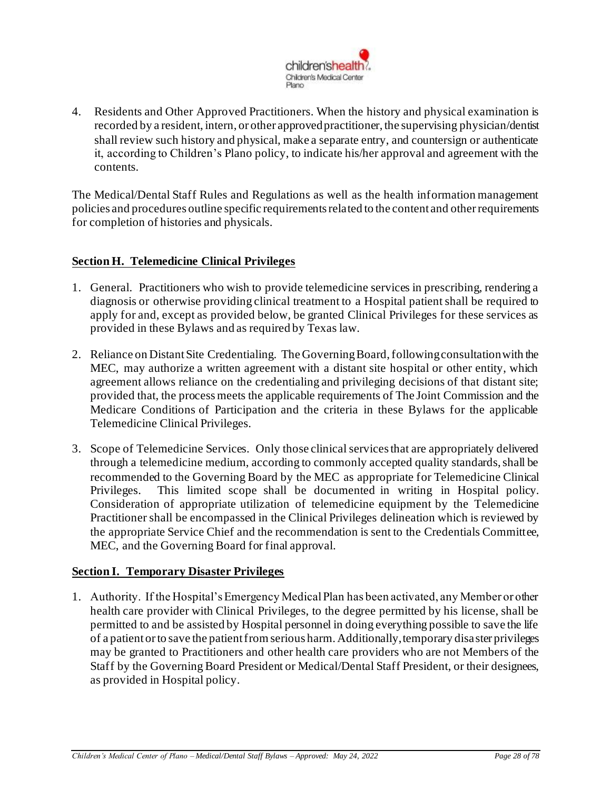

4. Residents and Other Approved Practitioners. When the history and physical examination is recorded by a resident, intern, or other approved practitioner, the supervising physician/dentist shall review such history and physical, make a separate entry, and countersign or authenticate it, according to Children's Plano policy, to indicate his/her approval and agreement with the contents.

The Medical/Dental Staff Rules and Regulations as well as the health information management policies and procedures outline specific requirements related to the content and other requirements for completion of histories and physicals.

## <span id="page-27-0"></span>**Section H. Telemedicine Clinical Privileges**

- 1. General. Practitioners who wish to provide telemedicine services in prescribing, rendering a diagnosis or otherwise providing clinical treatment to a Hospital patient shall be required to apply for and, except as provided below, be granted Clinical Privileges for these services as provided in these Bylaws and as required by Texas law.
- 2. Reliance on Distant Site Credentialing. The Governing Board, following consultation with the MEC, may authorize a written agreement with a distant site hospital or other entity, which agreement allows reliance on the credentialing and privileging decisions of that distant site; provided that, the process meets the applicable requirements of The Joint Commission and the Medicare Conditions of Participation and the criteria in these Bylaws for the applicable Telemedicine Clinical Privileges.
- 3. Scope of Telemedicine Services. Only those clinical services that are appropriately delivered through a telemedicine medium, according to commonly accepted quality standards, shall be recommended to the Governing Board by the MEC as appropriate for Telemedicine Clinical Privileges. This limited scope shall be documented in writing in Hospital policy. Consideration of appropriate utilization of telemedicine equipment by the Telemedicine Practitioner shall be encompassed in the Clinical Privileges delineation which is reviewed by the appropriate Service Chief and the recommendation is sent to the Credentials Committee, MEC, and the Governing Board for final approval.

## <span id="page-27-1"></span>**Section I. Temporary Disaster Privileges**

1. Authority. If the Hospital's Emergency Medical Plan has been activated, any Member or other health care provider with Clinical Privileges, to the degree permitted by his license, shall be permitted to and be assisted by Hospital personnel in doing everything possible to save the life of a patient or to save the patient from serious harm. Additionally, temporary disaster privileges may be granted to Practitioners and other health care providers who are not Members of the Staff by the Governing Board President or Medical/Dental Staff President, or their designees, as provided in Hospital policy.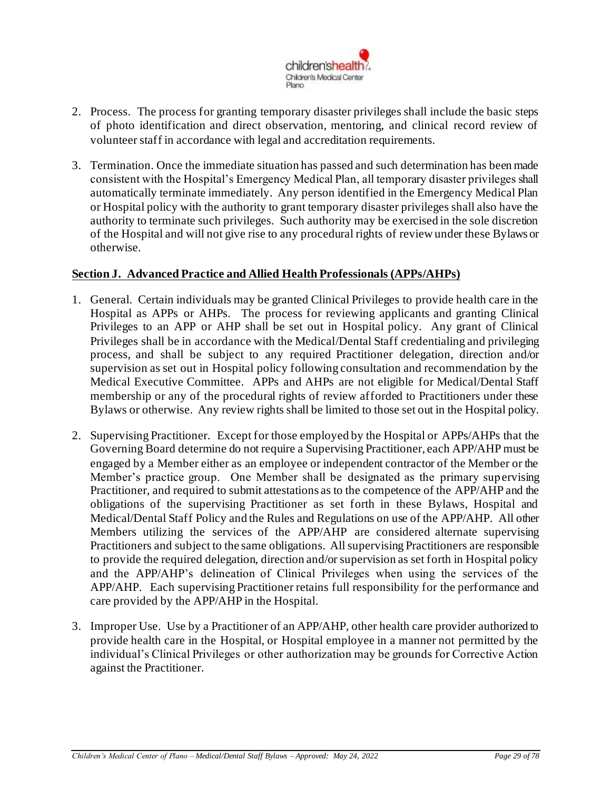

- 2. Process. The process for granting temporary disaster privileges shall include the basic steps of photo identification and direct observation, mentoring, and clinical record review of volunteer staff in accordance with legal and accreditation requirements.
- 3. Termination. Once the immediate situation has passed and such determination has been made consistent with the Hospital's Emergency Medical Plan, all temporary disaster privileges shall automatically terminate immediately. Any person identified in the Emergency Medical Plan or Hospital policy with the authority to grant temporary disaster privileges shall also have the authority to terminate such privileges. Such authority may be exercised in the sole discretion of the Hospital and will not give rise to any procedural rights of review under these Bylaws or otherwise.

## <span id="page-28-0"></span>**Section J. Advanced Practice and Allied Health Professionals (APPs/AHPs)**

- 1. General. Certain individuals may be granted Clinical Privileges to provide health care in the Hospital as APPs or AHPs. The process for reviewing applicants and granting Clinical Privileges to an APP or AHP shall be set out in Hospital policy. Any grant of Clinical Privileges shall be in accordance with the Medical/Dental Staff credentialing and privileging process, and shall be subject to any required Practitioner delegation, direction and/or supervision as set out in Hospital policy following consultation and recommendation by the Medical Executive Committee. APPs and AHPs are not eligible for Medical/Dental Staff membership or any of the procedural rights of review afforded to Practitioners under these Bylaws or otherwise. Any review rights shall be limited to those set out in the Hospital policy.
- 2. Supervising Practitioner. Except for those employed by the Hospital or APPs/AHPs that the Governing Board determine do not require a Supervising Practitioner, each APP/AHP must be engaged by a Member either as an employee or independent contractor of the Member or the Member's practice group. One Member shall be designated as the primary supervising Practitioner, and required to submit attestations as to the competence of the APP/AHP and the obligations of the supervising Practitioner as set forth in these Bylaws, Hospital and Medical/Dental Staff Policy and the Rules and Regulations on use of the APP/AHP. All other Members utilizing the services of the APP/AHP are considered alternate supervising Practitioners and subject to the same obligations. All supervising Practitioners are responsible to provide the required delegation, direction and/or supervision as set forth in Hospital policy and the APP/AHP's delineation of Clinical Privileges when using the services of the APP/AHP. Each supervising Practitioner retains full responsibility for the performance and care provided by the APP/AHP in the Hospital.
- 3. Improper Use. Use by a Practitioner of an APP/AHP, other health care provider authorized to provide health care in the Hospital, or Hospital employee in a manner not permitted by the individual's Clinical Privileges or other authorization may be grounds for Corrective Action against the Practitioner.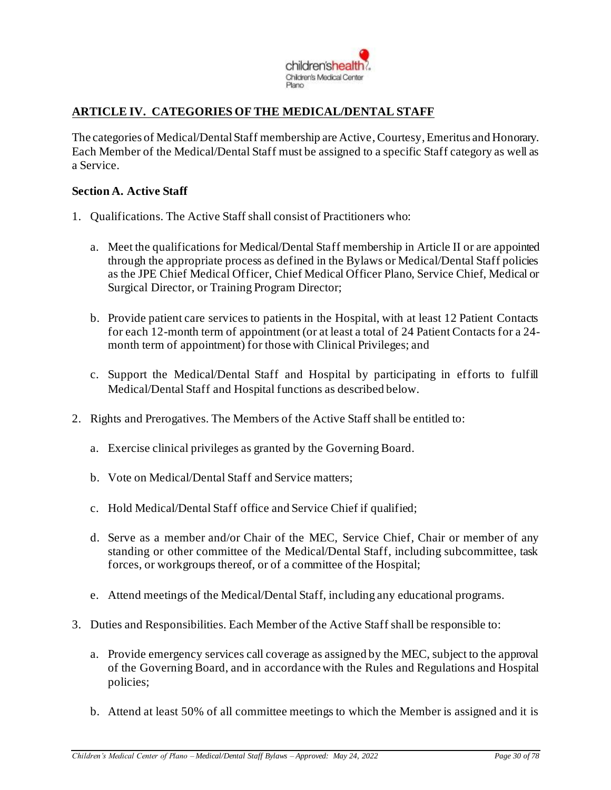

# <span id="page-29-0"></span>**ARTICLE IV. CATEGORIES OF THE MEDICAL/DENTAL STAFF**

The categories of Medical/Dental Staff membership are Active, Courtesy, Emeritus and Honorary. Each Member of the Medical/Dental Staff must be assigned to a specific Staff category as well as a Service.

#### **Section A. Active Staff**

- 1. Qualifications. The Active Staff shall consist of Practitioners who:
	- a. Meet the qualifications for Medical/Dental Staff membership in Article II or are appointed through the appropriate process as defined in the Bylaws or Medical/Dental Staff policies as the JPE Chief Medical Officer, Chief Medical Officer Plano, Service Chief, Medical or Surgical Director, or Training Program Director;
	- b. Provide patient care services to patients in the Hospital, with at least 12 Patient Contacts for each 12-month term of appointment (or at least a total of 24 Patient Contacts for a 24 month term of appointment) for those with Clinical Privileges; and
	- c. Support the Medical/Dental Staff and Hospital by participating in efforts to fulfill Medical/Dental Staff and Hospital functions as described below.
- 2. Rights and Prerogatives. The Members of the Active Staff shall be entitled to:
	- a. Exercise clinical privileges as granted by the Governing Board.
	- b. Vote on Medical/Dental Staff and Service matters;
	- c. Hold Medical/Dental Staff office and Service Chief if qualified;
	- d. Serve as a member and/or Chair of the MEC, Service Chief, Chair or member of any standing or other committee of the Medical/Dental Staff, including subcommittee, task forces, or workgroups thereof, or of a committee of the Hospital;
	- e. Attend meetings of the Medical/Dental Staff, including any educational programs.
- 3. Duties and Responsibilities. Each Member of the Active Staff shall be responsible to:
	- a. Provide emergency services call coverage as assigned by the MEC, subject to the approval of the Governing Board, and in accordance with the Rules and Regulations and Hospital policies;
	- b. Attend at least 50% of all committee meetings to which the Member is assigned and it is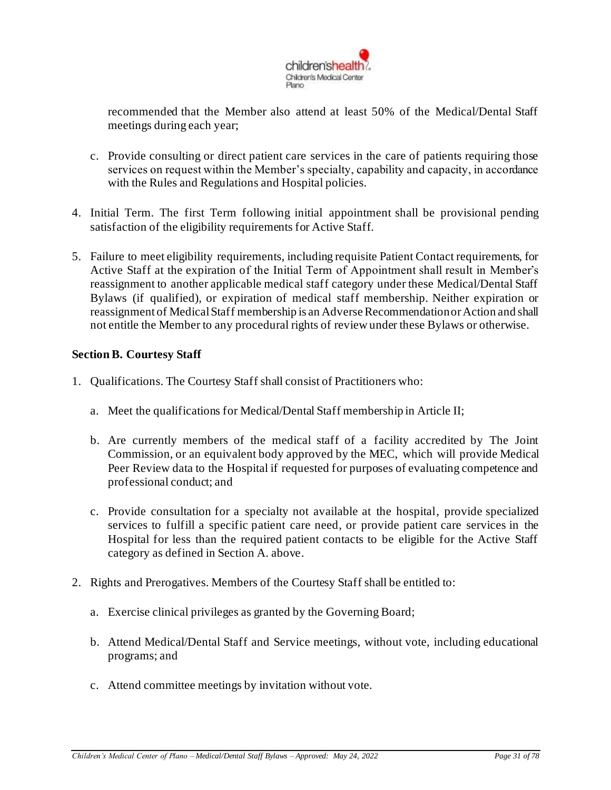

recommended that the Member also attend at least 50% of the Medical/Dental Staff meetings during each year;

- c. Provide consulting or direct patient care services in the care of patients requiring those services on request within the Member's specialty, capability and capacity, in accordance with the Rules and Regulations and Hospital policies.
- 4. Initial Term. The first Term following initial appointment shall be provisional pending satisfaction of the eligibility requirements for Active Staff.
- 5. Failure to meet eligibility requirements, including requisite Patient Contact requirements, for Active Staff at the expiration of the Initial Term of Appointment shall result in Member's reassignment to another applicable medical staff category under these Medical/Dental Staff Bylaws (if qualified), or expiration of medical staff membership. Neither expiration or reassignment of Medical Staff membership is an Adverse Recommendation or Action and shall not entitle the Member to any procedural rights of review under these Bylaws or otherwise.

#### **Section B. Courtesy Staff**

- 1. Qualifications. The Courtesy Staff shall consist of Practitioners who:
	- a. Meet the qualifications for Medical/Dental Staff membership in Article II;
	- b. Are currently members of the medical staff of a facility accredited by The Joint Commission, or an equivalent body approved by the MEC, which will provide Medical Peer Review data to the Hospital if requested for purposes of evaluating competence and professional conduct; and
	- c. Provide consultation for a specialty not available at the hospital, provide specialized services to fulfill a specific patient care need, or provide patient care services in the Hospital for less than the required patient contacts to be eligible for the Active Staff category as defined in Section A. above.
- 2. Rights and Prerogatives. Members of the Courtesy Staff shall be entitled to:
	- a. Exercise clinical privileges as granted by the Governing Board;
	- b. Attend Medical/Dental Staff and Service meetings, without vote, including educational programs; and
	- c. Attend committee meetings by invitation without vote.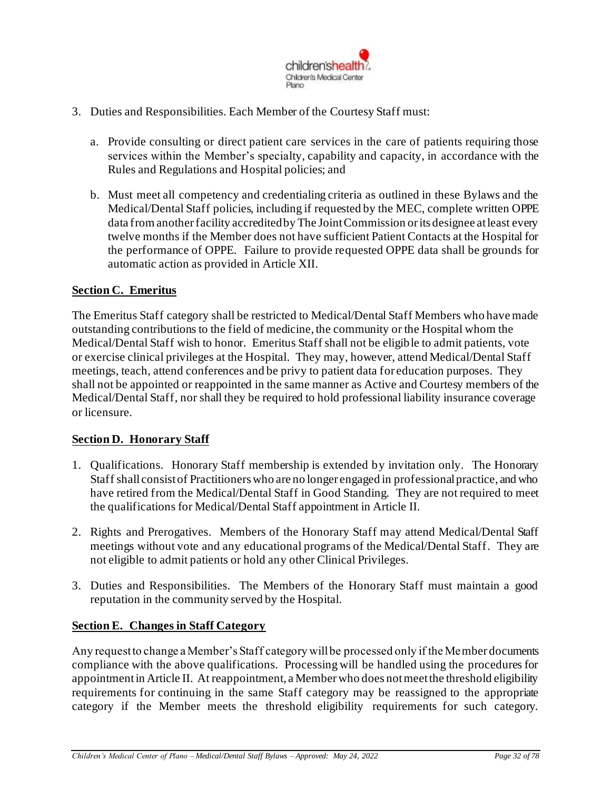

- 3. Duties and Responsibilities. Each Member of the Courtesy Staff must:
	- a. Provide consulting or direct patient care services in the care of patients requiring those services within the Member's specialty, capability and capacity, in accordance with the Rules and Regulations and Hospital policies; and
	- b. Must meet all competency and credentialing criteria as outlined in these Bylaws and the Medical/Dental Staff policies, including if requested by the MEC, complete written OPPE data from another facility accredited by The Joint Commission or its designee at least every twelve months if the Member does not have sufficient Patient Contacts at the Hospital for the performance of OPPE. Failure to provide requested OPPE data shall be grounds for automatic action as provided in Article XII.

#### <span id="page-31-0"></span>**Section C. Emeritus**

The Emeritus Staff category shall be restricted to Medical/Dental Staff Members who have made outstanding contributions to the field of medicine, the community or the Hospital whom the Medical/Dental Staff wish to honor. Emeritus Staff shall not be eligible to admit patients, vote or exercise clinical privileges at the Hospital. They may, however, attend Medical/Dental Staff meetings, teach, attend conferences and be privy to patient data for education purposes. They shall not be appointed or reappointed in the same manner as Active and Courtesy members of the Medical/Dental Staff, nor shall they be required to hold professional liability insurance coverage or licensure.

#### **Section D. Honorary Staff**

- 1. Qualifications. Honorary Staff membership is extended by invitation only. The Honorary Staff shall consist of Practitioners who are no longer engaged in professional practice, and who have retired from the Medical/Dental Staff in Good Standing. They are not required to meet the qualifications for Medical/Dental Staff appointment in Article II.
- 2. Rights and Prerogatives. Members of the Honorary Staff may attend Medical/Dental Staff meetings without vote and any educational programs of the Medical/Dental Staff. They are not eligible to admit patients or hold any other Clinical Privileges.
- 3. Duties and Responsibilities. The Members of the Honorary Staff must maintain a good reputation in the community served by the Hospital.

#### <span id="page-31-1"></span>**Section E. Changes in Staff Category**

Any request to change a Member's Staff category will be processed only if the Member documents compliance with the above qualifications. Processing will be handled using the procedures for appointment in Article II. At reappointment, a Member who does not meet the threshold eligibility requirements for continuing in the same Staff category may be reassigned to the appropriate category if the Member meets the threshold eligibility requirements for such category.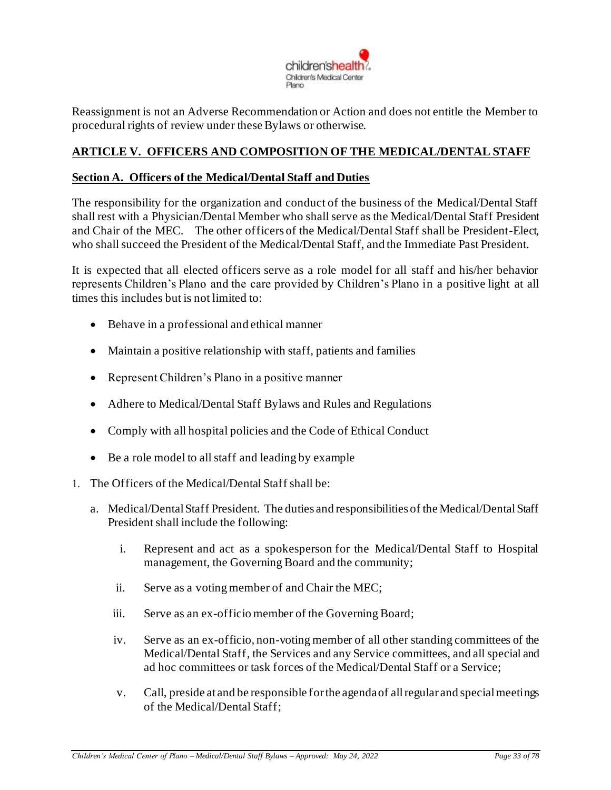

Reassignment is not an Adverse Recommendation or Action and does not entitle the Member to procedural rights of review under these Bylaws or otherwise.

## <span id="page-32-0"></span>**ARTICLE V. OFFICERS AND COMPOSITION OF THE MEDICAL/DENTAL STAFF**

#### <span id="page-32-1"></span>**Section A. Officers of the Medical/Dental Staff and Duties**

The responsibility for the organization and conduct of the business of the Medical/Dental Staff shall rest with a Physician/Dental Member who shall serve as the Medical/Dental Staff President and Chair of the MEC. The other officers of the Medical/Dental Staff shall be President-Elect, who shall succeed the President of the Medical/Dental Staff, and the Immediate Past President.

It is expected that all elected officers serve as a role model for all staff and his/her behavior represents Children's Plano and the care provided by Children's Plano in a positive light at all times this includes but is not limited to:

- Behave in a professional and ethical manner
- Maintain a positive relationship with staff, patients and families
- Represent Children's Plano in a positive manner
- Adhere to Medical/Dental Staff Bylaws and Rules and Regulations
- Comply with all hospital policies and the Code of Ethical Conduct
- Be a role model to all staff and leading by example
- 1. The Officers of the Medical/Dental Staff shall be:
	- a. Medical/Dental Staff President. The duties and responsibilities of the Medical/Dental Staff President shall include the following:
		- i. Represent and act as a spokesperson for the Medical/Dental Staff to Hospital management, the Governing Board and the community;
		- ii. Serve as a voting member of and Chair the MEC;
		- iii. Serve as an ex-officio member of the Governing Board;
		- iv. Serve as an ex-officio, non-voting member of all other standing committees of the Medical/Dental Staff, the Services and any Service committees, and all special and ad hoc committees or task forces of the Medical/Dental Staff or a Service;
		- v. Call, preside at and be responsible for the agenda of all regular and special meetings of the Medical/Dental Staff;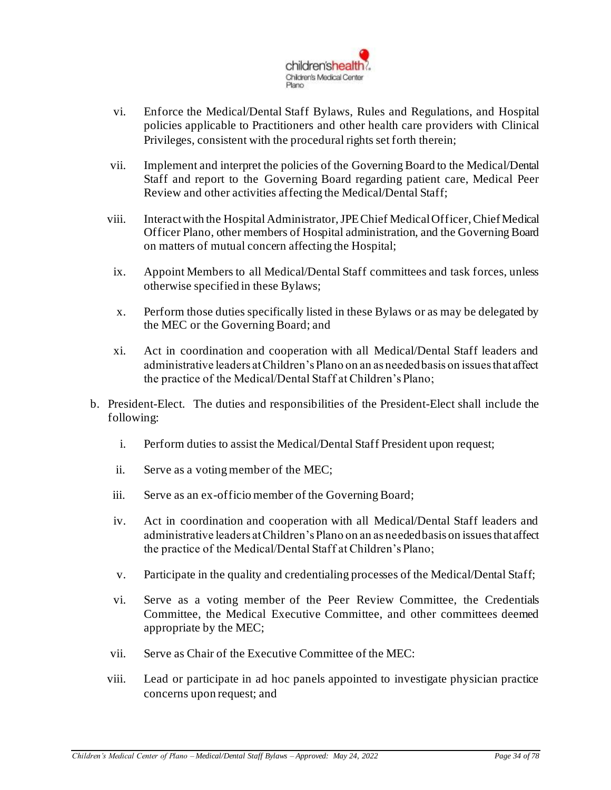

- vi. Enforce the Medical/Dental Staff Bylaws, Rules and Regulations, and Hospital policies applicable to Practitioners and other health care providers with Clinical Privileges, consistent with the procedural rights set forth therein;
- vii. Implement and interpret the policies of the Governing Board to the Medical/Dental Staff and report to the Governing Board regarding patient care, Medical Peer Review and other activities affecting the Medical/Dental Staff;
- viii. Interact with the Hospital Administrator, JPE Chief Medical Officer, Chief Medical Officer Plano, other members of Hospital administration, and the Governing Board on matters of mutual concern affecting the Hospital;
- ix. Appoint Members to all Medical/Dental Staff committees and task forces, unless otherwise specified in these Bylaws;
- x. Perform those duties specifically listed in these Bylaws or as may be delegated by the MEC or the Governing Board; and
- xi. Act in coordination and cooperation with all Medical/Dental Staff leaders and administrative leaders at Children's Plano on an as needed basis on issues that affect the practice of the Medical/Dental Staff at Children's Plano;
- b. President-Elect. The duties and responsibilities of the President-Elect shall include the following:
	- i. Perform duties to assist the Medical/Dental Staff President upon request;
	- ii. Serve as a voting member of the MEC;
	- iii. Serve as an ex-officio member of the Governing Board;
	- iv. Act in coordination and cooperation with all Medical/Dental Staff leaders and administrative leaders at Children's Plano on an as needed basis on issues that affect the practice of the Medical/Dental Staff at Children's Plano;
	- v. Participate in the quality and credentialing processes of the Medical/Dental Staff;
	- vi. Serve as a voting member of the Peer Review Committee, the Credentials Committee, the Medical Executive Committee, and other committees deemed appropriate by the MEC;
	- vii. Serve as Chair of the Executive Committee of the MEC:
	- viii. Lead or participate in ad hoc panels appointed to investigate physician practice concerns upon request; and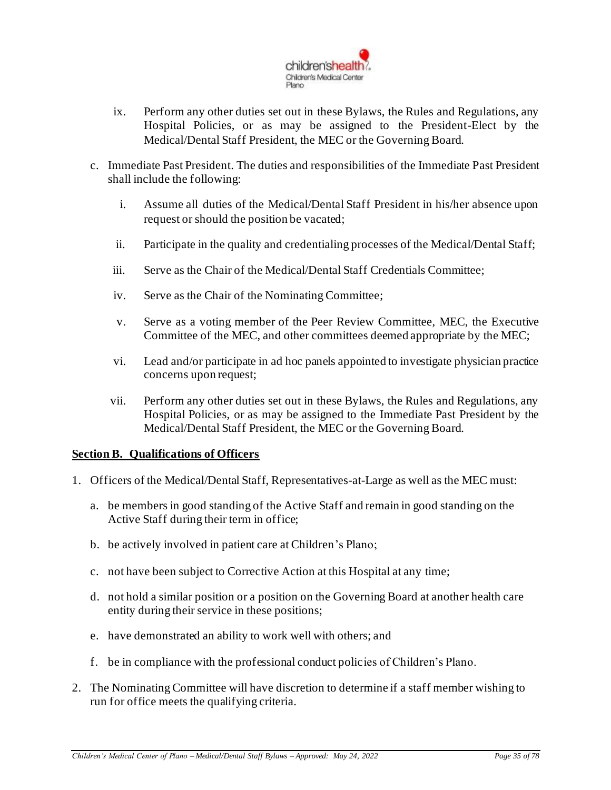

- ix. Perform any other duties set out in these Bylaws, the Rules and Regulations, any Hospital Policies, or as may be assigned to the President-Elect by the Medical/Dental Staff President, the MEC or the Governing Board.
- c. Immediate Past President. The duties and responsibilities of the Immediate Past President shall include the following:
	- i. Assume all duties of the Medical/Dental Staff President in his/her absence upon request or should the position be vacated;
	- ii. Participate in the quality and credentialing processes of the Medical/Dental Staff;
	- iii. Serve as the Chair of the Medical/Dental Staff Credentials Committee;
	- iv. Serve as the Chair of the Nominating Committee;
	- v. Serve as a voting member of the Peer Review Committee, MEC, the Executive Committee of the MEC, and other committees deemed appropriate by the MEC;
	- vi. Lead and/or participate in ad hoc panels appointed to investigate physician practice concerns upon request;
	- vii. Perform any other duties set out in these Bylaws, the Rules and Regulations, any Hospital Policies, or as may be assigned to the Immediate Past President by the Medical/Dental Staff President, the MEC or the Governing Board.

#### <span id="page-34-0"></span>**Section B. Qualifications of Officers**

- 1. Officers of the Medical/Dental Staff, Representatives-at-Large as well as the MEC must:
	- a. be members in good standing of the Active Staff and remain in good standing on the Active Staff during their term in office;
	- b. be actively involved in patient care at Children's Plano;
	- c. not have been subject to Corrective Action at this Hospital at any time;
	- d. not hold a similar position or a position on the Governing Board at another health care entity during their service in these positions;
	- e. have demonstrated an ability to work well with others; and
	- f. be in compliance with the professional conduct policies of Children's Plano.
- 2. The Nominating Committee will have discretion to determine if a staff member wishing to run for office meets the qualifying criteria.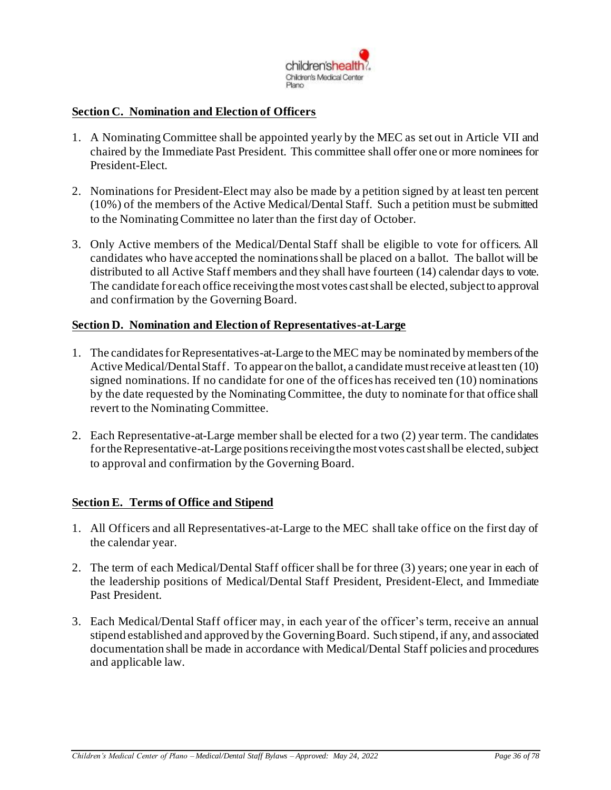

#### <span id="page-35-0"></span>**Section C. Nomination and Election of Officers**

- 1. A Nominating Committee shall be appointed yearly by the MEC as set out in Article VII and chaired by the Immediate Past President. This committee shall offer one or more nominees for President-Elect.
- 2. Nominations for President-Elect may also be made by a petition signed by at least ten percent (10%) of the members of the Active Medical/Dental Staff. Such a petition must be submitted to the Nominating Committee no later than the first day of October.
- 3. Only Active members of the Medical/Dental Staff shall be eligible to vote for officers. All candidates who have accepted the nominations shall be placed on a ballot. The ballot will be distributed to all Active Staff members and they shall have fourteen (14) calendar days to vote. The candidate for each office receiving the most votes cast shall be elected, subject to approval and confirmation by the Governing Board.

#### **Section D. Nomination and Election of Representatives-at-Large**

- 1. The candidates for Representatives-at-Large to the MEC may be nominated by members of the Active Medical/Dental Staff. To appear on the ballot, a candidate must receive at least ten (10) signed nominations. If no candidate for one of the offices has received ten (10) nominations by the date requested by the Nominating Committee, the duty to nominate for that office shall revert to the Nominating Committee.
- 2. Each Representative-at-Large member shall be elected for a two (2) year term. The candidates for the Representative-at-Large positions receiving the most votes cast shall be elected, subject to approval and confirmation by the Governing Board.

#### <span id="page-35-1"></span>**Section E. Terms of Office and Stipend**

- 1. All Officers and all Representatives-at-Large to the MEC shall take office on the first day of the calendar year.
- 2. The term of each Medical/Dental Staff officer shall be for three (3) years; one year in each of the leadership positions of Medical/Dental Staff President, President-Elect, and Immediate Past President.
- 3. Each Medical/Dental Staff officer may, in each year of the officer's term, receive an annual stipend established and approved by the GoverningBoard. Such stipend, if any, and associated documentation shall be made in accordance with Medical/Dental Staff policies and procedures and applicable law.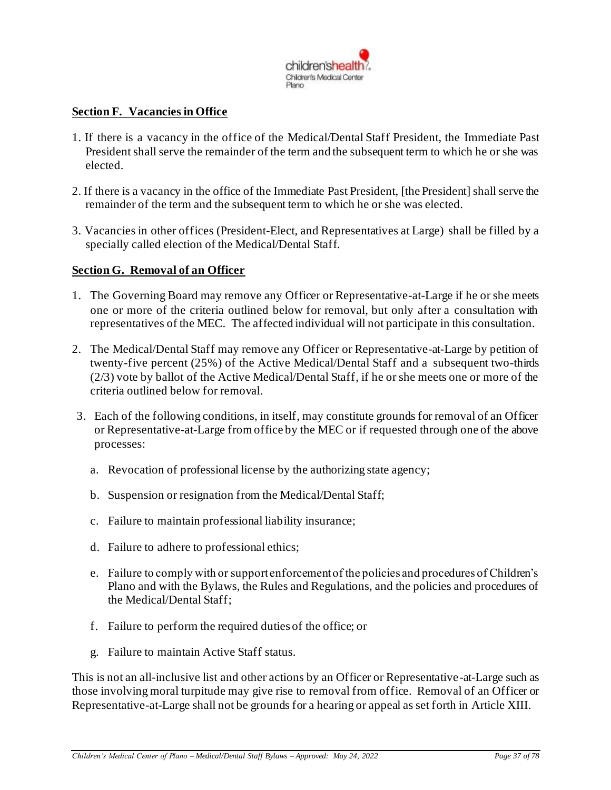

### **Section F. Vacancies in Office**

- 1. If there is a vacancy in the office of the Medical/Dental Staff President, the Immediate Past President shall serve the remainder of the term and the subsequent term to which he or she was elected.
- 2. If there is a vacancy in the office of the Immediate Past President, [the President] shall serve the remainder of the term and the subsequent term to which he or she was elected.
- 3. Vacancies in other offices (President-Elect, and Representatives at Large) shall be filled by a specially called election of the Medical/Dental Staff.

#### **Section G. Removal of an Officer**

- 1. The Governing Board may remove any Officer or Representative-at-Large if he or she meets one or more of the criteria outlined below for removal, but only after a consultation with representatives of the MEC. The affected individual will not participate in this consultation.
- 2. The Medical/Dental Staff may remove any Officer or Representative-at-Large by petition of twenty-five percent (25%) of the Active Medical/Dental Staff and a subsequent two-thirds (2/3) vote by ballot of the Active Medical/Dental Staff, if he or she meets one or more of the criteria outlined below for removal.
- 3. Each of the following conditions, in itself, may constitute grounds for removal of an Officer or Representative-at-Large from office by the MEC or if requested through one of the above processes:
	- a. Revocation of professional license by the authorizing state agency;
	- b. Suspension or resignation from the Medical/Dental Staff;
	- c. Failure to maintain professional liability insurance;
	- d. Failure to adhere to professional ethics;
	- e. Failure to comply with or support enforcement of the policies and procedures of Children's Plano and with the Bylaws, the Rules and Regulations, and the policies and procedures of the Medical/Dental Staff;
	- f. Failure to perform the required duties of the office; or
	- g. Failure to maintain Active Staff status.

This is not an all-inclusive list and other actions by an Officer or Representative-at-Large such as those involving moral turpitude may give rise to removal from office. Removal of an Officer or Representative-at-Large shall not be grounds for a hearing or appeal as set forth in Article XIII.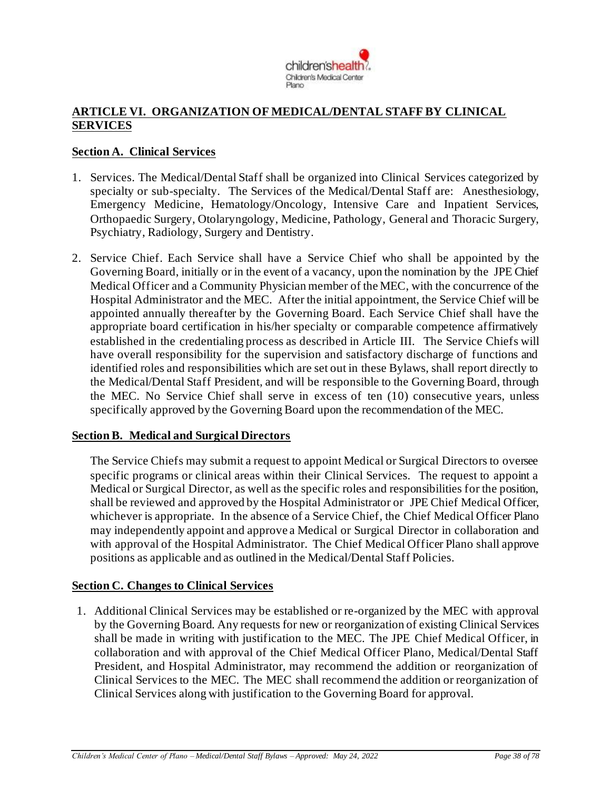

## **ARTICLE VI. ORGANIZATION OF MEDICAL/DENTAL STAFF BY CLINICAL SERVICES**

### **Section A. Clinical Services**

- 1. Services. The Medical/Dental Staff shall be organized into Clinical Services categorized by specialty or sub-specialty. The Services of the Medical/Dental Staff are: Anesthesiology, Emergency Medicine, Hematology/Oncology, Intensive Care and Inpatient Services, Orthopaedic Surgery, Otolaryngology, Medicine, Pathology, General and Thoracic Surgery, Psychiatry, Radiology, Surgery and Dentistry.
- 2. Service Chief. Each Service shall have a Service Chief who shall be appointed by the Governing Board, initially or in the event of a vacancy, upon the nomination by the JPE Chief Medical Officer and a Community Physician member of the MEC, with the concurrence of the Hospital Administrator and the MEC. After the initial appointment, the Service Chief will be appointed annually thereafter by the Governing Board. Each Service Chief shall have the appropriate board certification in his/her specialty or comparable competence affirmatively established in the credentialing process as described in Article III. The Service Chiefs will have overall responsibility for the supervision and satisfactory discharge of functions and identified roles and responsibilities which are set out in these Bylaws, shall report directly to the Medical/Dental Staff President*,* and will be responsible to the Governing Board, through the MEC. No Service Chief shall serve in excess of ten (10) consecutive years, unless specifically approved by the Governing Board upon the recommendation of the MEC.

#### **Section B. Medical and Surgical Directors**

The Service Chiefs may submit a request to appoint Medical or Surgical Directors to oversee specific programs or clinical areas within their Clinical Services. The request to appoint a Medical or Surgical Director, as well as the specific roles and responsibilities for the position, shall be reviewed and approved by the Hospital Administrator or JPE Chief Medical Officer, whichever is appropriate. In the absence of a Service Chief, the Chief Medical Officer Plano may independently appoint and approve a Medical or Surgical Director in collaboration and with approval of the Hospital Administrator. The Chief Medical Officer Plano shall approve positions as applicable and as outlined in the Medical/Dental Staff Policies.

#### **Section C. Changes to Clinical Services**

1. Additional Clinical Services may be established or re-organized by the MEC with approval by the Governing Board. Any requests for new or reorganization of existing Clinical Services shall be made in writing with justification to the MEC. The JPE Chief Medical Officer, in collaboration and with approval of the Chief Medical Officer Plano, Medical/Dental Staff President, and Hospital Administrator, may recommend the addition or reorganization of Clinical Services to the MEC. The MEC shall recommend the addition or reorganization of Clinical Services along with justification to the Governing Board for approval.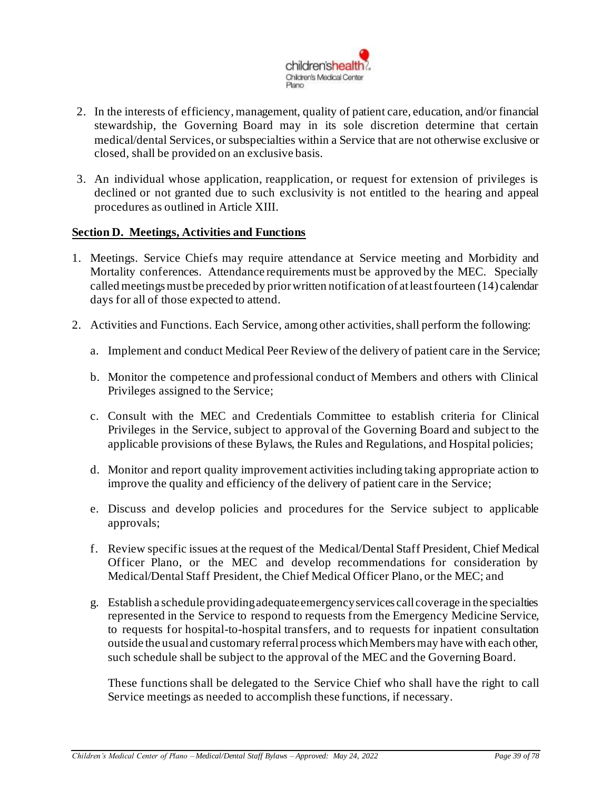

- 2. In the interests of efficiency, management, quality of patient care, education, and/or financial stewardship, the Governing Board may in its sole discretion determine that certain medical/dental Services, or subspecialties within a Service that are not otherwise exclusive or closed, shall be provided on an exclusive basis.
- 3. An individual whose application, reapplication, or request for extension of privileges is declined or not granted due to such exclusivity is not entitled to the hearing and appeal procedures as outlined in Article XIII.

#### **Section D. Meetings, Activities and Functions**

- 1. Meetings. Service Chiefs may require attendance at Service meeting and Morbidity and Mortality conferences. Attendance requirements must be approved by the MEC. Specially called meetings must be preceded by prior written notification of at least fourteen (14) calendar days for all of those expected to attend.
- 2. Activities and Functions. Each Service, among other activities, shall perform the following:
	- a. Implement and conduct Medical Peer Review of the delivery of patient care in the Service;
	- b. Monitor the competence and professional conduct of Members and others with Clinical Privileges assigned to the Service;
	- c. Consult with the MEC and Credentials Committee to establish criteria for Clinical Privileges in the Service, subject to approval of the Governing Board and subject to the applicable provisions of these Bylaws, the Rules and Regulations, and Hospital policies;
	- d. Monitor and report quality improvement activities including taking appropriate action to improve the quality and efficiency of the delivery of patient care in the Service;
	- e. Discuss and develop policies and procedures for the Service subject to applicable approvals;
	- f. Review specific issues at the request of the Medical/Dental Staff President, Chief Medical Officer Plano, or the MEC and develop recommendations for consideration by Medical/Dental Staff President, the Chief Medical Officer Plano, or the MEC; and
	- g. Establish a schedule providing adequate emergency services call coverage in the specialties represented in the Service to respond to requests from the Emergency Medicine Service, to requests for hospital-to-hospital transfers, and to requests for inpatient consultation outside the usual and customary referral process which Members may have with each other, such schedule shall be subject to the approval of the MEC and the Governing Board.

These functions shall be delegated to the Service Chief who shall have the right to call Service meetings as needed to accomplish these functions, if necessary.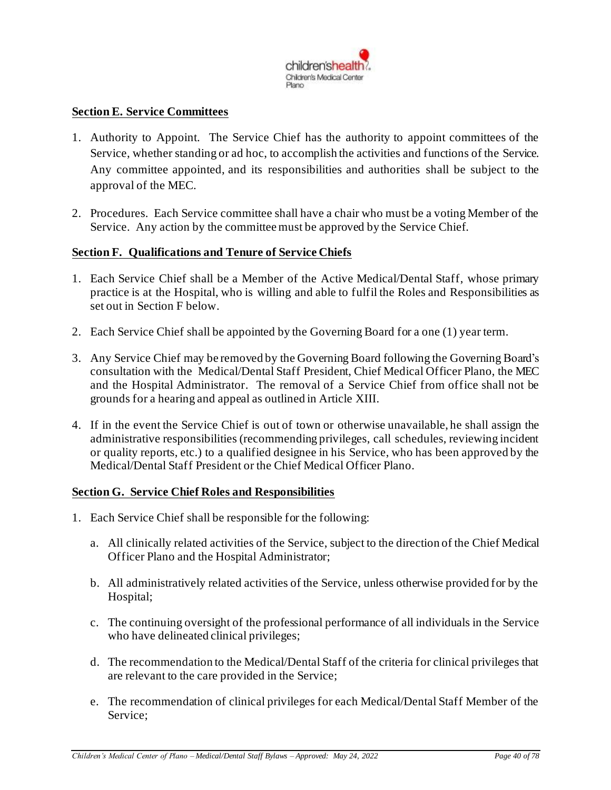

### **Section E. Service Committees**

- 1. Authority to Appoint. The Service Chief has the authority to appoint committees of the Service, whether standing or ad hoc, to accomplish the activities and functions of the Service. Any committee appointed, and its responsibilities and authorities shall be subject to the approval of the MEC.
- 2. Procedures. Each Service committee shall have a chair who must be a voting Member of the Service. Any action by the committee must be approved by the Service Chief.

#### **Section F. Qualifications and Tenure of Service Chiefs**

- 1. Each Service Chief shall be a Member of the Active Medical/Dental Staff, whose primary practice is at the Hospital, who is willing and able to fulfil the Roles and Responsibilities as set out in Section F below.
- 2. Each Service Chief shall be appointed by the Governing Board for a one (1) year term.
- 3. Any Service Chief may be removed by the Governing Board following the Governing Board's consultation with the Medical/Dental Staff President, Chief Medical Officer Plano, the MEC and the Hospital Administrator. The removal of a Service Chief from office shall not be grounds for a hearing and appeal as outlined in Article XIII.
- 4. If in the event the Service Chief is out of town or otherwise unavailable, he shall assign the administrative responsibilities (recommending privileges, call schedules, reviewing incident or quality reports, etc.) to a qualified designee in his Service, who has been approved by the Medical/Dental Staff President or the Chief Medical Officer Plano.

#### **Section G. Service Chief Roles and Responsibilities**

- 1. Each Service Chief shall be responsible for the following:
	- a. All clinically related activities of the Service, subject to the direction of the Chief Medical Officer Plano and the Hospital Administrator;
	- b. All administratively related activities of the Service, unless otherwise provided for by the Hospital;
	- c. The continuing oversight of the professional performance of all individuals in the Service who have delineated clinical privileges;
	- d. The recommendation to the Medical/Dental Staff of the criteria for clinical privileges that are relevant to the care provided in the Service;
	- e. The recommendation of clinical privileges for each Medical/Dental Staff Member of the Service;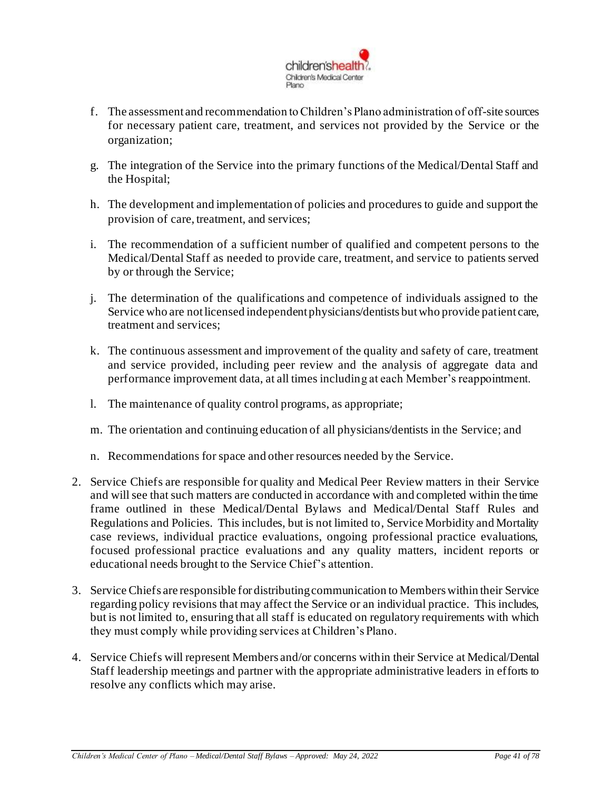

- f. The assessment and recommendation to Children's Plano administration of off-site sources for necessary patient care, treatment, and services not provided by the Service or the organization;
- g. The integration of the Service into the primary functions of the Medical/Dental Staff and the Hospital;
- h. The development and implementation of policies and procedures to guide and support the provision of care, treatment, and services;
- i. The recommendation of a sufficient number of qualified and competent persons to the Medical/Dental Staff as needed to provide care, treatment, and service to patients served by or through the Service;
- j. The determination of the qualifications and competence of individuals assigned to the Service who are not licensed independent physicians/dentists but who provide patient care, treatment and services;
- k. The continuous assessment and improvement of the quality and safety of care, treatment and service provided, including peer review and the analysis of aggregate data and performance improvement data, at all times including at each Member's reappointment.
- l. The maintenance of quality control programs, as appropriate;
- m. The orientation and continuing education of all physicians/dentists in the Service; and
- n. Recommendations for space and other resources needed by the Service.
- 2. Service Chiefs are responsible for quality and Medical Peer Review matters in their Service and will see that such matters are conducted in accordance with and completed within the time frame outlined in these Medical/Dental Bylaws and Medical/Dental Staff Rules and Regulations and Policies. This includes, but is not limited to, Service Morbidity and Mortality case reviews, individual practice evaluations, ongoing professional practice evaluations, focused professional practice evaluations and any quality matters, incident reports or educational needs brought to the Service Chief's attention.
- 3. Service Chiefs are responsible for distributing communication to Members within their Service regarding policy revisions that may affect the Service or an individual practice. This includes, but is not limited to, ensuring that all staff is educated on regulatory requirements with which they must comply while providing services at Children's Plano.
- 4. Service Chiefs will represent Members and/or concerns within their Service at Medical/Dental Staff leadership meetings and partner with the appropriate administrative leaders in efforts to resolve any conflicts which may arise.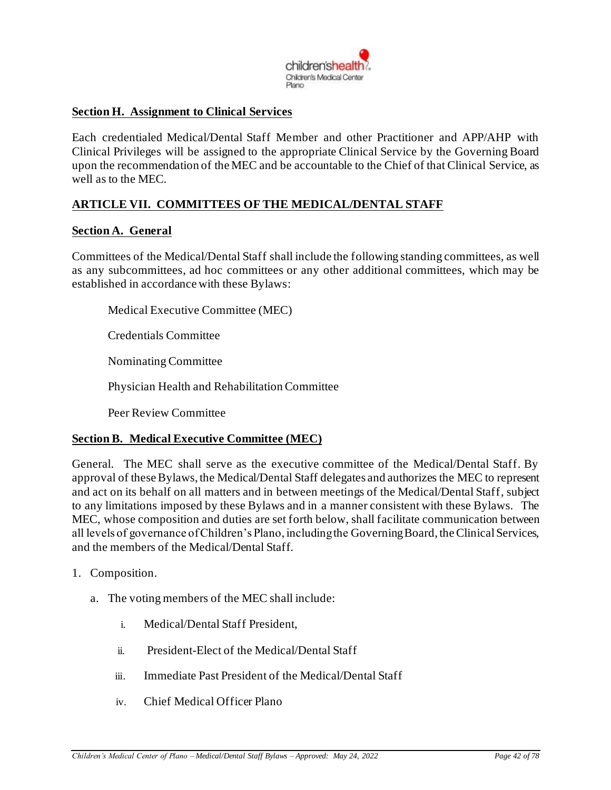

#### **Section H. Assignment to Clinical Services**

Each credentialed Medical/Dental Staff Member and other Practitioner and APP/AHP with Clinical Privileges will be assigned to the appropriate Clinical Service by the Governing Board upon the recommendation of the MEC and be accountable to the Chief of that Clinical Service, as well as to the MEC.

## **ARTICLE VII. COMMITTEES OF THE MEDICAL/DENTAL STAFF**

#### **Section A. General**

Committees of the Medical/Dental Staff shall include the following standing committees, as well as any subcommittees, ad hoc committees or any other additional committees, which may be established in accordance with these Bylaws:

Medical Executive Committee (MEC)

Credentials Committee

Nominating Committee

Physician Health and Rehabilitation Committee

Peer Review Committee

#### **Section B. Medical Executive Committee (MEC)**

General. The MEC shall serve as the executive committee of the Medical/Dental Staff. By approval of these Bylaws, the Medical/Dental Staff delegates and authorizes the MEC to represent and act on its behalf on all matters and in between meetings of the Medical/Dental Staff, subject to any limitations imposed by these Bylaws and in a manner consistent with these Bylaws. The MEC, whose composition and duties are set forth below, shall facilitate communication between all levels of governance of Children's Plano, including the Governing Board, the Clinical Services, and the members of the Medical/Dental Staff.

- 1. Composition.
	- a. The voting members of the MEC shall include:
		- i. Medical/Dental Staff President,
		- ii. President-Elect of the Medical/Dental Staff
		- iii. Immediate Past President of the Medical/Dental Staff
		- iv. Chief Medical Officer Plano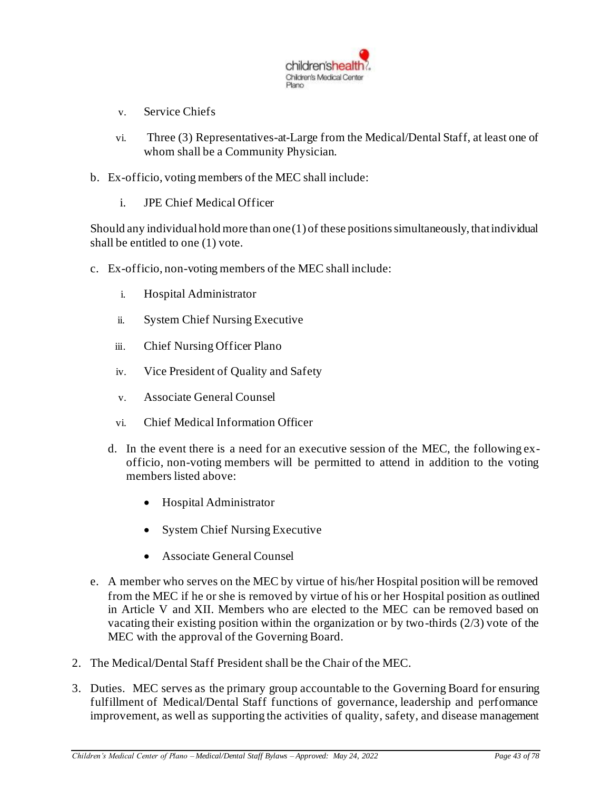

- v. Service Chiefs
- vi. Three (3) Representatives-at-Large from the Medical/Dental Staff, at least one of whom shall be a Community Physician.
- b. Ex-officio, voting members of the MEC shall include:
	- i. JPE Chief Medical Officer

Should any individual hold more than one (1) of these positions simultaneously, that individual shall be entitled to one (1) vote.

- c. Ex-officio, non-voting members of the MEC shall include:
	- i. Hospital Administrator
	- ii. System Chief Nursing Executive
	- iii. Chief Nursing Officer Plano
	- iv. Vice President of Quality and Safety
	- v. Associate General Counsel
	- vi. Chief Medical Information Officer
	- d. In the event there is a need for an executive session of the MEC, the following exofficio, non-voting members will be permitted to attend in addition to the voting members listed above:
		- Hospital Administrator
		- System Chief Nursing Executive
		- Associate General Counsel
- e. A member who serves on the MEC by virtue of his/her Hospital position will be removed from the MEC if he or she is removed by virtue of his or her Hospital position as outlined in Article V and XII. Members who are elected to the MEC can be removed based on vacating their existing position within the organization or by two-thirds (2/3) vote of the MEC with the approval of the Governing Board.
- 2. The Medical/Dental Staff President shall be the Chair of the MEC.
- 3. Duties. MEC serves as the primary group accountable to the Governing Board for ensuring fulfillment of Medical/Dental Staff functions of governance, leadership and performance improvement, as well as supporting the activities of quality, safety, and disease management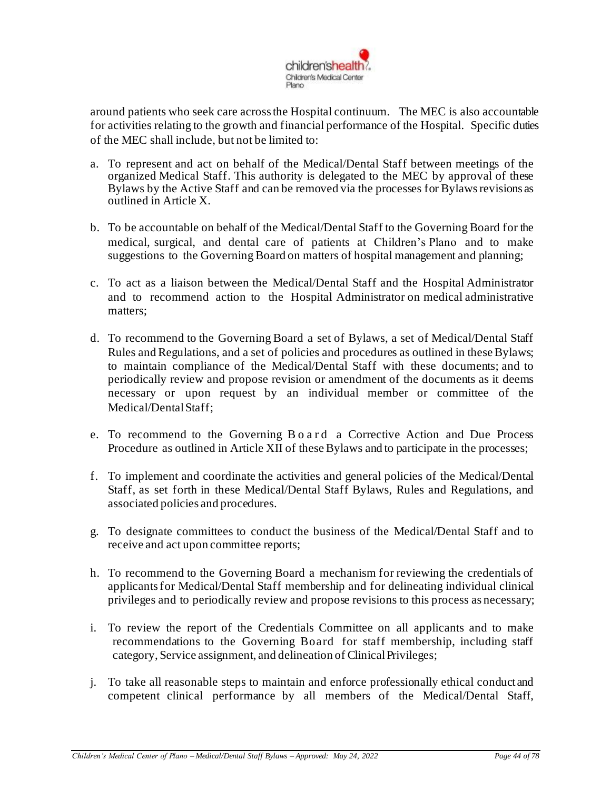

around patients who seek care across the Hospital continuum. The MEC is also accountable for activities relating to the growth and financial performance of the Hospital. Specific duties of the MEC shall include, but not be limited to:

- a. To represent and act on behalf of the Medical/Dental Staff between meetings of the organized Medical Staff. This authority is delegated to the MEC by approval of these Bylaws by the Active Staff and can be removed via the processes for Bylaws revisions as outlined in Article X.
- b. To be accountable on behalf of the Medical/Dental Staff to the Governing Board for the medical, surgical, and dental care of patients at Children's Plano and to make suggestions to the Governing Board on matters of hospital management and planning;
- c. To act as a liaison between the Medical/Dental Staff and the Hospital Administrator and to recommend action to the Hospital Administrator on medical administrative matters;
- d. To recommend to the Governing Board a set of Bylaws, a set of Medical/Dental Staff Rules and Regulations, and a set of policies and procedures as outlined in these Bylaws; to maintain compliance of the Medical/Dental Staff with these documents; and to periodically review and propose revision or amendment of the documents as it deems necessary or upon request by an individual member or committee of the Medical/Dental Staff:
- e. To recommend to the Governing B o a r d a Corrective Action and Due Process Procedure as outlined in Article XII of these Bylaws and to participate in the processes;
- f. To implement and coordinate the activities and general policies of the Medical/Dental Staff, as set forth in these Medical/Dental Staff Bylaws, Rules and Regulations, and associated policies and procedures.
- g. To designate committees to conduct the business of the Medical/Dental Staff and to receive and act upon committee reports;
- h. To recommend to the Governing Board a mechanism for reviewing the credentials of applicantsfor Medical/Dental Staff membership and for delineating individual clinical privileges and to periodically review and propose revisions to this process as necessary;
- i. To review the report of the Credentials Committee on all applicants and to make recommendations to the Governing Board for staff membership, including staff category, Service assignment, and delineation of ClinicalPrivileges;
- j. To take all reasonable steps to maintain and enforce professionally ethical conduct and competent clinical performance by all members of the Medical/Dental Staff,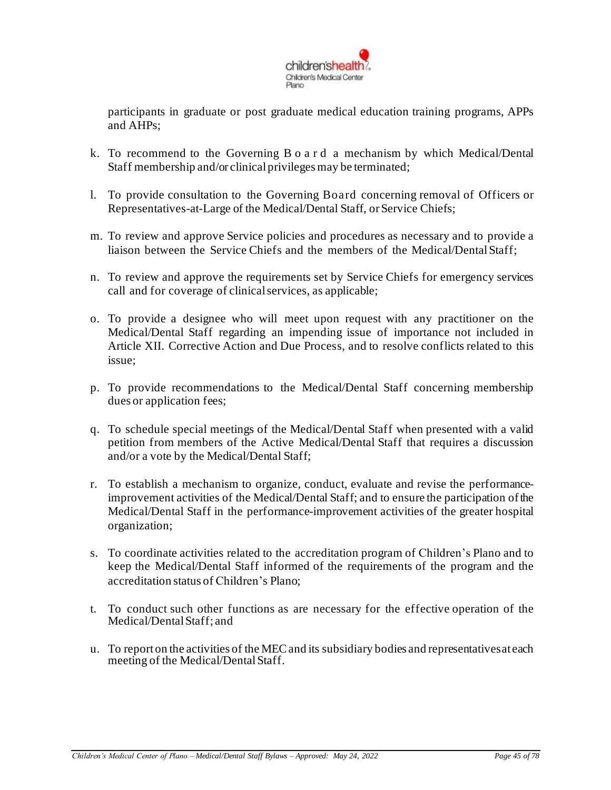

participants in graduate or post graduate medical education training programs, APPs and AHPs;

- k. To recommend to the Governing B o a r d a mechanism by which Medical/Dental Staff membership and/or clinical privileges may be terminated;
- l. To provide consultation to the Governing Board concerning removal of Officers or Representatives-at-Large of the Medical/Dental Staff, or Service Chiefs;
- m. To review and approve Service policies and procedures as necessary and to provide a liaison between the Service Chiefs and the members of the Medical/DentalStaff;
- n. To review and approve the requirements set by Service Chiefs for emergency services call and for coverage of clinicalservices, as applicable;
- o. To provide a designee who will meet upon request with any practitioner on the Medical/Dental Staff regarding an impending issue of importance not included in Article XII. Corrective Action and Due Process, and to resolve conflicts related to this issue;
- p. To provide recommendations to the Medical/Dental Staff concerning membership dues or application fees;
- q. To schedule special meetings of the Medical/Dental Staff when presented with a valid petition from members of the Active Medical/Dental Staff that requires a discussion and/or a vote by the Medical/Dental Staff;
- r. To establish a mechanism to organize, conduct, evaluate and revise the performanceimprovement activities of the Medical/Dental Staff; and to ensure the participation ofthe Medical/Dental Staff in the performance-improvement activities of the greater hospital organization;
- s. To coordinate activities related to the accreditation program of Children's Plano and to keep the Medical/Dental Staff informed of the requirements of the program and the accreditation status of Children's Plano;
- t. To conduct such other functions as are necessary for the effective operation of the Medical/DentalStaff; and
- u. To report on the activities of the MECand its subsidiary bodies and representativesat each meeting of the Medical/Dental Staff.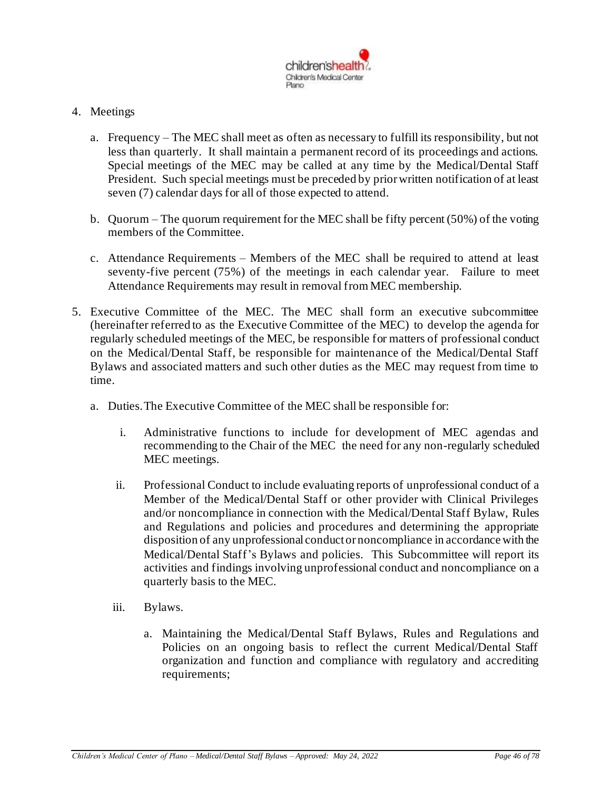

### 4. Meetings

- a. Frequency The MEC shall meet as often as necessary to fulfill its responsibility, but not less than quarterly. It shall maintain a permanent record of its proceedings and actions. Special meetings of the MEC may be called at any time by the Medical/Dental Staff President. Such special meetings must be preceded by prior written notification of at least seven (7) calendar days for all of those expected to attend.
- b. Quorum The quorum requirement for the MEC shall be fifty percent (50%) of the voting members of the Committee.
- c. Attendance Requirements Members of the MEC shall be required to attend at least seventy-five percent (75%) of the meetings in each calendar year. Failure to meet Attendance Requirements may result in removal from MEC membership.
- 5. Executive Committee of the MEC. The MEC shall form an executive subcommittee (hereinafter referred to as the Executive Committee of the MEC) to develop the agenda for regularly scheduled meetings of the MEC, be responsible for matters of professional conduct on the Medical/Dental Staff, be responsible for maintenance of the Medical/Dental Staff Bylaws and associated matters and such other duties as the MEC may request from time to time.
	- a. Duties.The Executive Committee of the MEC shall be responsible for:
		- i. Administrative functions to include for development of MEC agendas and recommending to the Chair of the MEC the need for any non-regularly scheduled MEC meetings.
		- ii. Professional Conduct to include evaluating reports of unprofessional conduct of a Member of the Medical/Dental Staff or other provider with Clinical Privileges and/or noncompliance in connection with the Medical/Dental Staff Bylaw, Rules and Regulations and policies and procedures and determining the appropriate disposition of any unprofessional conduct or noncompliance in accordance with the Medical/Dental Staff's Bylaws and policies. This Subcommittee will report its activities and findings involving unprofessional conduct and noncompliance on a quarterly basis to the MEC.
		- iii. Bylaws.
			- a. Maintaining the Medical/Dental Staff Bylaws, Rules and Regulations and Policies on an ongoing basis to reflect the current Medical/Dental Staff organization and function and compliance with regulatory and accrediting requirements;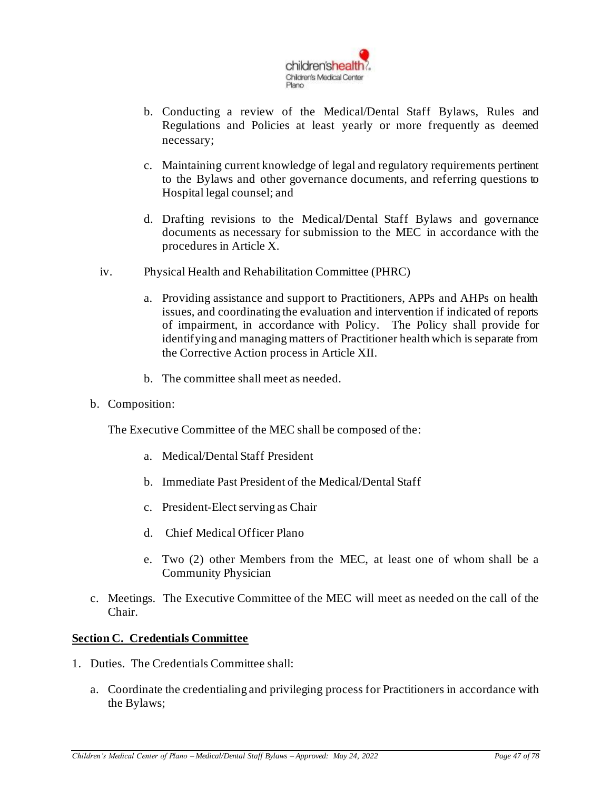

- b. Conducting a review of the Medical/Dental Staff Bylaws, Rules and Regulations and Policies at least yearly or more frequently as deemed necessary;
- c. Maintaining current knowledge of legal and regulatory requirements pertinent to the Bylaws and other governance documents, and referring questions to Hospital legal counsel; and
- d. Drafting revisions to the Medical/Dental Staff Bylaws and governance documents as necessary for submission to the MEC in accordance with the procedures in Article X.
- iv. Physical Health and Rehabilitation Committee (PHRC)
	- a. Providing assistance and support to Practitioners, APPs and AHPs on health issues, and coordinating the evaluation and intervention if indicated of reports of impairment, in accordance with Policy. The Policy shall provide for identifying and managing matters of Practitioner health which is separate from the Corrective Action process in Article XII.
	- b. The committee shall meet as needed.
- b. Composition:

The Executive Committee of the MEC shall be composed of the:

- a. Medical/Dental Staff President
- b. Immediate Past President of the Medical/Dental Staff
- c. President-Elect serving as Chair
- d. Chief Medical Officer Plano
- e. Two (2) other Members from the MEC, at least one of whom shall be a Community Physician
- c. Meetings. The Executive Committee of the MEC will meet as needed on the call of the Chair.

## **Section C. Credentials Committee**

- 1. Duties. The Credentials Committee shall:
	- a. Coordinate the credentialing and privileging process for Practitioners in accordance with the Bylaws;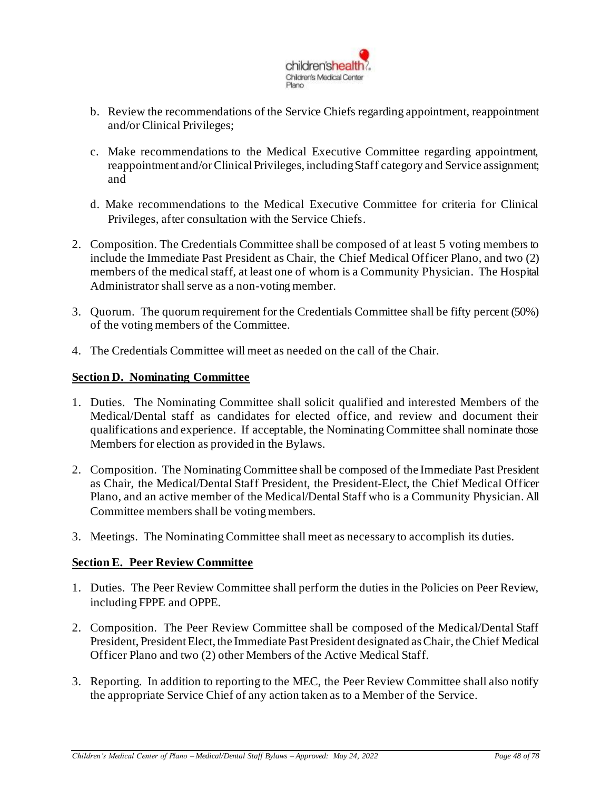

- b. Review the recommendations of the Service Chiefs regarding appointment, reappointment and/or Clinical Privileges;
- c. Make recommendations to the Medical Executive Committee regarding appointment, reappointment and/or Clinical Privileges, including Staff category and Service assignment; and
- d. Make recommendations to the Medical Executive Committee for criteria for Clinical Privileges, after consultation with the Service Chiefs.
- 2. Composition. The Credentials Committee shall be composed of at least 5 voting members to include the Immediate Past President as Chair, the Chief Medical Officer Plano, and two (2) members of the medical staff, at least one of whom is a Community Physician. The Hospital Administrator shall serve as a non-voting member.
- 3. Quorum. The quorum requirement for the Credentials Committee shall be fifty percent (50%) of the voting members of the Committee.
- 4. The Credentials Committee will meet as needed on the call of the Chair.

## **Section D. Nominating Committee**

- 1. Duties. The Nominating Committee shall solicit qualified and interested Members of the Medical/Dental staff as candidates for elected office, and review and document their qualifications and experience. If acceptable, the Nominating Committee shall nominate those Members for election as provided in the Bylaws.
- 2. Composition. The Nominating Committee shall be composed of the Immediate Past President as Chair, the Medical/Dental Staff President, the President-Elect, the Chief Medical Officer Plano, and an active member of the Medical/Dental Staff who is a Community Physician. All Committee members shall be voting members.
- 3. Meetings. The Nominating Committee shall meet as necessary to accomplish its duties.

## **Section E. Peer Review Committee**

- 1. Duties. The Peer Review Committee shall perform the duties in the Policies on Peer Review, including FPPE and OPPE.
- 2. Composition. The Peer Review Committee shall be composed of the Medical/Dental Staff President, President Elect, the Immediate Past President designated as Chair, the Chief Medical Officer Plano and two (2) other Members of the Active Medical Staff.
- 3. Reporting. In addition to reporting to the MEC, the Peer Review Committee shall also notify the appropriate Service Chief of any action taken as to a Member of the Service.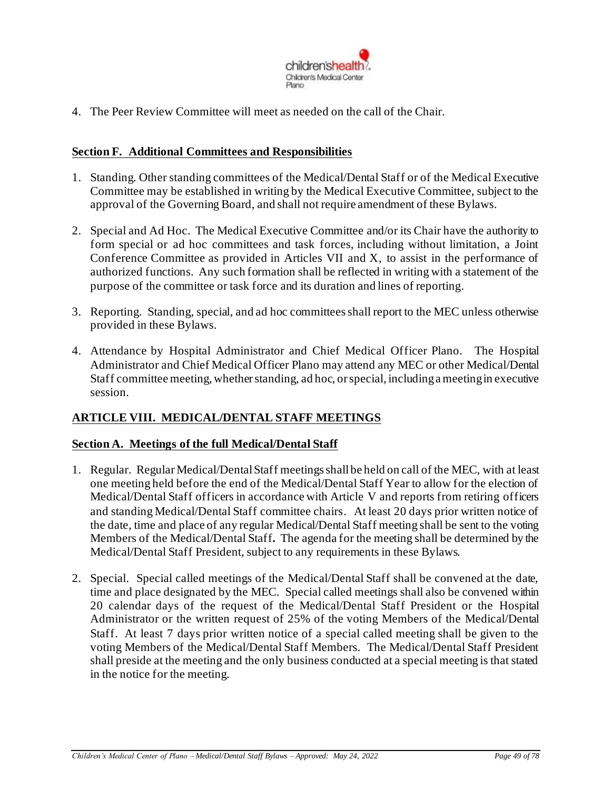

4. The Peer Review Committee will meet as needed on the call of the Chair.

### **Section F. Additional Committees and Responsibilities**

- 1. Standing. Other standing committees of the Medical/Dental Staff or of the Medical Executive Committee may be established in writing by the Medical Executive Committee, subject to the approval of the Governing Board, and shall not require amendment of these Bylaws.
- 2. Special and Ad Hoc. The Medical Executive Committee and/or its Chair have the authority to form special or ad hoc committees and task forces, including without limitation, a Joint Conference Committee as provided in Articles VII and X, to assist in the performance of authorized functions. Any such formation shall be reflected in writing with a statement of the purpose of the committee or task force and its duration and lines of reporting.
- 3. Reporting. Standing, special, and ad hoc committees shall report to the MEC unless otherwise provided in these Bylaws.
- 4. Attendance by Hospital Administrator and Chief Medical Officer Plano. The Hospital Administrator and Chief Medical Officer Plano may attend any MEC or other Medical/Dental Staff committee meeting, whether standing, ad hoc, orspecial, includinga meeting in executive session.

## **ARTICLE VIII. MEDICAL/DENTAL STAFF MEETINGS**

#### **Section A. Meetings of the full Medical/Dental Staff**

- 1. Regular. Regular Medical/Dental Staff meetings shall be held on call of the MEC, with at least one meeting held before the end of the Medical/Dental Staff Year to allow for the election of Medical/Dental Staff officers in accordance with Article V and reports from retiring officers and standing Medical/Dental Staff committee chairs. At least 20 days prior written notice of the date, time and place of any regular Medical/Dental Staff meeting shall be sent to the voting Members of the Medical/Dental Staff**.** The agenda for the meeting shall be determined by the Medical/Dental Staff President, subject to any requirements in these Bylaws.
- 2. Special. Special called meetings of the Medical/Dental Staff shall be convened at the date, time and place designated by the MEC. Special called meetings shall also be convened within 20 calendar days of the request of the Medical/Dental Staff President or the Hospital Administrator or the written request of 25% of the voting Members of the Medical/Dental Staff. At least 7 days prior written notice of a special called meeting shall be given to the voting Members of the Medical/Dental Staff Members. The Medical/Dental Staff President shall preside at the meeting and the only business conducted at a special meeting is that stated in the notice for the meeting.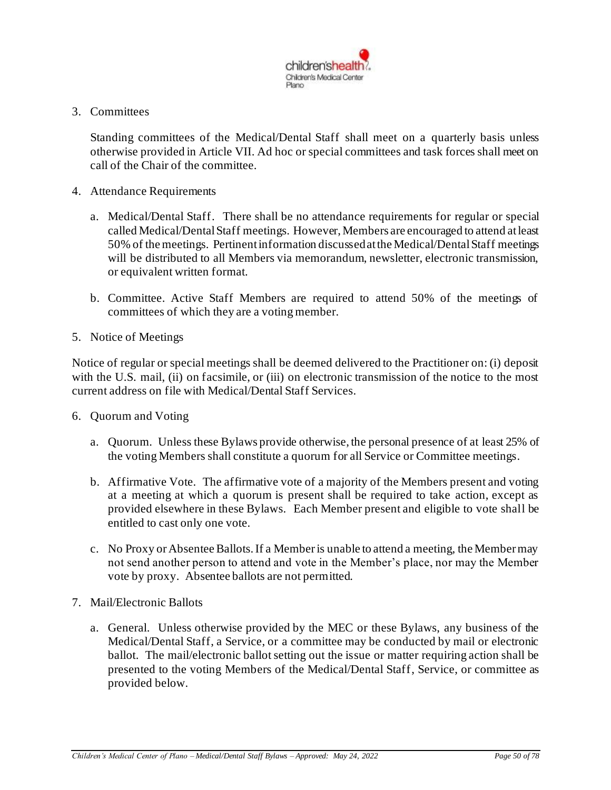

3. Committees

Standing committees of the Medical/Dental Staff shall meet on a quarterly basis unless otherwise provided in Article VII. Ad hoc or special committees and task forces shall meet on call of the Chair of the committee.

- 4. Attendance Requirements
	- a. Medical/Dental Staff. There shall be no attendance requirements for regular or special called Medical/Dental Staff meetings. However, Members are encouraged to attend at least 50% of the meetings. Pertinent information discussed at the Medical/Dental Staff meetings will be distributed to all Members via memorandum, newsletter, electronic transmission, or equivalent written format.
	- b. Committee. Active Staff Members are required to attend 50% of the meetings of committees of which they are a voting member.
- 5. Notice of Meetings

Notice of regular or special meetings shall be deemed delivered to the Practitioner on: (i) deposit with the U.S. mail, (ii) on facsimile, or (iii) on electronic transmission of the notice to the most current address on file with Medical/Dental Staff Services.

- 6. Quorum and Voting
	- a. Quorum. Unless these Bylaws provide otherwise, the personal presence of at least 25% of the voting Members shall constitute a quorum for all Service or Committee meetings.
	- b. Affirmative Vote. The affirmative vote of a majority of the Members present and voting at a meeting at which a quorum is present shall be required to take action, except as provided elsewhere in these Bylaws. Each Member present and eligible to vote shall be entitled to cast only one vote.
	- c. No Proxy or Absentee Ballots. If a Member is unable to attend a meeting, the Member may not send another person to attend and vote in the Member's place, nor may the Member vote by proxy. Absentee ballots are not permitted.
- 7. Mail/Electronic Ballots
	- a. General. Unless otherwise provided by the MEC or these Bylaws, any business of the Medical/Dental Staff, a Service, or a committee may be conducted by mail or electronic ballot. The mail/electronic ballot setting out the issue or matter requiring action shall be presented to the voting Members of the Medical/Dental Staff, Service, or committee as provided below.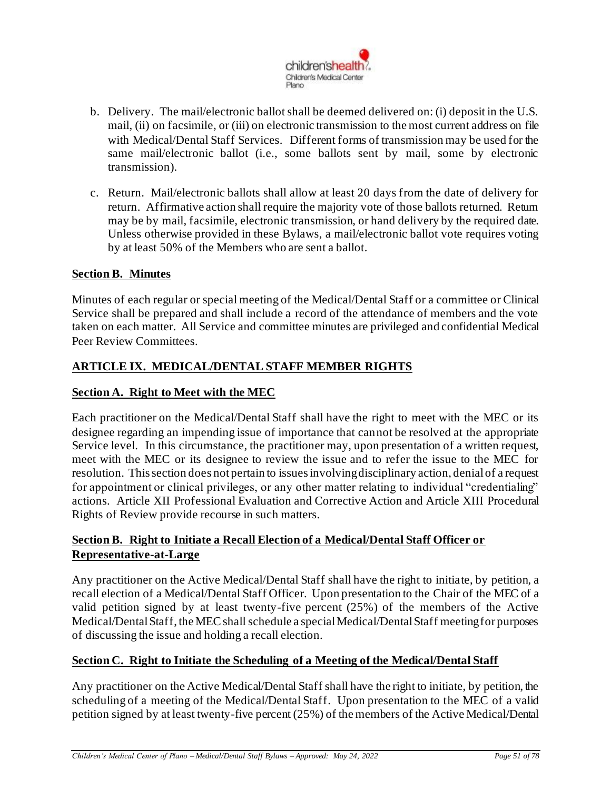

- b. Delivery. The mail/electronic ballot shall be deemed delivered on: (i) deposit in the U.S. mail, (ii) on facsimile, or (iii) on electronic transmission to the most current address on file with Medical/Dental Staff Services. Different forms of transmission may be used for the same mail/electronic ballot (i.e., some ballots sent by mail, some by electronic transmission).
- c. Return. Mail/electronic ballots shall allow at least 20 days from the date of delivery for return. Affirmative action shall require the majority vote of those ballots returned. Return may be by mail, facsimile, electronic transmission, or hand delivery by the required date. Unless otherwise provided in these Bylaws, a mail/electronic ballot vote requires voting by at least 50% of the Members who are sent a ballot.

## **Section B. Minutes**

Minutes of each regular or special meeting of the Medical/Dental Staff or a committee or Clinical Service shall be prepared and shall include a record of the attendance of members and the vote taken on each matter. All Service and committee minutes are privileged and confidential Medical Peer Review Committees.

## **ARTICLE IX. MEDICAL/DENTAL STAFF MEMBER RIGHTS**

### **Section A. Right to Meet with the MEC**

Each practitioner on the Medical/Dental Staff shall have the right to meet with the MEC or its designee regarding an impending issue of importance that cannot be resolved at the appropriate Service level. In this circumstance, the practitioner may, upon presentation of a written request, meet with the MEC or its designee to review the issue and to refer the issue to the MEC for resolution. This section does not pertain to issues involving disciplinary action, denial of a request for appointment or clinical privileges, or any other matter relating to individual "credentialing" actions. Article XII Professional Evaluation and Corrective Action and Article XIII Procedural Rights of Review provide recourse in such matters.

## **Section B. Right to Initiate a Recall Election of a Medical/Dental Staff Officer or Representative-at-Large**

Any practitioner on the Active Medical/Dental Staff shall have the right to initiate, by petition, a recall election of a Medical/Dental Staff Officer. Upon presentation to the Chair of the MEC of a valid petition signed by at least twenty-five percent (25%) of the members of the Active Medical/Dental Staff, the MEC shall schedule a special Medical/Dental Staff meeting for purposes of discussing the issue and holding a recall election.

#### **Section C. Right to Initiate the Scheduling of a Meeting of the Medical/Dental Staff**

Any practitioner on the Active Medical/Dental Staff shall have the right to initiate, by petition, the scheduling of a meeting of the Medical/Dental Staff. Upon presentation to the MEC of a valid petition signed by at least twenty-five percent (25%) of the members of the Active Medical/Dental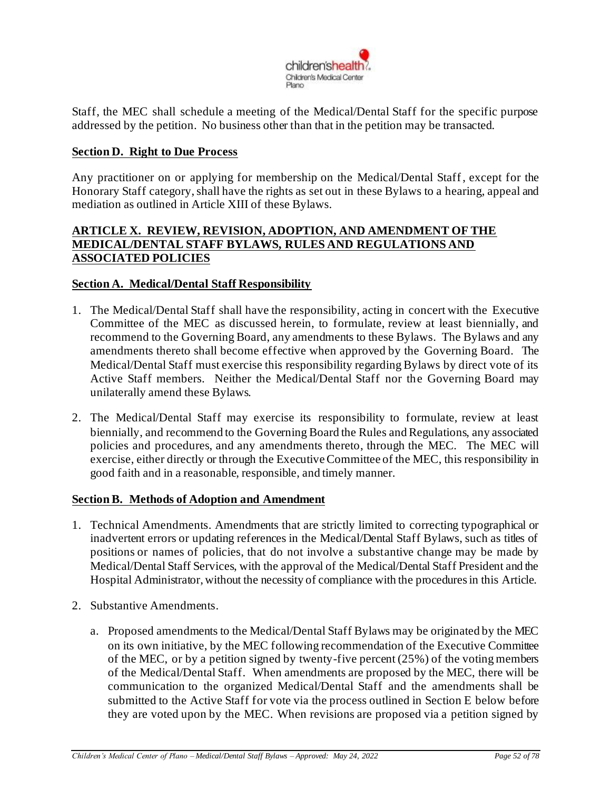

Staff, the MEC shall schedule a meeting of the Medical/Dental Staff for the specific purpose addressed by the petition. No business other than that in the petition may be transacted.

### **Section D. Right to Due Process**

Any practitioner on or applying for membership on the Medical/Dental Staff, except for the Honorary Staff category,shall have the rights as set out in these Bylaws to a hearing, appeal and mediation as outlined in Article XIII of these Bylaws.

### **ARTICLE X. REVIEW, REVISION, ADOPTION, AND AMENDMENT OF THE MEDICAL/DENTAL STAFF BYLAWS, RULES AND REGULATIONS AND ASSOCIATED POLICIES**

#### **Section A. Medical/Dental Staff Responsibility**

- 1. The Medical/Dental Staff shall have the responsibility, acting in concert with the Executive Committee of the MEC as discussed herein, to formulate, review at least biennially, and recommend to the Governing Board, any amendments to these Bylaws. The Bylaws and any amendments thereto shall become effective when approved by the Governing Board. The Medical/Dental Staff must exercise this responsibility regarding Bylaws by direct vote of its Active Staff members. Neither the Medical/Dental Staff nor the Governing Board may unilaterally amend these Bylaws.
- 2. The Medical/Dental Staff may exercise its responsibility to formulate, review at least biennially, and recommend to the Governing Board the Rules and Regulations, any associated policies and procedures, and any amendments thereto, through the MEC. The MEC will exercise, either directly or through the Executive Committee of the MEC, this responsibility in good faith and in a reasonable, responsible, and timely manner.

#### **Section B. Methods of Adoption and Amendment**

- 1. Technical Amendments. Amendments that are strictly limited to correcting typographical or inadvertent errors or updating references in the Medical/Dental Staff Bylaws, such as titles of positions or names of policies, that do not involve a substantive change may be made by Medical/Dental Staff Services, with the approval of the Medical/Dental Staff President and the Hospital Administrator, without the necessity of compliance with the procedures in this Article.
- 2. Substantive Amendments.
	- a. Proposed amendments to the Medical/Dental Staff Bylaws may be originated by the MEC on its own initiative, by the MEC following recommendation of the Executive Committee of the MEC, or by a petition signed by twenty-five percent (25%) of the voting members of the Medical/Dental Staff. When amendments are proposed by the MEC, there will be communication to the organized Medical/Dental Staff and the amendments shall be submitted to the Active Staff for vote via the process outlined in Section E below before they are voted upon by the MEC. When revisions are proposed via a petition signed by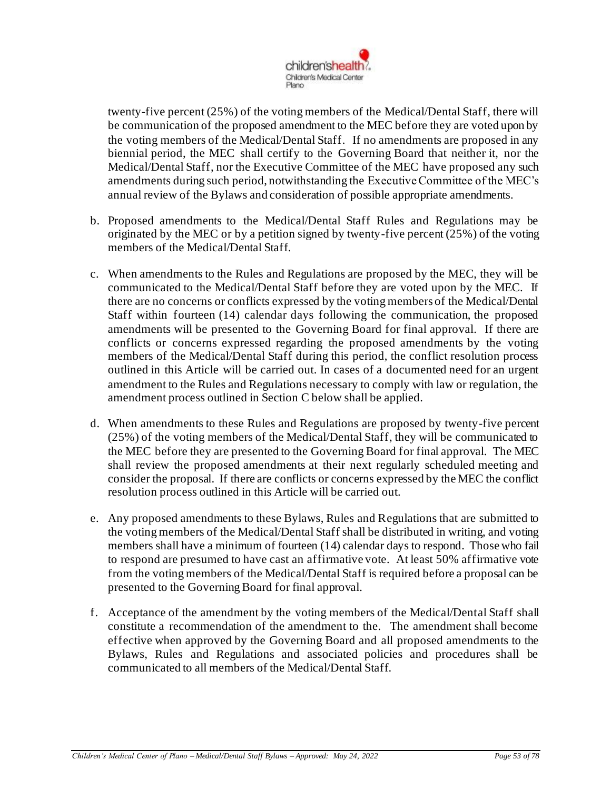

twenty-five percent (25%) of the voting members of the Medical/Dental Staff, there will be communication of the proposed amendment to the MEC before they are voted upon by the voting members of the Medical/Dental Staff. If no amendments are proposed in any biennial period, the MEC shall certify to the Governing Board that neither it, nor the Medical/Dental Staff, nor the Executive Committee of the MEC have proposed any such amendments during such period, notwithstanding the Executive Committee of the MEC's annual review of the Bylaws and consideration of possible appropriate amendments.

- b. Proposed amendments to the Medical/Dental Staff Rules and Regulations may be originated by the MEC or by a petition signed by twenty-five percent (25%) of the voting members of the Medical/Dental Staff.
- c. When amendments to the Rules and Regulations are proposed by the MEC, they will be communicated to the Medical/Dental Staff before they are voted upon by the MEC. If there are no concerns or conflicts expressed by the voting members of the Medical/Dental Staff within fourteen (14) calendar days following the communication, the proposed amendments will be presented to the Governing Board for final approval. If there are conflicts or concerns expressed regarding the proposed amendments by the voting members of the Medical/Dental Staff during this period, the conflict resolution process outlined in this Article will be carried out. In cases of a documented need for an urgent amendment to the Rules and Regulations necessary to comply with law or regulation, the amendment process outlined in Section C below shall be applied.
- d. When amendments to these Rules and Regulations are proposed by twenty-five percent (25%) of the voting members of the Medical/Dental Staff, they will be communicated to the MEC before they are presented to the Governing Board for final approval. The MEC shall review the proposed amendments at their next regularly scheduled meeting and consider the proposal. If there are conflicts or concerns expressed by the MEC the conflict resolution process outlined in this Article will be carried out.
- e. Any proposed amendments to these Bylaws, Rules and Regulations that are submitted to the voting members of the Medical/Dental Staff shall be distributed in writing, and voting members shall have a minimum of fourteen (14) calendar days to respond. Those who fail to respond are presumed to have cast an affirmative vote. At least 50% affirmative vote from the voting members of the Medical/Dental Staff is required before a proposal can be presented to the Governing Board for final approval.
- f. Acceptance of the amendment by the voting members of the Medical/Dental Staff shall constitute a recommendation of the amendment to the. The amendment shall become effective when approved by the Governing Board and all proposed amendments to the Bylaws, Rules and Regulations and associated policies and procedures shall be communicated to all members of the Medical/Dental Staff.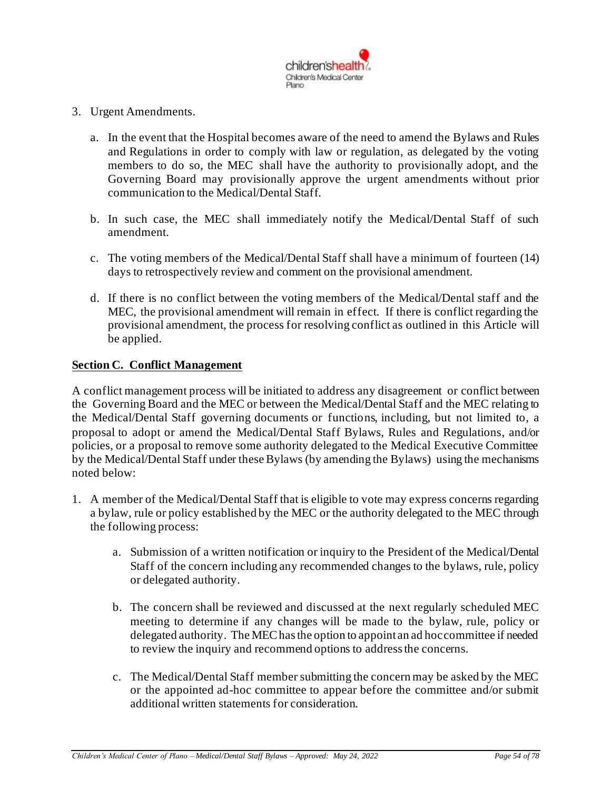

- 3. Urgent Amendments.
	- a. In the event that the Hospital becomes aware of the need to amend the Bylaws and Rules and Regulations in order to comply with law or regulation, as delegated by the voting members to do so, the MEC shall have the authority to provisionally adopt, and the Governing Board may provisionally approve the urgent amendments without prior communication to the Medical/Dental Staff.
	- b. In such case, the MEC shall immediately notify the Medical/Dental Staff of such amendment.
	- c. The voting members of the Medical/Dental Staff shall have a minimum of fourteen (14) days to retrospectively review and comment on the provisional amendment.
	- d. If there is no conflict between the voting members of the Medical/Dental staff and the MEC, the provisional amendment will remain in effect. If there is conflict regarding the provisional amendment, the process for resolving conflict as outlined in this Article will be applied.

#### **Section C. Conflict Management**

A conflict management process will be initiated to address any disagreement or conflict between the Governing Board and the MEC or between the Medical/Dental Staff and the MEC relating to the Medical/Dental Staff governing documents or functions, including, but not limited to, a proposal to adopt or amend the Medical/Dental Staff Bylaws, Rules and Regulations, and/or policies, or a proposal to remove some authority delegated to the Medical Executive Committee by the Medical/Dental Staff under these Bylaws (by amending the Bylaws) using the mechanisms noted below:

- 1. A member of the Medical/Dental Staff that is eligible to vote may express concerns regarding a bylaw, rule or policy established by the MEC or the authority delegated to the MEC through the following process:
	- a. Submission of a written notification or inquiry to the President of the Medical/Dental Staff of the concern including any recommended changes to the bylaws, rule, policy or delegated authority.
	- b. The concern shall be reviewed and discussed at the next regularly scheduled MEC meeting to determine if any changes will be made to the bylaw, rule, policy or delegated authority. The MEC has the option to appoint an ad hoc committee if needed to review the inquiry and recommend options to address the concerns.
	- c. The Medical/Dental Staff member submitting the concern may be asked by the MEC or the appointed ad-hoc committee to appear before the committee and/or submit additional written statements for consideration.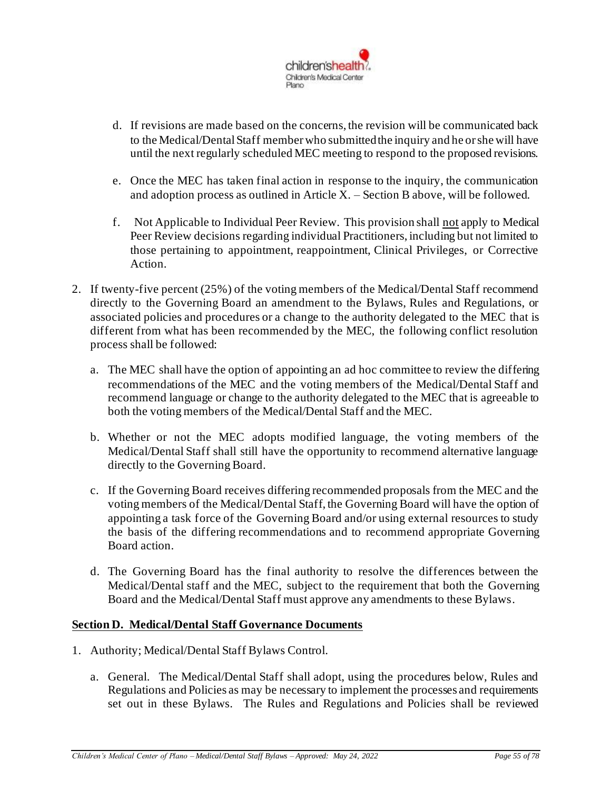

- d. If revisions are made based on the concerns, the revision will be communicated back to the Medical/Dental Staff member who submitted the inquiry and he or she will have until the next regularly scheduled MEC meeting to respond to the proposed revisions.
- e. Once the MEC has taken final action in response to the inquiry, the communication and adoption process as outlined in Article X. – Section B above, will be followed.
- f. Not Applicable to Individual Peer Review. This provision shall not apply to Medical Peer Review decisions regarding individual Practitioners, including but not limited to those pertaining to appointment, reappointment, Clinical Privileges, or Corrective Action.
- 2. If twenty-five percent (25%) of the voting members of the Medical/Dental Staff recommend directly to the Governing Board an amendment to the Bylaws, Rules and Regulations, or associated policies and procedures or a change to the authority delegated to the MEC that is different from what has been recommended by the MEC, the following conflict resolution process shall be followed:
	- a. The MEC shall have the option of appointing an ad hoc committee to review the differing recommendations of the MEC and the voting members of the Medical/Dental Staff and recommend language or change to the authority delegated to the MEC that is agreeable to both the voting members of the Medical/Dental Staff and the MEC.
	- b. Whether or not the MEC adopts modified language, the voting members of the Medical/Dental Staff shall still have the opportunity to recommend alternative language directly to the Governing Board.
	- c. If the Governing Board receives differing recommended proposals from the MEC and the voting members of the Medical/Dental Staff, the Governing Board will have the option of appointing a task force of the Governing Board and/or using external resources to study the basis of the differing recommendations and to recommend appropriate Governing Board action.
	- d. The Governing Board has the final authority to resolve the differences between the Medical/Dental staff and the MEC, subject to the requirement that both the Governing Board and the Medical/Dental Staff must approve any amendments to these Bylaws.

## **Section D. Medical/Dental Staff Governance Documents**

- 1. Authority; Medical/Dental Staff Bylaws Control.
	- a. General. The Medical/Dental Staff shall adopt, using the procedures below, Rules and Regulations and Policies as may be necessary to implement the processes and requirements set out in these Bylaws. The Rules and Regulations and Policies shall be reviewed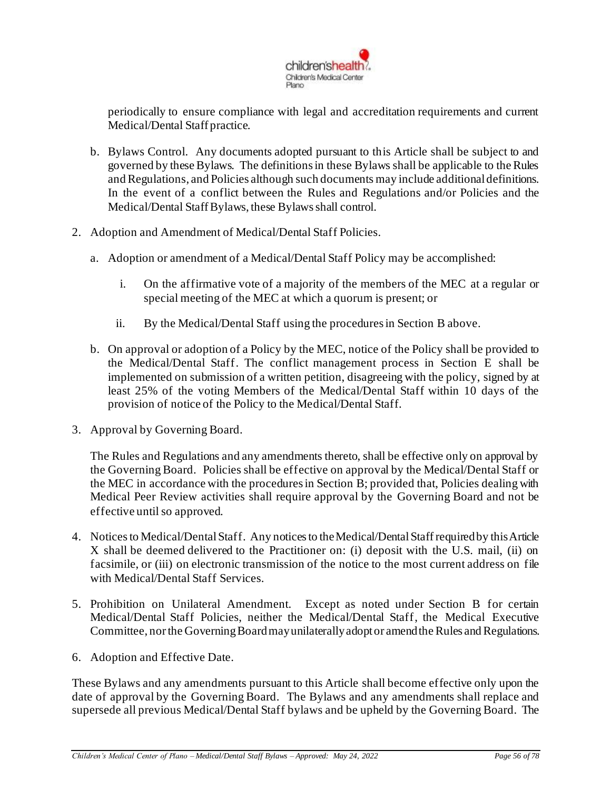

periodically to ensure compliance with legal and accreditation requirements and current Medical/Dental Staff practice.

- b. Bylaws Control. Any documents adopted pursuant to this Article shall be subject to and governed by these Bylaws. The definitions in these Bylaws shall be applicable to the Rules and Regulations, and Policies although such documents may include additional definitions. In the event of a conflict between the Rules and Regulations and/or Policies and the Medical/Dental Staff Bylaws, these Bylaws shall control.
- 2. Adoption and Amendment of Medical/Dental Staff Policies.
	- a. Adoption or amendment of a Medical/Dental Staff Policy may be accomplished:
		- i. On the affirmative vote of a majority of the members of the MEC at a regular or special meeting of the MEC at which a quorum is present; or
		- ii. By the Medical/Dental Staff using the procedures in Section B above.
	- b. On approval or adoption of a Policy by the MEC, notice of the Policy shall be provided to the Medical/Dental Staff. The conflict management process in Section E shall be implemented on submission of a written petition, disagreeing with the policy, signed by at least 25% of the voting Members of the Medical/Dental Staff within 10 days of the provision of notice of the Policy to the Medical/Dental Staff.
- 3. Approval by Governing Board.

The Rules and Regulations and any amendments thereto, shall be effective only on approval by the Governing Board. Policies shall be effective on approval by the Medical/Dental Staff or the MEC in accordance with the procedures in Section B; provided that, Policies dealing with Medical Peer Review activities shall require approval by the Governing Board and not be effective until so approved.

- 4. Noticesto Medical/DentalStaff. Any notices to the Medical/Dental Staff required by this Article X shall be deemed delivered to the Practitioner on: (i) deposit with the U.S. mail, (ii) on facsimile, or (iii) on electronic transmission of the notice to the most current address on file with Medical/Dental Staff Services.
- 5. Prohibition on Unilateral Amendment. Except as noted under Section B for certain Medical/Dental Staff Policies, neither the Medical/Dental Staff, the Medical Executive Committee, nor the Governing Board may unilaterally adopt or amend the Rules and Regulations.
- 6. Adoption and Effective Date.

These Bylaws and any amendments pursuant to this Article shall become effective only upon the date of approval by the Governing Board. The Bylaws and any amendments shall replace and supersede all previous Medical/Dental Staff bylaws and be upheld by the Governing Board. The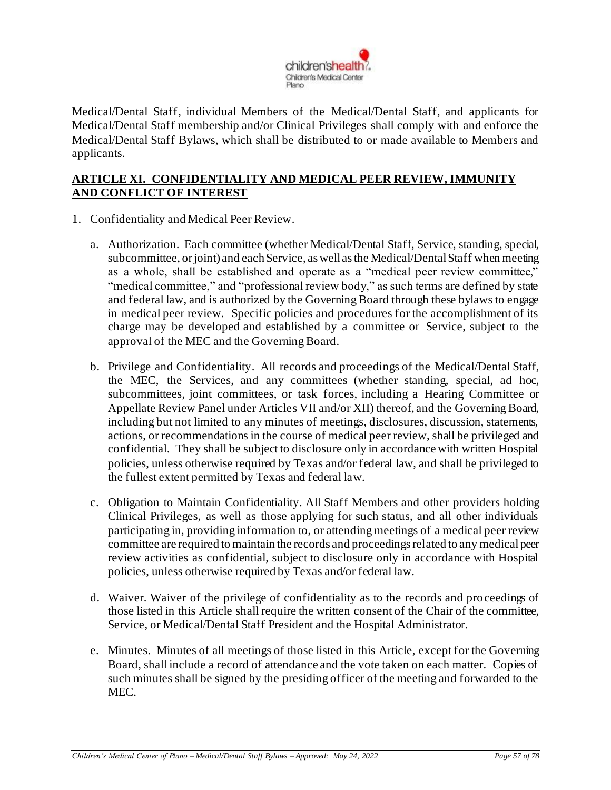

Medical/Dental Staff, individual Members of the Medical/Dental Staff, and applicants for Medical/Dental Staff membership and/or Clinical Privileges shall comply with and enforce the Medical/Dental Staff Bylaws, which shall be distributed to or made available to Members and applicants.

## **ARTICLE XI. CONFIDENTIALITY AND MEDICAL PEER REVIEW, IMMUNITY AND CONFLICT OF INTEREST**

- 1. Confidentiality and Medical Peer Review.
	- a. Authorization. Each committee (whether Medical/Dental Staff, Service, standing, special, subcommittee, or joint) and each Service, as well as the Medical/Dental Staff when meeting as a whole, shall be established and operate as a "medical peer review committee," "medical committee," and "professional review body," as such terms are defined by state and federal law, and is authorized by the Governing Board through these bylaws to engage in medical peer review. Specific policies and procedures for the accomplishment of its charge may be developed and established by a committee or Service, subject to the approval of the MEC and the Governing Board.
	- b. Privilege and Confidentiality. All records and proceedings of the Medical/Dental Staff, the MEC, the Services, and any committees (whether standing, special, ad hoc, subcommittees, joint committees, or task forces, including a Hearing Committee or Appellate Review Panel under Articles VII and/or XII) thereof, and the Governing Board, including but not limited to any minutes of meetings, disclosures, discussion, statements, actions, or recommendations in the course of medical peer review, shall be privileged and confidential. They shall be subject to disclosure only in accordance with written Hospital policies, unless otherwise required by Texas and/or federal law, and shall be privileged to the fullest extent permitted by Texas and federal law.
	- c. Obligation to Maintain Confidentiality. All Staff Members and other providers holding Clinical Privileges, as well as those applying for such status, and all other individuals participating in, providing information to, or attending meetings of a medical peer review committee are required to maintain the records and proceedings related to any medical peer review activities as confidential, subject to disclosure only in accordance with Hospital policies, unless otherwise required by Texas and/or federal law.
	- d. Waiver. Waiver of the privilege of confidentiality as to the records and proceedings of those listed in this Article shall require the written consent of the Chair of the committee, Service, or Medical/Dental Staff President and the Hospital Administrator.
	- e. Minutes. Minutes of all meetings of those listed in this Article, except for the Governing Board, shall include a record of attendance and the vote taken on each matter. Copies of such minutes shall be signed by the presiding officer of the meeting and forwarded to the MEC.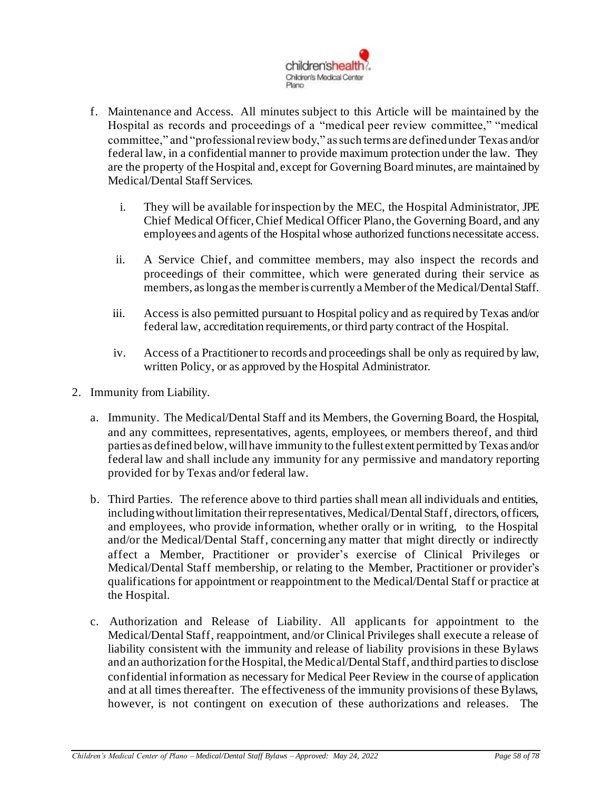

- f. Maintenance and Access. All minutes subject to this Article will be maintained by the Hospital as records and proceedings of a "medical peer review committee," "medical committee," and "professional review body," as such terms are defined under Texas and/or federal law, in a confidential manner to provide maximum protection under the law. They are the property of the Hospital and, except for Governing Board minutes, are maintained by Medical/Dental Staff Services.
	- i. They will be available for inspection by the MEC, the Hospital Administrator, JPE Chief Medical Officer,Chief Medical Officer Plano, the Governing Board, and any employees and agents of the Hospital whose authorized functions necessitate access.
	- ii. A Service Chief, and committee members, may also inspect the records and proceedings of their committee, which were generated during their service as members, as long as the member is currently a Member of the Medical/Dental Staff.
	- iii. Access is also permitted pursuant to Hospital policy and as required by Texas and/or federal law, accreditation requirements, or third party contract of the Hospital.
	- iv. Access of a Practitioner to records and proceedings shall be only as required by law, written Policy, or as approved by the Hospital Administrator.
- 2. Immunity from Liability.
	- a. Immunity. The Medical/Dental Staff and its Members, the Governing Board, the Hospital, and any committees, representatives, agents, employees, or members thereof, and third parties as defined below, will have immunity to the fullest extent permitted by Texas and/or federal law and shall include any immunity for any permissive and mandatory reporting provided for by Texas and/or federal law.
	- b. Third Parties. The reference above to third parties shall mean all individuals and entities, including without limitation their representatives, Medical/Dental Staff, directors, officers, and employees, who provide information, whether orally or in writing, to the Hospital and/or the Medical/Dental Staff, concerning any matter that might directly or indirectly affect a Member, Practitioner or provider's exercise of Clinical Privileges or Medical/Dental Staff membership, or relating to the Member, Practitioner or provider's qualifications for appointment or reappointment to the Medical/Dental Staff or practice at the Hospital.
	- c. Authorization and Release of Liability. All applicants for appointment to the Medical/Dental Staff, reappointment, and/or Clinical Privileges shall execute a release of liability consistent with the immunity and release of liability provisions in these Bylaws and an authorization for the Hospital, the Medical/Dental Staff, and third parties to disclose confidential information as necessary for Medical Peer Review in the course of application and at all times thereafter. The effectiveness of the immunity provisions of these Bylaws, however, is not contingent on execution of these authorizations and releases. The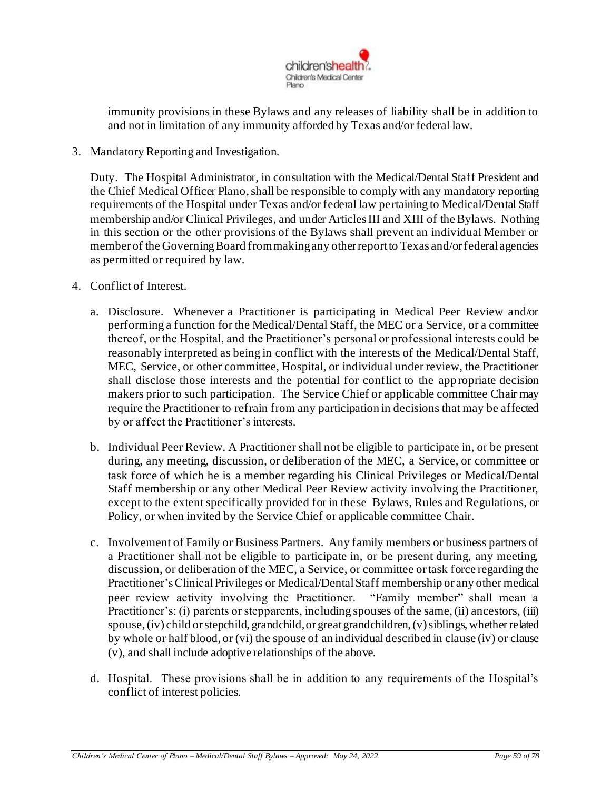

immunity provisions in these Bylaws and any releases of liability shall be in addition to and not in limitation of any immunity afforded by Texas and/or federal law.

3. Mandatory Reporting and Investigation.

Duty. The Hospital Administrator, in consultation with the Medical/Dental Staff President and the Chief Medical Officer Plano, shall be responsible to comply with any mandatory reporting requirements of the Hospital under Texas and/or federal law pertaining to Medical/Dental Staff membership and/or Clinical Privileges, and under Articles III and XIII of the Bylaws. Nothing in this section or the other provisions of the Bylaws shall prevent an individual Member or member of the Governing Board from making any other report to Texas and/or federal agencies as permitted or required by law.

- 4. Conflict of Interest.
	- a. Disclosure. Whenever a Practitioner is participating in Medical Peer Review and/or performing a function for the Medical/Dental Staff, the MEC or a Service, or a committee thereof, or the Hospital, and the Practitioner's personal or professional interests could be reasonably interpreted as being in conflict with the interests of the Medical/Dental Staff, MEC, Service, or other committee, Hospital, or individual under review, the Practitioner shall disclose those interests and the potential for conflict to the appropriate decision makers prior to such participation. The Service Chief or applicable committee Chair may require the Practitioner to refrain from any participation in decisions that may be affected by or affect the Practitioner's interests.
	- b. Individual Peer Review. A Practitioner shall not be eligible to participate in, or be present during, any meeting, discussion, or deliberation of the MEC, a Service, or committee or task force of which he is a member regarding his Clinical Privileges or Medical/Dental Staff membership or any other Medical Peer Review activity involving the Practitioner, except to the extent specifically provided for in these Bylaws, Rules and Regulations, or Policy, or when invited by the Service Chief or applicable committee Chair.
	- c. Involvement of Family or Business Partners. Any family members or business partners of a Practitioner shall not be eligible to participate in, or be present during, any meeting, discussion, or deliberation of the MEC, a Service, or committee or task force regarding the Practitioner's Clinical Privileges or Medical/Dental Staff membership or any other medical peer review activity involving the Practitioner. "Family member" shall mean a Practitioner's: (i) parents or stepparents, including spouses of the same, (ii) ancestors, (iii) spouse, (iv) child or stepchild, grandchild, or great grandchildren, (v) siblings, whether related by whole or half blood, or (vi) the spouse of an individual described in clause (iv) or clause (v), and shall include adoptive relationships of the above.
	- d. Hospital. These provisions shall be in addition to any requirements of the Hospital's conflict of interest policies.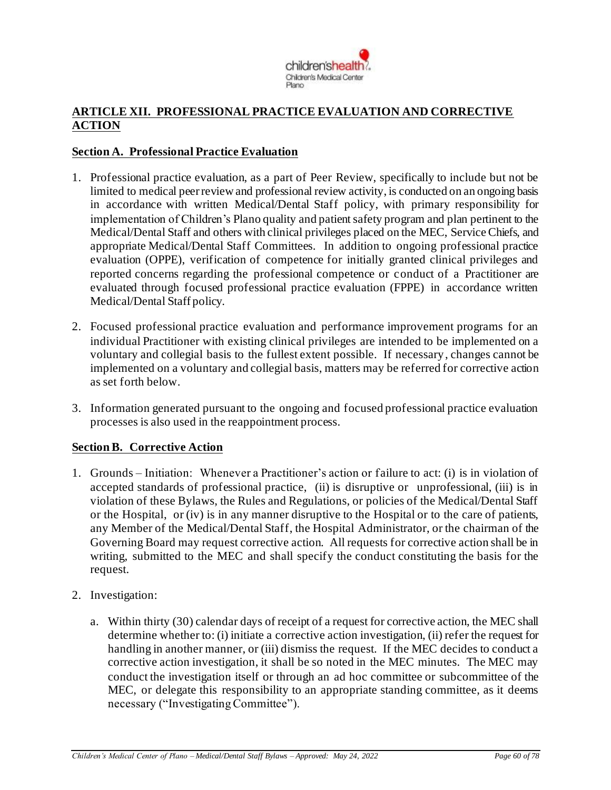

# **ARTICLE XII. PROFESSIONAL PRACTICE EVALUATION AND CORRECTIVE ACTION**

### **Section A. Professional Practice Evaluation**

- 1. Professional practice evaluation, as a part of Peer Review, specifically to include but not be limited to medical peer review and professional review activity, is conducted on an ongoing basis in accordance with written Medical/Dental Staff policy, with primary responsibility for implementation of Children's Plano quality and patient safety program and plan pertinent to the Medical/Dental Staff and others with clinical privileges placed on the MEC, ServiceChiefs, and appropriate Medical/Dental Staff Committees. In addition to ongoing professional practice evaluation (OPPE), verification of competence for initially granted clinical privileges and reported concerns regarding the professional competence or conduct of a Practitioner are evaluated through focused professional practice evaluation (FPPE) in accordance written Medical/Dental Staff policy.
- 2. Focused professional practice evaluation and performance improvement programs for an individual Practitioner with existing clinical privileges are intended to be implemented on a voluntary and collegial basis to the fullest extent possible. If necessary, changes cannot be implemented on a voluntary and collegial basis, matters may be referred for corrective action as set forth below.
- 3. Information generated pursuant to the ongoing and focused professional practice evaluation processes is also used in the reappointment process.

## **Section B. Corrective Action**

- 1. Grounds Initiation: Whenever a Practitioner's action or f ailure to act: (i) is in violation of accepted standards of professional practice, (ii) is disruptive or unprofessional, (iii) is in violation of these Bylaws, the Rules and Regulations, or policies of the Medical/Dental Staff or the Hospital, or (iv) is in any manner disruptive to the Hospital or to the care of patients, any Member of the Medical/Dental Staff, the Hospital Administrator, or the chairman of the Governing Board may request corrective action. All requests for corrective action shall be in writing, submitted to the MEC and shall specify the conduct constituting the basis for the request.
- 2. Investigation:
	- a. Within thirty (30) calendar days of receipt of a request for corrective action, the MEC shall determine whether to: (i) initiate a corrective action investigation, (ii) refer the request for handling in another manner, or (iii) dismiss the request. If the MEC decides to conduct a corrective action investigation, it shall be so noted in the MEC minutes. The MEC may conduct the investigation itself or through an ad hoc committee or subcommittee of the MEC, or delegate this responsibility to an appropriate standing committee, as it deems necessary ("Investigating Committee").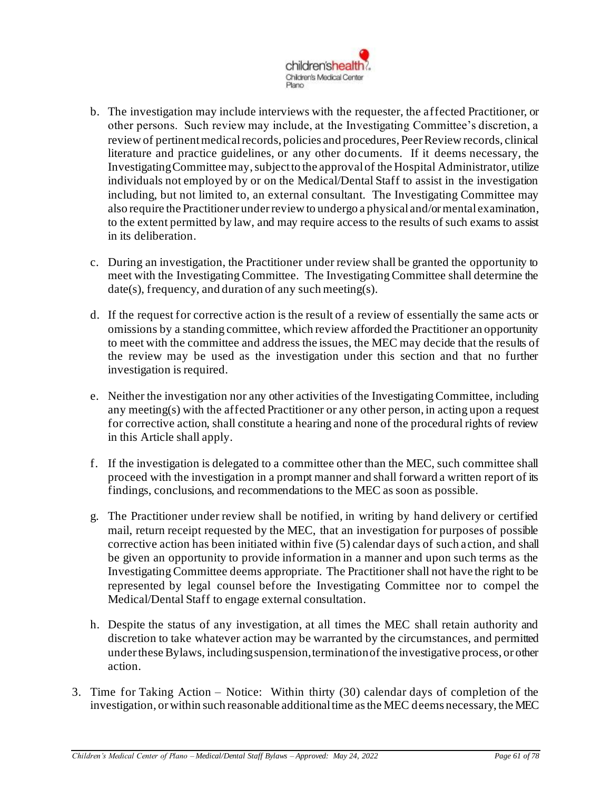

- b. The investigation may include interviews with the requester, the affected Practitioner, or other persons. Such review may include, at the Investigating Committee's discretion, a review of pertinent medical records, policies and procedures, Peer Review records, clinical literature and practice guidelines, or any other documents. If it deems necessary, the Investigating Committee may, subject to the approval of the Hospital Administrator, utilize individuals not employed by or on the Medical/Dental Staff to assist in the investigation including, but not limited to, an external consultant. The Investigating Committee may also require the Practitioner under review to undergo a physical and/or mental examination, to the extent permitted by law, and may require access to the results of such exams to assist in its deliberation.
- c. During an investigation, the Practitioner under review shall be granted the opportunity to meet with the Investigating Committee. The Investigating Committee shall determine the date(s), frequency, and duration of any such meeting(s).
- d. If the request for corrective action is the result of a review of essentially the same acts or omissions by a standing committee, which review afforded the Practitioner an opportunity to meet with the committee and address the issues, the MEC may decide that the results of the review may be used as the investigation under this section and that no further investigation is required.
- e. Neither the investigation nor any other activities of the Investigating Committee, including any meeting(s) with the affected Practitioner or any other person, in acting upon a request for corrective action, shall constitute a hearing and none of the procedural rights of review in this Article shall apply.
- f. If the investigation is delegated to a committee other than the MEC, such committee shall proceed with the investigation in a prompt manner and shall forward a written report of its findings, conclusions, and recommendations to the MEC as soon as possible.
- g. The Practitioner under review shall be notified, in writing by hand delivery or certified mail, return receipt requested by the MEC, that an investigation for purposes of possible corrective action has been initiated within five (5) calendar days of such action, and shall be given an opportunity to provide information in a manner and upon such terms as the Investigating Committee deems appropriate. The Practitioner shall not have the right to be represented by legal counsel before the Investigating Committee nor to compel the Medical/Dental Staff to engage external consultation.
- h. Despite the status of any investigation, at all times the MEC shall retain authority and discretion to take whatever action may be warranted by the circumstances, and permitted under these Bylaws, including suspension, termination of the investigative process, or other action.
- 3. Time for Taking Action Notice: Within thirty (30) calendar days of completion of the investigation, or within such reasonable additional time as the MEC deems necessary, the MEC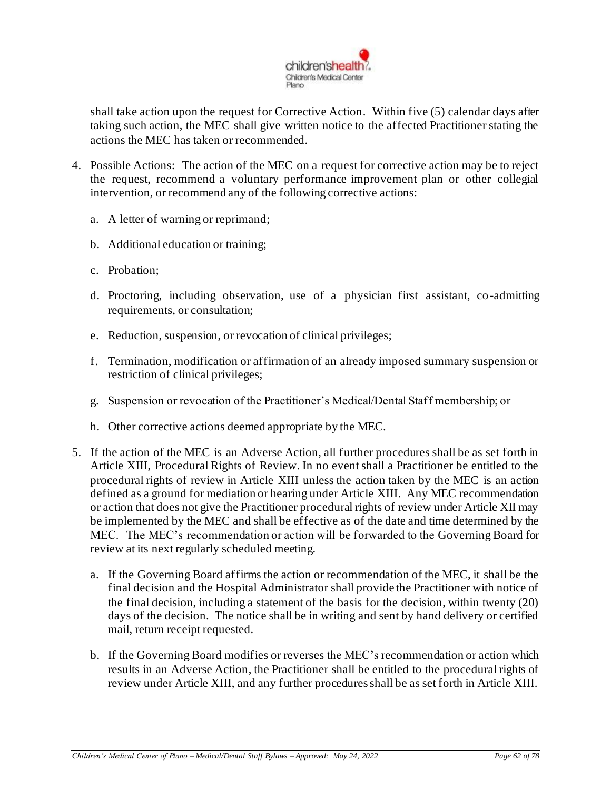

shall take action upon the request for Corrective Action. Within five (5) calendar days after taking such action, the MEC shall give written notice to the affected Practitioner stating the actions the MEC has taken or recommended.

- 4. Possible Actions: The action of the MEC on a request for corrective action may be to reject the request, recommend a voluntary performance improvement plan or other collegial intervention, or recommend any of the following corrective actions:
	- a. A letter of warning or reprimand;
	- b. Additional education or training;
	- c. Probation;
	- d. Proctoring, including observation, use of a physician first assistant, co-admitting requirements, or consultation;
	- e. Reduction, suspension, or revocation of clinical privileges;
	- f. Termination, modification or affirmation of an already imposed summary suspension or restriction of clinical privileges;
	- g. Suspension or revocation of the Practitioner's Medical/Dental Staff membership; or
	- h. Other corrective actions deemed appropriate by the MEC.
- 5. If the action of the MEC is an Adverse Action, all further procedures shall be as set forth in Article XIII, Procedural Rights of Review. In no event shall a Practitioner be entitled to the procedural rights of review in Article XIII unless the action taken by the MEC is an action defined as a ground for mediation or hearing under Article XIII. Any MEC recommendation or action that does not give the Practitioner procedural rights of review under Article XII may be implemented by the MEC and shall be effective as of the date and time determined by the MEC. The MEC's recommendation or action will be forwarded to the Governing Board for review at its next regularly scheduled meeting.
	- a. If the Governing Board affirms the action or recommendation of the MEC, it shall be the final decision and the Hospital Administrator shall provide the Practitioner with notice of the final decision, including a statement of the basis for the decision, within twenty (20) days of the decision. The notice shall be in writing and sent by hand delivery or certified mail, return receipt requested.
	- b. If the Governing Board modifies or reverses the MEC's recommendation or action which results in an Adverse Action, the Practitioner shall be entitled to the procedural rights of review under Article XIII, and any further procedures shall be as set forth in Article XIII.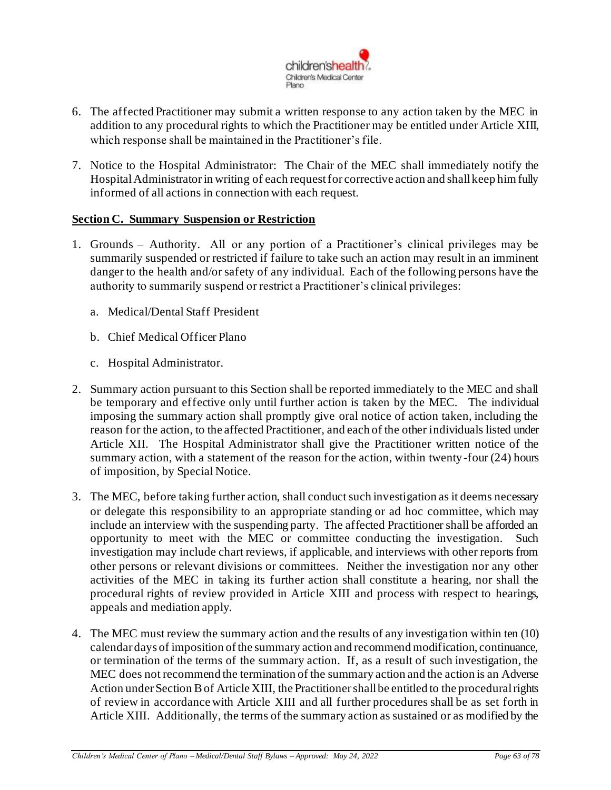

- 6. The affected Practitioner may submit a written response to any action taken by the MEC in addition to any procedural rights to which the Practitioner may be entitled under Article XIII, which response shall be maintained in the Practitioner's file.
- 7. Notice to the Hospital Administrator: The Chair of the MEC shall immediately notify the Hospital Administratorin writing of each request for corrective action and shall keep him fully informed of all actions in connection with each request.

### **Section C. Summary Suspension or Restriction**

- 1. Grounds Authority. All or any portion of a Practitioner's clinical privileges may be summarily suspended or restricted if failure to take such an action may result in an imminent danger to the health and/or safety of any individual. Each of the following persons have the authority to summarily suspend or restrict a Practitioner's clinical privileges:
	- a. Medical/Dental Staff President
	- b. Chief Medical Officer Plano
	- c. Hospital Administrator.
- 2. Summary action pursuant to this Section shall be reported immediately to the MEC and shall be temporary and effective only until further action is taken by the MEC. The individual imposing the summary action shall promptly give oral notice of action taken, including the reason for the action, to the affected Practitioner, and each of the other individuals listed under Article XII. The Hospital Administrator shall give the Practitioner written notice of the summary action, with a statement of the reason for the action, within twenty-four (24) hours of imposition, by Special Notice.
- 3. The MEC, before taking further action, shall conduct such investigation as it deems necessary or delegate this responsibility to an appropriate standing or ad hoc committee, which may include an interview with the suspending party. The affected Practitioner shall be afforded an opportunity to meet with the MEC or committee conducting the investigation. Such investigation may include chart reviews, if applicable, and interviews with other reports from other persons or relevant divisions or committees. Neither the investigation nor any other activities of the MEC in taking its further action shall constitute a hearing, nor shall the procedural rights of review provided in Article XIII and process with respect to hearings, appeals and mediation apply.
- 4. The MEC must review the summary action and the results of any investigation within ten (10) calendar days of imposition of the summary action and recommend modification, continuance, or termination of the terms of the summary action. If, as a result of such investigation, the MEC does not recommend the termination of the summary action and the action is an Adverse Action under Section B of Article XIII, the Practitioner shall be entitled to the procedural rights of review in accordance with Article XIII and all further procedures shall be as set forth in Article XIII. Additionally, the terms of the summary action as sustained or as modified by the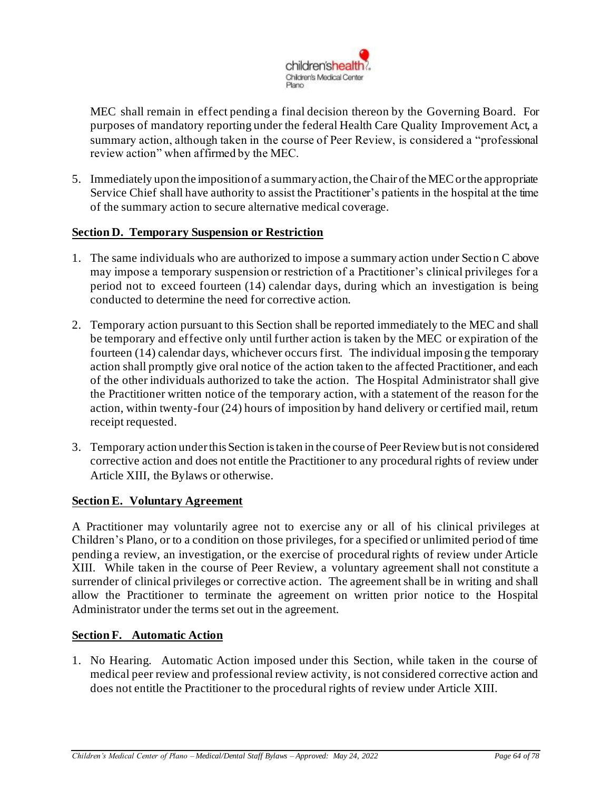

MEC shall remain in effect pending a final decision thereon by the Governing Board. For purposes of mandatory reporting under the federal Health Care Quality Improvement Act, a summary action, although taken in the course of Peer Review, is considered a "professional review action" when affirmed by the MEC.

5. Immediately upon the imposition of a summary action, the Chair of the MEC or the appropriate Service Chief shall have authority to assist the Practitioner's patients in the hospital at the time of the summary action to secure alternative medical coverage.

### **Section D. Temporary Suspension or Restriction**

- 1. The same individuals who are authorized to impose a summary action under Section C above may impose a temporary suspension or restriction of a Practitioner's clinical privileges for a period not to exceed fourteen (14) calendar days, during which an investigation is being conducted to determine the need for corrective action.
- 2. Temporary action pursuant to this Section shall be reported immediately to the MEC and shall be temporary and effective only until further action is taken by the MEC or expiration of the fourteen (14) calendar days, whichever occurs first. The individual imposing the temporary action shall promptly give oral notice of the action taken to the affected Practitioner, and each of the other individuals authorized to take the action. The Hospital Administrator shall give the Practitioner written notice of the temporary action, with a statement of the reason for the action, within twenty-four (24) hours of imposition by hand delivery or certified mail, return receipt requested.
- 3. Temporary action under this Section is taken in the course of Peer Review but is not considered corrective action and does not entitle the Practitioner to any procedural rights of review under Article XIII, the Bylaws or otherwise.

#### **Section E. Voluntary Agreement**

A Practitioner may voluntarily agree not to exercise any or all of his clinical privileges at Children's Plano, or to a condition on those privileges, for a specified or unlimited period of time pending a review, an investigation, or the exercise of procedural rights of review under Article XIII. While taken in the course of Peer Review, a voluntary agreement shall not constitute a surrender of clinical privileges or corrective action. The agreement shall be in writing and shall allow the Practitioner to terminate the agreement on written prior notice to the Hospital Administrator under the terms set out in the agreement.

#### **Section F. Automatic Action**

1. No Hearing. Automatic Action imposed under this Section, while taken in the course of medical peer review and professional review activity, is not considered corrective action and does not entitle the Practitioner to the procedural rights of review under Article XIII.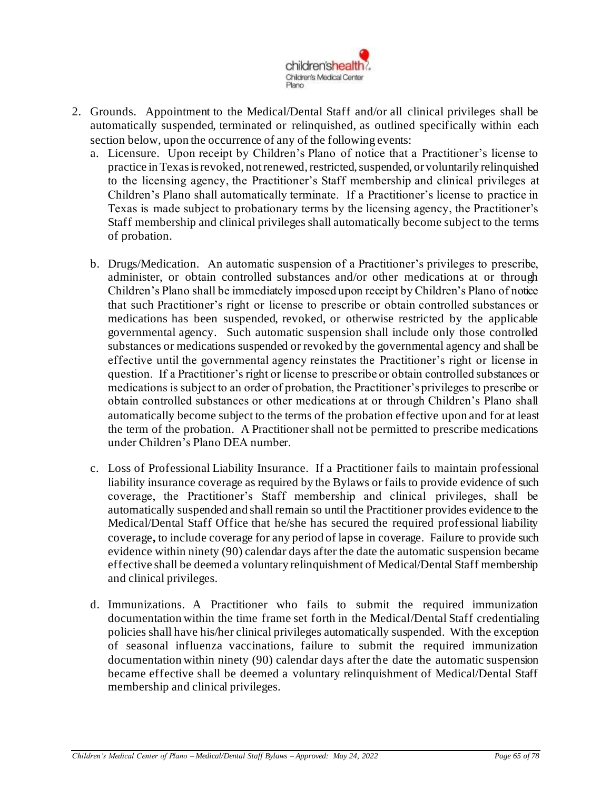

- 2. Grounds. Appointment to the Medical/Dental Staff and/or all clinical privileges shall be automatically suspended, terminated or relinquished, as outlined specifically within each section below, upon the occurrence of any of the following events:
	- a. Licensure. Upon receipt by Children's Plano of notice that a Practitioner's license to practice in Texas is revoked, not renewed, restricted, suspended, or voluntarily relinquished to the licensing agency, the Practitioner's Staff membership and clinical privileges at Children's Plano shall automatically terminate. If a Practitioner's license to practice in Texas is made subject to probationary terms by the licensing agency, the Practitioner's Staff membership and clinical privileges shall automatically become subject to the terms of probation.
	- b. Drugs/Medication. An automatic suspension of a Practitioner's privileges to prescribe, administer, or obtain controlled substances and/or other medications at or through Children's Plano shall be immediately imposed upon receipt by Children's Plano of notice that such Practitioner's right or license to prescribe or obtain controlled substances or medications has been suspended, revoked, or otherwise restricted by the applicable governmental agency. Such automatic suspension shall include only those controlled substances or medications suspended or revoked by the governmental agency and shall be effective until the governmental agency reinstates the Practitioner's right or license in question. If a Practitioner's right or license to prescribe or obtain controlled substances or medications is subject to an order of probation, the Practitioner's privileges to prescribe or obtain controlled substances or other medications at or through Children's Plano shall automatically become subject to the terms of the probation effective upon and for at least the term of the probation. A Practitioner shall not be permitted to prescribe medications under Children's Plano DEA number.
	- c. Loss of Professional Liability Insurance. If a Practitioner fails to maintain professional liability insurance coverage as required by the Bylaws or fails to provide evidence of such coverage, the Practitioner's Staff membership and clinical privileges, shall be automatically suspended and shall remain so until the Practitioner provides evidence to the Medical/Dental Staff Office that he/she has secured the required professional liability coverage**,** to include coverage for any period of lapse in coverage. Failure to provide such evidence within ninety (90) calendar days after the date the automatic suspension became effective shall be deemed a voluntary relinquishment of Medical/Dental Staff membership and clinical privileges.
	- d. Immunizations. A Practitioner who fails to submit the required immunization documentation within the time frame set forth in the Medical/Dental Staff credentialing policies shall have his/her clinical privileges automatically suspended. With the exception of seasonal influenza vaccinations, failure to submit the required immunization documentation within ninety (90) calendar days after the date the automatic suspension became effective shall be deemed a voluntary relinquishment of Medical/Dental Staff membership and clinical privileges.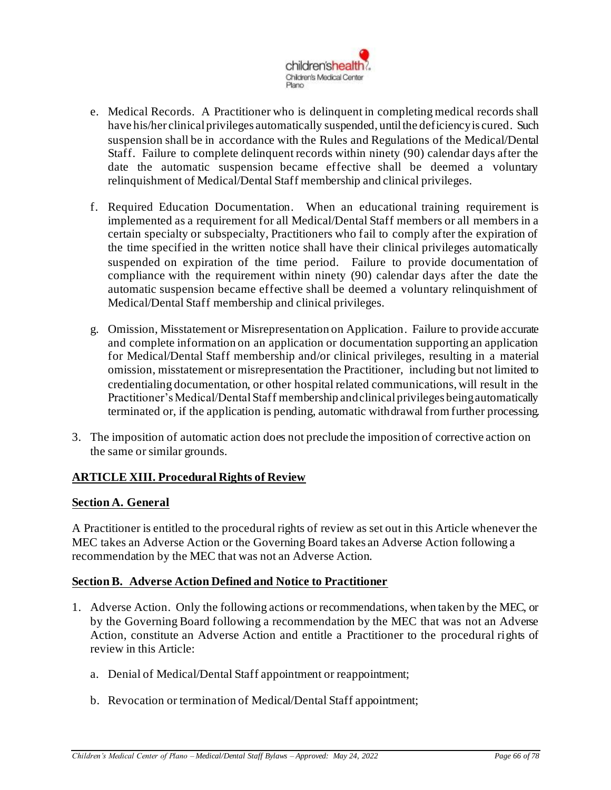

- e. Medical Records. A Practitioner who is delinquent in completing medical records shall have his/her clinical privileges automatically suspended, until the deficiency is cured. Such suspension shall be in accordance with the Rules and Regulations of the Medical/Dental Staff. Failure to complete delinquent records within ninety (90) calendar days after the date the automatic suspension became effective shall be deemed a voluntary relinquishment of Medical/Dental Staff membership and clinical privileges.
- f. Required Education Documentation. When an educational training requirement is implemented as a requirement for all Medical/Dental Staff members or all members in a certain specialty or subspecialty, Practitioners who fail to comply after the expiration of the time specified in the written notice shall have their clinical privileges automatically suspended on expiration of the time period. Failure to provide documentation of compliance with the requirement within ninety (90) calendar days after the date the automatic suspension became effective shall be deemed a voluntary relinquishment of Medical/Dental Staff membership and clinical privileges.
- g. Omission, Misstatement or Misrepresentation on Application. Failure to provide accurate and complete information on an application or documentation supporting an application for Medical/Dental Staff membership and/or clinical privileges, resulting in a material omission, misstatement or misrepresentation the Practitioner, including but not limited to credentialing documentation, or other hospital related communications, will result in the Practitioner's Medical/Dental Staff membership and clinical privileges being automatically terminated or, if the application is pending, automatic withdrawal from further processing.
- 3. The imposition of automatic action does not preclude the imposition of corrective action on the same or similar grounds.

## **ARTICLE XIII. Procedural Rights of Review**

## **Section A. General**

A Practitioner is entitled to the procedural rights of review as set out in this Article whenever the MEC takes an Adverse Action or the Governing Board takes an Adverse Action following a recommendation by the MEC that was not an Adverse Action.

## **Section B. Adverse Action Defined and Notice to Practitioner**

- 1. Adverse Action. Only the following actions or recommendations, when taken by the MEC, or by the Governing Board following a recommendation by the MEC that was not an Adverse Action, constitute an Adverse Action and entitle a Practitioner to the procedural rights of review in this Article:
	- a. Denial of Medical/Dental Staff appointment or reappointment;
	- b. Revocation or termination of Medical/Dental Staff appointment;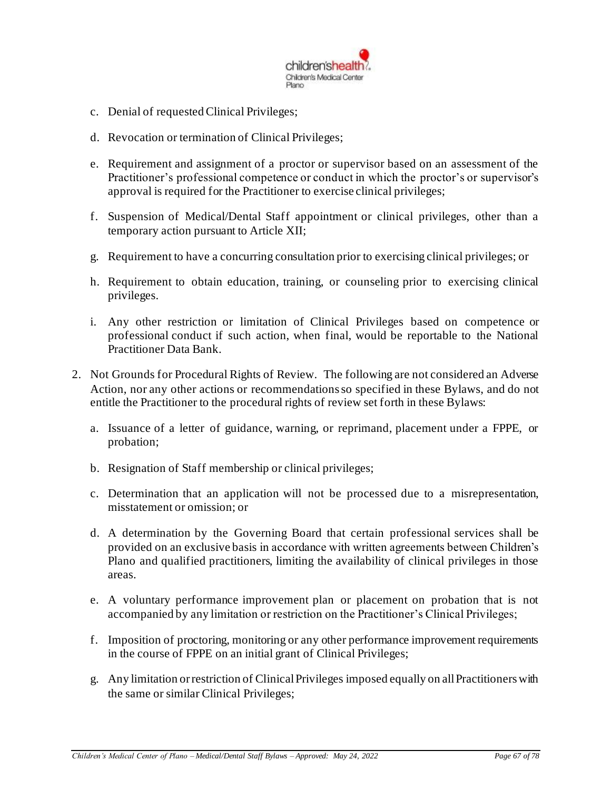

- c. Denial of requested Clinical Privileges;
- d. Revocation or termination of Clinical Privileges;
- e. Requirement and assignment of a proctor or supervisor based on an assessment of the Practitioner's professional competence or conduct in which the proctor's or supervisor's approval is required for the Practitioner to exercise clinical privileges;
- f. Suspension of Medical/Dental Staff appointment or clinical privileges, other than a temporary action pursuant to Article XII;
- g. Requirement to have a concurring consultation prior to exercising clinical privileges; or
- h. Requirement to obtain education, training, or counseling prior to exercising clinical privileges.
- i. Any other restriction or limitation of Clinical Privileges based on competence or professional conduct if such action, when final, would be reportable to the National Practitioner Data Bank.
- 2. Not Grounds for Procedural Rights of Review. The following are not considered an Adverse Action, nor any other actions or recommendations so specified in these Bylaws, and do not entitle the Practitioner to the procedural rights of review set forth in these Bylaws:
	- a. Issuance of a letter of guidance, warning, or reprimand, placement under a FPPE, or probation;
	- b. Resignation of Staff membership or clinical privileges;
	- c. Determination that an application will not be processed due to a misrepresentation, misstatement or omission; or
	- d. A determination by the Governing Board that certain professional services shall be provided on an exclusive basis in accordance with written agreements between Children's Plano and qualified practitioners, limiting the availability of clinical privileges in those areas.
	- e. A voluntary performance improvement plan or placement on probation that is not accompanied by any limitation or restriction on the Practitioner's Clinical Privileges;
	- f. Imposition of proctoring, monitoring or any other performance improvement requirements in the course of FPPE on an initial grant of Clinical Privileges;
	- g. Any limitation or restriction of Clinical Privileges imposed equally on all Practitioners with the same or similar Clinical Privileges;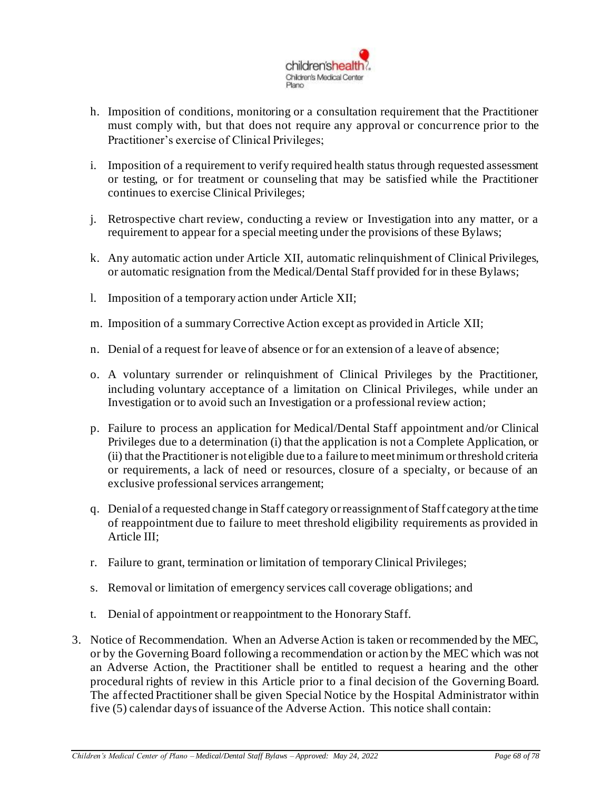

- h. Imposition of conditions, monitoring or a consultation requirement that the Practitioner must comply with, but that does not require any approval or concurrence prior to the Practitioner's exercise of Clinical Privileges;
- i. Imposition of a requirement to verify required health status through requested assessment or testing, or for treatment or counseling that may be satisfied while the Practitioner continues to exercise Clinical Privileges;
- j. Retrospective chart review, conducting a review or Investigation into any matter, or a requirement to appear for a special meeting under the provisions of these Bylaws;
- k. Any automatic action under Article XII, automatic relinquishment of Clinical Privileges, or automatic resignation from the Medical/Dental Staff provided for in these Bylaws;
- l. Imposition of a temporary action under Article XII;
- m. Imposition of a summary Corrective Action except as provided in Article XII;
- n. Denial of a request for leave of absence or for an extension of a leave of absence;
- o. A voluntary surrender or relinquishment of Clinical Privileges by the Practitioner, including voluntary acceptance of a limitation on Clinical Privileges, while under an Investigation or to avoid such an Investigation or a professional review action;
- p. Failure to process an application for Medical/Dental Staff appointment and/or Clinical Privileges due to a determination (i) that the application is not a Complete Application, or (ii) that the Practitioner is not eligible due to a failure to meet minimum or threshold criteria or requirements, a lack of need or resources, closure of a specialty, or because of an exclusive professional services arrangement;
- q. Denial of a requested change in Staff category or reassignment of Staff category at the time of reappointment due to failure to meet threshold eligibility requirements as provided in Article III;
- r. Failure to grant, termination or limitation of temporary Clinical Privileges;
- s. Removal or limitation of emergency services call coverage obligations; and
- t. Denial of appointment or reappointment to the Honorary Staff.
- 3. Notice of Recommendation. When an Adverse Action is taken or recommended by the MEC, or by the Governing Board following a recommendation or action by the MEC which was not an Adverse Action, the Practitioner shall be entitled to request a hearing and the other procedural rights of review in this Article prior to a final decision of the Governing Board. The affected Practitioner shall be given Special Notice by the Hospital Administrator within five (5) calendar days of issuance of the Adverse Action. This notice shall contain: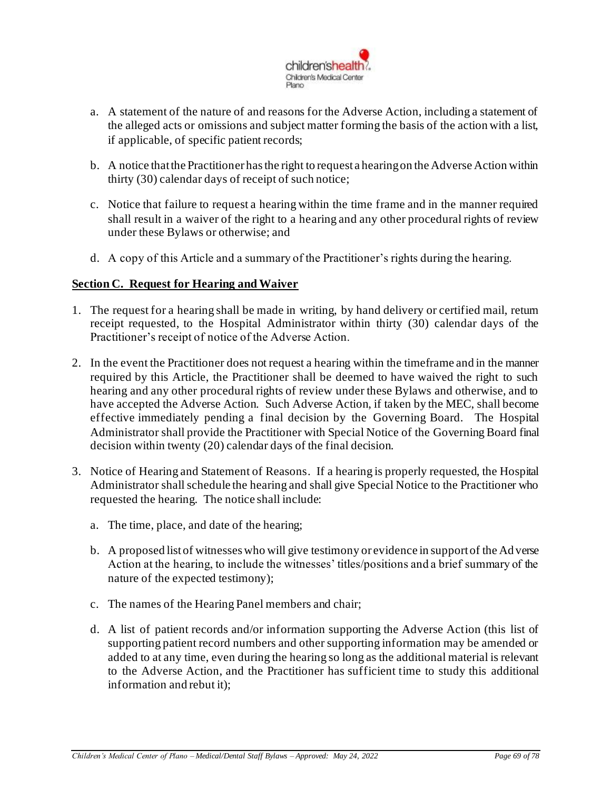

- a. A statement of the nature of and reasons for the Adverse Action, including a statement of the alleged acts or omissions and subject matter forming the basis of the action with a list, if applicable, of specific patient records;
- b. A notice that the Practitioner has the right to request a hearing on the Adverse Action within thirty (30) calendar days of receipt of such notice;
- c. Notice that failure to request a hearing within the time frame and in the manner required shall result in a waiver of the right to a hearing and any other procedural rights of review under these Bylaws or otherwise; and
- d. A copy of this Article and a summary of the Practitioner's rights during the hearing.

### **Section C. Request for Hearing and Waiver**

- 1. The request for a hearing shall be made in writing, by hand delivery or certified mail, return receipt requested, to the Hospital Administrator within thirty (30) calendar days of the Practitioner's receipt of notice of the Adverse Action.
- 2. In the event the Practitioner does not request a hearing within the timeframe and in the manner required by this Article, the Practitioner shall be deemed to have waived the right to such hearing and any other procedural rights of review under these Bylaws and otherwise, and to have accepted the Adverse Action. Such Adverse Action, if taken by the MEC, shall become effective immediately pending a final decision by the Governing Board. The Hospital Administrator shall provide the Practitioner with Special Notice of the Governing Board final decision within twenty (20) calendar days of the final decision.
- 3. Notice of Hearing and Statement of Reasons. If a hearing is properly requested, the Hospital Administrator shall schedule the hearing and shall give Special Notice to the Practitioner who requested the hearing. The notice shall include:
	- a. The time, place, and date of the hearing;
	- b. A proposed list of witnesses who will give testimony or evidence in support of the Ad verse Action at the hearing, to include the witnesses' titles/positions and a brief summary of the nature of the expected testimony);
	- c. The names of the Hearing Panel members and chair;
	- d. A list of patient records and/or information supporting the Adverse Action (this list of supporting patient record numbers and other supporting information may be amended or added to at any time, even during the hearing so long as the additional material is relevant to the Adverse Action, and the Practitioner has sufficient time to study this additional information and rebut it);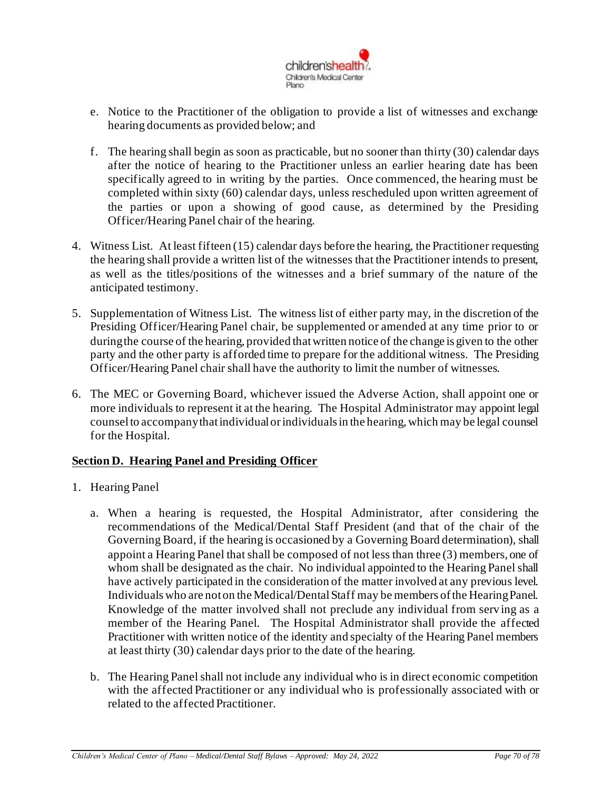

- e. Notice to the Practitioner of the obligation to provide a list of witnesses and exchange hearing documents as provided below; and
- f. The hearing shall begin as soon as practicable, but no sooner than thirty (30) calendar days after the notice of hearing to the Practitioner unless an earlier hearing date has been specifically agreed to in writing by the parties. Once commenced, the hearing must be completed within sixty (60) calendar days, unless rescheduled upon written agreement of the parties or upon a showing of good cause, as determined by the Presiding Officer/Hearing Panel chair of the hearing.
- 4. Witness List. At least fifteen (15) calendar days before the hearing, the Practitioner requesting the hearing shall provide a written list of the witnesses that the Practitioner intends to present, as well as the titles/positions of the witnesses and a brief summary of the nature of the anticipated testimony.
- 5. Supplementation of Witness List. The witness list of either party may, in the discretion of the Presiding Officer/Hearing Panel chair, be supplemented or amended at any time prior to or during the course of the hearing, provided that written notice of the change is given to the other party and the other party is afforded time to prepare for the additional witness. The Presiding Officer/Hearing Panel chair shall have the authority to limit the number of witnesses.
- 6. The MEC or Governing Board, whichever issued the Adverse Action, shall appoint one or more individuals to represent it at the hearing. The Hospital Administrator may appoint legal counsel to accompany that individual or individuals in the hearing, which may be legal counsel for the Hospital.

## **Section D. Hearing Panel and Presiding Officer**

- 1. Hearing Panel
	- a. When a hearing is requested, the Hospital Administrator, after considering the recommendations of the Medical/Dental Staff President (and that of the chair of the Governing Board, if the hearing is occasioned by a Governing Board determination), shall appoint a Hearing Panel that shall be composed of not less than three (3) members, one of whom shall be designated as the chair. No individual appointed to the Hearing Panel shall have actively participated in the consideration of the matter involved at any previous level. Individuals who are not on the Medical/Dental Staff may be members of the Hearing Panel. Knowledge of the matter involved shall not preclude any individual from serv ing as a member of the Hearing Panel. The Hospital Administrator shall provide the affected Practitioner with written notice of the identity and specialty of the Hearing Panel members at least thirty (30) calendar days prior to the date of the hearing.
	- b. The Hearing Panel shall not include any individual who is in direct economic competition with the affected Practitioner or any individual who is professionally associated with or related to the affected Practitioner.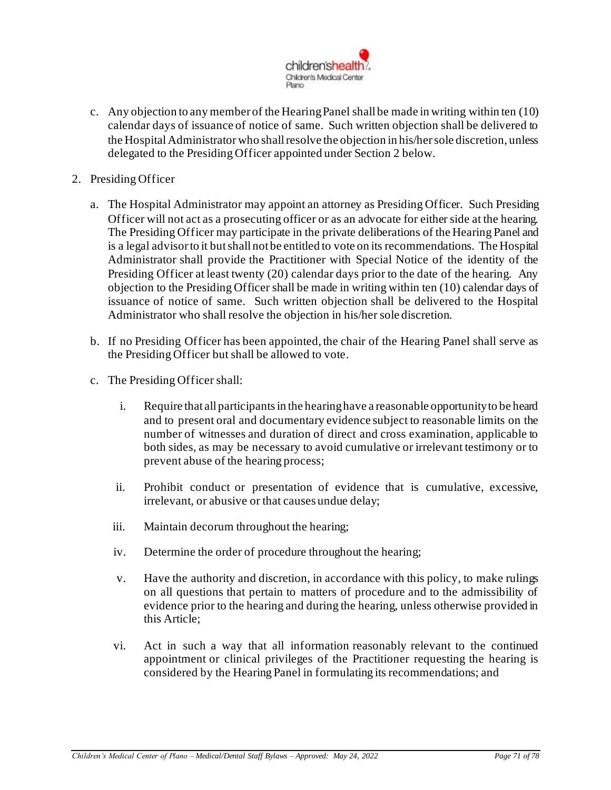

- c. Any objection to any member of the Hearing Panel shall be made in writing within ten (10) calendar days of issuance of notice of same. Such written objection shall be delivered to the Hospital Administrator who shall resolve the objection in his/her sole discretion, unless delegated to the Presiding Officer appointed under Section 2 below.
- 2. Presiding Officer
	- a. The Hospital Administrator may appoint an attorney as Presiding Officer. Such Presiding Officer will not act as a prosecuting officer or as an advocate for either side at the hearing. The Presiding Officer may participate in the private deliberations of the Hearing Panel and is a legal advisor to it but shall not be entitled to vote on its recommendations. The Hospital Administrator shall provide the Practitioner with Special Notice of the identity of the Presiding Officer at least twenty (20) calendar days prior to the date of the hearing. Any objection to the Presiding Officer shall be made in writing within ten (10) calendar days of issuance of notice of same. Such written objection shall be delivered to the Hospital Administrator who shall resolve the objection in his/her sole discretion.
	- b. If no Presiding Officer has been appointed, the chair of the Hearing Panel shall serve as the Presiding Officer but shall be allowed to vote.
	- c. The Presiding Officer shall:
		- i. Require that all participants in the hearing have a reasonable opportunity to be heard and to present oral and documentary evidence subject to reasonable limits on the number of witnesses and duration of direct and cross examination, applicable to both sides, as may be necessary to avoid cumulative or irrelevant testimony or to prevent abuse of the hearing process;
		- ii. Prohibit conduct or presentation of evidence that is cumulative, excessive, irrelevant, or abusive or that causes undue delay;
		- iii. Maintain decorum throughout the hearing;
		- iv. Determine the order of procedure throughout the hearing;
		- v. Have the authority and discretion, in accordance with this policy, to make rulings on all questions that pertain to matters of procedure and to the admissibility of evidence prior to the hearing and during the hearing, unless otherwise provided in this Article;
		- vi. Act in such a way that all information reasonably relevant to the continued appointment or clinical privileges of the Practitioner requesting the hearing is considered by the Hearing Panel in formulating its recommendations; and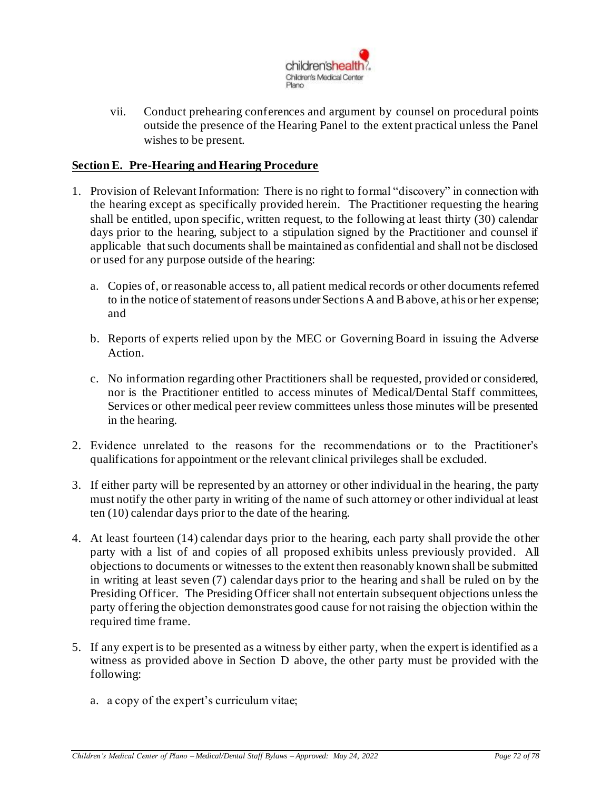

vii. Conduct prehearing conferences and argument by counsel on procedural points outside the presence of the Hearing Panel to the extent practical unless the Panel wishes to be present.

### **Section E. Pre-Hearing and Hearing Procedure**

- 1. Provision of Relevant Information: There is no right to formal "discovery" in connection with the hearing except as specifically provided herein. The Practitioner requesting the hearing shall be entitled, upon specific, written request, to the following at least thirty (30) calendar days prior to the hearing, subject to a stipulation signed by the Practitioner and counsel if applicable that such documents shall be maintained as confidential and shall not be disclosed or used for any purpose outside of the hearing:
	- a. Copies of, or reasonable access to, all patient medical records or other documents referred to in the notice of statement of reasons under Sections A and Babove, at his or her expense; and
	- b. Reports of experts relied upon by the MEC or Governing Board in issuing the Adverse Action.
	- c. No information regarding other Practitioners shall be requested, provided or considered, nor is the Practitioner entitled to access minutes of Medical/Dental Staff committees, Services or other medical peer review committees unless those minutes will be presented in the hearing.
- 2. Evidence unrelated to the reasons for the recommendations or to the Practitioner's qualifications for appointment or the relevant clinical privileges shall be excluded.
- 3. If either party will be represented by an attorney or other individual in the hearing, the party must notify the other party in writing of the name of such attorney or other individual at least ten (10) calendar days prior to the date of the hearing.
- 4. At least fourteen (14) calendar days prior to the hearing, each party shall provide the other party with a list of and copies of all proposed exhibits unless previously provided. All objections to documents or witnesses to the extent then reasonably known shall be submitted in writing at least seven (7) calendar days prior to the hearing and shall be ruled on by the Presiding Officer. The Presiding Officer shall not entertain subsequent objections unless the party offering the objection demonstrates good cause for not raising the objection within the required time frame.
- 5. If any expert is to be presented as a witness by either party, when the expert is identified as a witness as provided above in Section D above, the other party must be provided with the following:
	- a. a copy of the expert's curriculum vitae;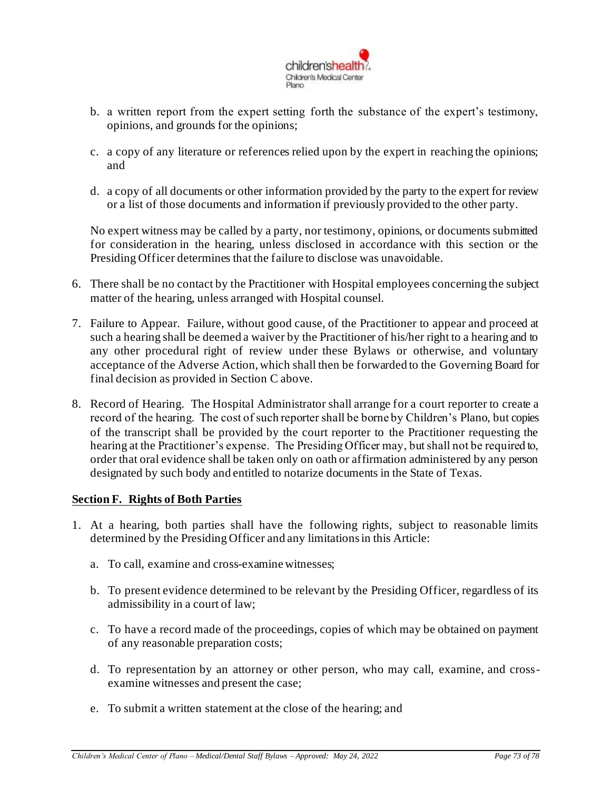

- b. a written report from the expert setting forth the substance of the expert's testimony, opinions, and grounds for the opinions;
- c. a copy of any literature or references relied upon by the expert in reaching the opinions; and
- d. a copy of all documents or other information provided by the party to the expert for review or a list of those documents and information if previously provided to the other party.

No expert witness may be called by a party, nor testimony, opinions, or documents submitted for consideration in the hearing, unless disclosed in accordance with this section or the Presiding Officer determines that the failure to disclose was unavoidable.

- 6. There shall be no contact by the Practitioner with Hospital employees concerning the subject matter of the hearing, unless arranged with Hospital counsel.
- 7. Failure to Appear. Failure, without good cause, of the Practitioner to appear and proceed at such a hearing shall be deemed a waiver by the Practitioner of his/her right to a hearing and to any other procedural right of review under these Bylaws or otherwise, and voluntary acceptance of the Adverse Action, which shall then be forwarded to the Governing Board for final decision as provided in Section C above.
- 8. Record of Hearing. The Hospital Administrator shall arrange for a court reporter to create a record of the hearing. The cost of such reporter shall be borne by Children's Plano, but copies of the transcript shall be provided by the court reporter to the Practitioner requesting the hearing at the Practitioner's expense. The Presiding Officer may, but shall not be required to, order that oral evidence shall be taken only on oath or affirmation administered by any person designated by such body and entitled to notarize documents in the State of Texas.

## **Section F. Rights of Both Parties**

- 1. At a hearing, both parties shall have the following rights, subject to reasonable limits determined by the Presiding Officer and any limitations in this Article:
	- a. To call, examine and cross-examine witnesses;
	- b. To present evidence determined to be relevant by the Presiding Officer, regardless of its admissibility in a court of law;
	- c. To have a record made of the proceedings, copies of which may be obtained on payment of any reasonable preparation costs;
	- d. To representation by an attorney or other person, who may call, examine, and crossexamine witnesses and present the case;
	- e. To submit a written statement at the close of the hearing; and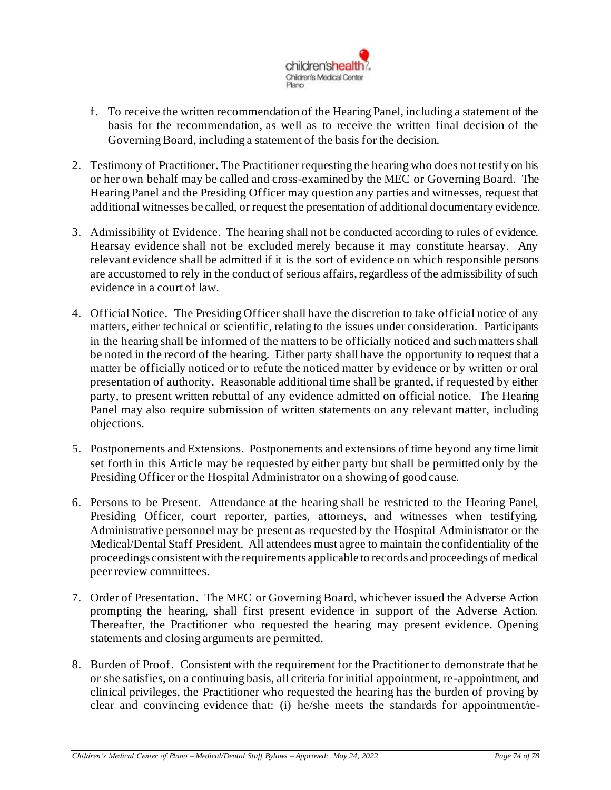

- f. To receive the written recommendation of the Hearing Panel, including a statement of the basis for the recommendation, as well as to receive the written final decision of the Governing Board, including a statement of the basis for the decision.
- 2. Testimony of Practitioner. The Practitioner requesting the hearing who does not testify on his or her own behalf may be called and cross-examined by the MEC or Governing Board. The Hearing Panel and the Presiding Officer may question any parties and witnesses, request that additional witnesses be called, or request the presentation of additional documentary evidence.
- 3. Admissibility of Evidence. The hearing shall not be conducted according to rules of evidence. Hearsay evidence shall not be excluded merely because it may constitute hearsay. Any relevant evidence shall be admitted if it is the sort of evidence on which responsible persons are accustomed to rely in the conduct of serious affairs, regardless of the admissibility of such evidence in a court of law.
- 4. Official Notice. The Presiding Officer shall have the discretion to take official notice of any matters, either technical or scientific, relating to the issues under consideration. Participants in the hearing shall be informed of the matters to be officially noticed and such matters shall be noted in the record of the hearing. Either party shall have the opportunity to request that a matter be officially noticed or to refute the noticed matter by evidence or by written or oral presentation of authority. Reasonable additional time shall be granted, if requested by either party, to present written rebuttal of any evidence admitted on official notice. The Hearing Panel may also require submission of written statements on any relevant matter, including objections.
- 5. Postponements and Extensions. Postponements and extensions of time beyond any time limit set forth in this Article may be requested by either party but shall be permitted only by the Presiding Officer or the Hospital Administrator on a showing of good cause.
- 6. Persons to be Present. Attendance at the hearing shall be restricted to the Hearing Panel, Presiding Officer, court reporter, parties, attorneys, and witnesses when testifying. Administrative personnel may be present as requested by the Hospital Administrator or the Medical/Dental Staff President. All attendees must agree to maintain the confidentiality of the proceedings consistent with the requirements applicable to records and proceedings of medical peer review committees.
- 7. Order of Presentation. The MEC or Governing Board, whichever issued the Adverse Action prompting the hearing, shall first present evidence in support of the Adverse Action. Thereafter, the Practitioner who requested the hearing may present evidence. Opening statements and closing arguments are permitted.
- 8. Burden of Proof. Consistent with the requirement for the Practitioner to demonstrate that he or she satisfies, on a continuing basis, all criteria for initial appointment, re-appointment, and clinical privileges, the Practitioner who requested the hearing has the burden of proving by clear and convincing evidence that: (i) he/she meets the standards for appointment/re-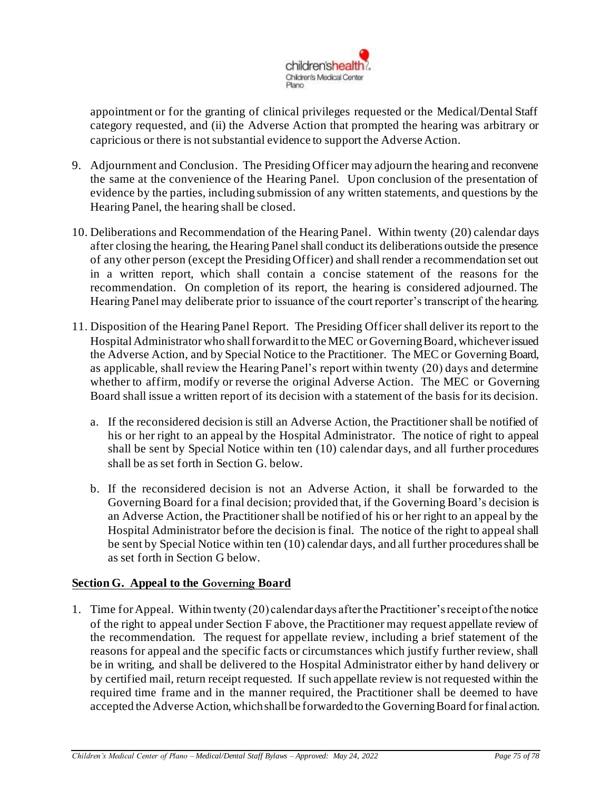

appointment or for the granting of clinical privileges requested or the Medical/Dental Staff category requested, and (ii) the Adverse Action that prompted the hearing was arbitrary or capricious or there is not substantial evidence to support the Adverse Action.

- 9. Adjournment and Conclusion. The Presiding Officer may adjourn the hearing and reconvene the same at the convenience of the Hearing Panel. Upon conclusion of the presentation of evidence by the parties, including submission of any written statements, and questions by the Hearing Panel, the hearing shall be closed.
- 10. Deliberations and Recommendation of the Hearing Panel. Within twenty (20) calendar days after closing the hearing, the Hearing Panel shall conduct its deliberations outside the presence of any other person (except the Presiding Officer) and shall render a recommendation set out in a written report, which shall contain a concise statement of the reasons for the recommendation. On completion of its report, the hearing is considered adjourned. The Hearing Panel may deliberate prior to issuance of the court reporter's transcript of the hearing.
- 11. Disposition of the Hearing Panel Report. The Presiding Officer shall deliver its report to the Hospital Administrator who shall forward it to the MEC or Governing Board, whichever issued the Adverse Action, and by Special Notice to the Practitioner. The MEC or Governing Board, as applicable, shall review the Hearing Panel's report within twenty (20) days and determine whether to affirm, modify or reverse the original Adverse Action. The MEC or Governing Board shall issue a written report of its decision with a statement of the basis for its decision.
	- a. If the reconsidered decision is still an Adverse Action, the Practitioner shall be notified of his or her right to an appeal by the Hospital Administrator. The notice of right to appeal shall be sent by Special Notice within ten (10) calendar days, and all further procedures shall be as set forth in Section G. below.
	- b. If the reconsidered decision is not an Adverse Action, it shall be forwarded to the Governing Board for a final decision; provided that, if the Governing Board's decision is an Adverse Action, the Practitioner shall be notified of his or her right to an appeal by the Hospital Administrator before the decision is final. The notice of the right to appeal shall be sent by Special Notice within ten (10) calendar days, and all further procedures shall be as set forth in Section G below.

## **Section G. Appeal to the Governing Board**

1. Time for Appeal. Within twenty (20) calendar days after the Practitioner's receipt of the notice of the right to appeal under Section F above, the Practitioner may request appellate review of the recommendation. The request for appellate review, including a brief statement of the reasons for appeal and the specific facts or circumstances which justify further review, shall be in writing, and shall be delivered to the Hospital Administrator either by hand delivery or by certified mail, return receipt requested. If such appellate review is not requested within the required time frame and in the manner required, the Practitioner shall be deemed to have accepted the Adverse Action, which shall be forwarded to the Governing Board for final action.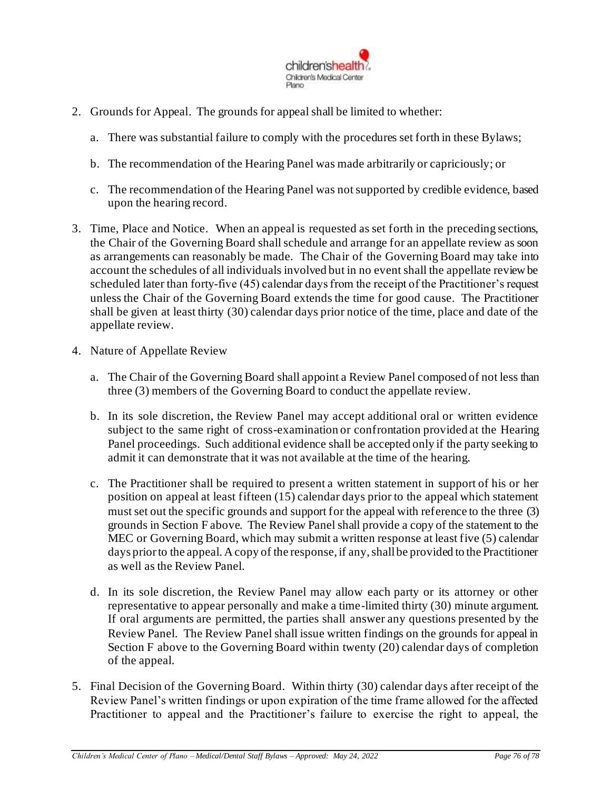

- 2. Grounds for Appeal. The grounds for appeal shall be limited to whether:
	- a. There was substantial failure to comply with the procedures set forth in these Bylaws;
	- b. The recommendation of the Hearing Panel was made arbitrarily or capriciously; or
	- c. The recommendation of the Hearing Panel was not supported by credible evidence, based upon the hearing record.
- 3. Time, Place and Notice. When an appeal is requested as set forth in the preceding sections, the Chair of the Governing Board shall schedule and arrange for an appellate review as soon as arrangements can reasonably be made. The Chair of the Governing Board may take into account the schedules of all individuals involved but in no event shall the appellate review be scheduled later than forty-five (45) calendar days from the receipt of the Practitioner's request unless the Chair of the Governing Board extends the time for good cause. The Practitioner shall be given at least thirty (30) calendar days prior notice of the time, place and date of the appellate review.
- 4. Nature of Appellate Review
	- a. The Chair of the Governing Board shall appoint a Review Panel composed of not less than three (3) members of the Governing Board to conduct the appellate review.
	- b. In its sole discretion, the Review Panel may accept additional oral or written evidence subject to the same right of cross-examination or confrontation provided at the Hearing Panel proceedings. Such additional evidence shall be accepted only if the party seeking to admit it can demonstrate that it was not available at the time of the hearing.
	- c. The Practitioner shall be required to present a written statement in support of his or her position on appeal at least fifteen (15) calendar days prior to the appeal which statement must set out the specific grounds and support for the appeal with reference to the three (3) grounds in Section F above. The Review Panel shall provide a copy of the statement to the MEC or Governing Board, which may submit a written response at least five (5) calendar days prior to the appeal. A copy of the response, if any, shall be provided to the Practitioner as well as the Review Panel.
	- d. In its sole discretion, the Review Panel may allow each party or its attorney or other representative to appear personally and make a time-limited thirty (30) minute argument. If oral arguments are permitted, the parties shall answer any questions presented by the Review Panel. The Review Panel shall issue written findings on the grounds for appeal in Section F above to the Governing Board within twenty (20) calendar days of completion of the appeal.
- 5. Final Decision of the Governing Board. Within thirty (30) calendar days after receipt of the Review Panel's written findings or upon expiration of the time frame allowed for the affected Practitioner to appeal and the Practitioner's failure to exercise the right to appeal, the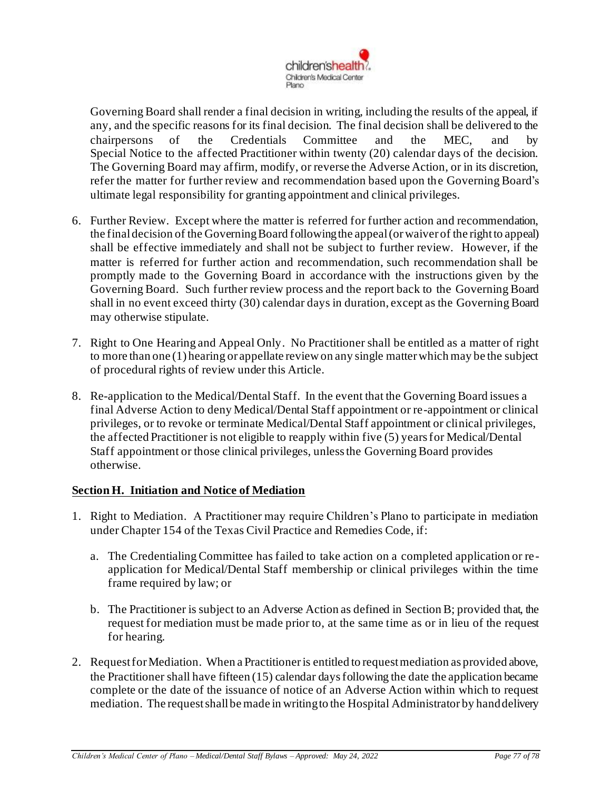

Governing Board shall render a final decision in writing, including the results of the appeal, if any, and the specific reasons for its final decision. The final decision shall be delivered to the chairpersons of the Credentials Committee and the MEC, and by Special Notice to the affected Practitioner within twenty (20) calendar days of the decision. The Governing Board may affirm, modify, or reverse the Adverse Action, or in its discretion, refer the matter for further review and recommendation based upon the Governing Board's ultimate legal responsibility for granting appointment and clinical privileges.

- 6. Further Review. Except where the matter is referred for further action and recommendation, the final decision of the Governing Board following the appeal (or waiver of the right to appeal) shall be effective immediately and shall not be subject to further review. However, if the matter is referred for further action and recommendation, such recommendation shall be promptly made to the Governing Board in accordance with the instructions given by the Governing Board. Such further review process and the report back to the Governing Board shall in no event exceed thirty (30) calendar days in duration, except as the Governing Board may otherwise stipulate.
- 7. Right to One Hearing and Appeal Only. No Practitioner shall be entitled as a matter of right to more than one (1) hearing or appellate review on any single matter which may be the subject of procedural rights of review under this Article.
- 8. Re-application to the Medical/Dental Staff. In the event that the Governing Board issues a final Adverse Action to deny Medical/Dental Staff appointment or re-appointment or clinical privileges, or to revoke or terminate Medical/Dental Staff appointment or clinical privileges, the affected Practitioner is not eligible to reapply within five (5) years for Medical/Dental Staff appointment or those clinical privileges, unless the Governing Board provides otherwise.

## **Section H. Initiation and Notice of Mediation**

- 1. Right to Mediation. A Practitioner may require Children's Plano to participate in mediation under Chapter 154 of the Texas Civil Practice and Remedies Code, if:
	- a. The Credentialing Committee has failed to take action on a completed application or re application for Medical/Dental Staff membership or clinical privileges within the time frame required by law; or
	- b. The Practitioner is subject to an Adverse Action as defined in Section B; provided that, the request for mediation must be made prior to, at the same time as or in lieu of the request for hearing.
- 2. Request for Mediation. When a Practitioner is entitled to request mediation as provided above, the Practitioner shall have fifteen (15) calendar days following the date the application became complete or the date of the issuance of notice of an Adverse Action within which to request mediation. The request shall be made in writing to the Hospital Administrator by hand delivery